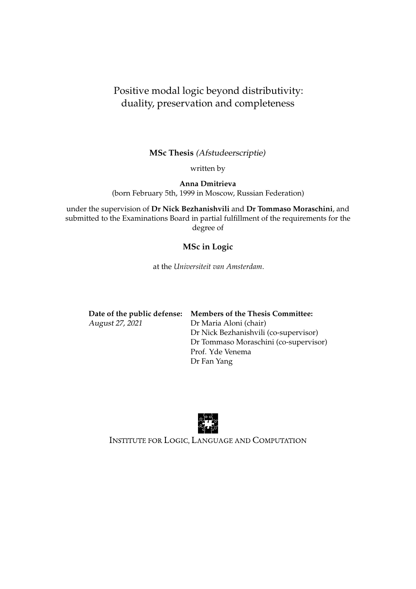#### Positive modal logic beyond distributivity: duality, preservation and completeness

**MSc Thesis** (Afstudeerscriptie)

written by

**Anna Dmitrieva** (born February 5th, 1999 in Moscow, Russian Federation)

under the supervision of **Dr Nick Bezhanishvili** and **Dr Tommaso Moraschini**, and submitted to the Examinations Board in partial fulfillment of the requirements for the degree of

#### **MSc in Logic**

at the *Universiteit van Amsterdam*.

|                 | Date of the public defense: Members of the Thesis Committee: |
|-----------------|--------------------------------------------------------------|
| August 27, 2021 | Dr Maria Aloni (chair)                                       |
|                 | Dr Nick Bezhanishvili (co-supervisor)                        |
|                 | Dr Tommaso Moraschini (co-supervisor)                        |
|                 | Prof. Yde Venema                                             |
|                 | Dr Fan Yang                                                  |



INSTITUTE FOR LOGIC, LANGUAGE AND COMPUTATION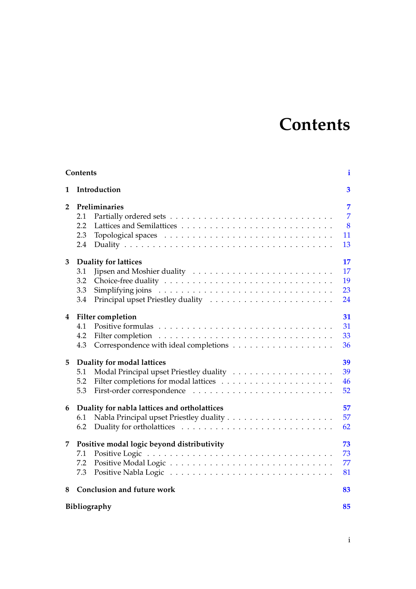## **Contents**

<span id="page-2-0"></span>

| Contents<br>$\mathbf{i}$ |                                                                 |                                                   |  |
|--------------------------|-----------------------------------------------------------------|---------------------------------------------------|--|
| 1                        | Introduction                                                    | $\overline{\mathbf{3}}$                           |  |
| $\mathbf{2}$             | Preliminaries<br>2.1<br>2.2<br>2.3<br>2.4                       | $\overline{7}$<br>$\overline{7}$<br>8<br>11<br>13 |  |
| 3                        | <b>Duality for lattices</b><br>3.1<br>3.2<br>3.3<br>3.4         | 17<br>17<br>19<br>23<br>24                        |  |
| 4                        | <b>Filter completion</b><br>4.1<br>4.2<br>4.3                   | 31<br>31<br>33<br>36                              |  |
| 5                        | Duality for modal lattices<br>5.1<br>5.2<br>5.3                 | 39<br>39<br>46<br>52                              |  |
| 6                        | Duality for nabla lattices and ortholattices<br>6.1<br>6.2      | 57<br>57<br>62                                    |  |
| 7.                       | Positive modal logic beyond distributivity<br>7.1<br>7.2<br>7.3 | 73<br>73<br>77<br>81                              |  |
| 8                        | <b>Conclusion and future work</b>                               | 83                                                |  |
|                          | Bibliography                                                    |                                                   |  |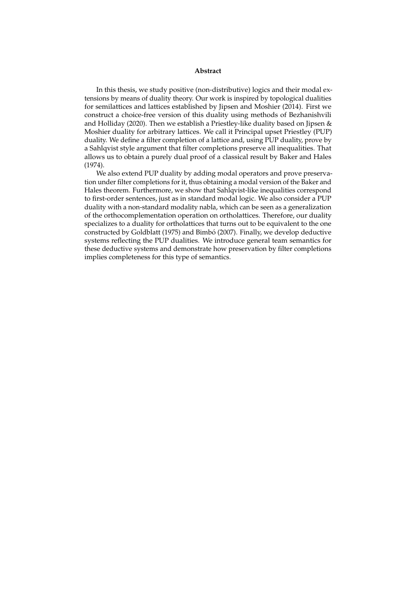#### **Abstract**

In this thesis, we study positive (non-distributive) logics and their modal extensions by means of duality theory. Our work is inspired by topological dualities for semilattices and lattices established by Jipsen and Moshier (2014). First we construct a choice-free version of this duality using methods of Bezhanishvili and Holliday (2020). Then we establish a Priestley-like duality based on Jipsen & Moshier duality for arbitrary lattices. We call it Principal upset Priestley (PUP) duality. We define a filter completion of a lattice and, using PUP duality, prove by a Sahlqvist style argument that filter completions preserve all inequalities. That allows us to obtain a purely dual proof of a classical result by Baker and Hales (1974).

We also extend PUP duality by adding modal operators and prove preservation under filter completions for it, thus obtaining a modal version of the Baker and Hales theorem. Furthermore, we show that Sahlqvist-like inequalities correspond to first-order sentences, just as in standard modal logic. We also consider a PUP duality with a non-standard modality nabla, which can be seen as a generalization of the orthocomplementation operation on ortholattices. Therefore, our duality specializes to a duality for ortholattices that turns out to be equivalent to the one constructed by Goldblatt (1975) and Bimbó (2007). Finally, we develop deductive systems reflecting the PUP dualities. We introduce general team semantics for these deductive systems and demonstrate how preservation by filter completions implies completeness for this type of semantics.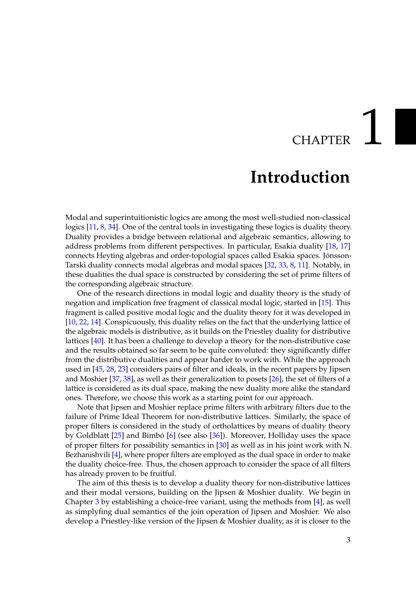## **CHAPTER**

### **Introduction**

<span id="page-6-0"></span>Modal and superintuitionistic logics are among the most well-studied non-classical logics [\[11,](#page-88-1) [8,](#page-88-2) [34\]](#page-89-0). One of the central tools in investigating these logics is duality theory. Duality provides a bridge between relational and algebraic semantics, allowing to address problems from different perspectives. In particular, Esakia duality [\[18,](#page-89-1) [17\]](#page-89-2) connects Heyting algebras and order-topologial spaces called Esakia spaces. Jónsson-Tarski duality connects modal algebras and modal spaces [\[32,](#page-89-3) [33,](#page-89-4) [8,](#page-88-2) [11\]](#page-88-1). Notably, in these dualities the dual space is constructed by considering the set of prime filters of the corresponding algebraic structure.

One of the research directions in modal logic and duality theory is the study of negation and implication free fragment of classical modal logic, started in [\[15\]](#page-89-5). This fragment is called positive modal logic and the duality theory for it was developed in [\[10,](#page-88-3) [22,](#page-89-6) [14\]](#page-88-4). Conspicuously, this duality relies on the fact that the underlying lattice of the algebraic models is distributive, as it builds on the Priestley duality for distributive lattices [\[40\]](#page-90-0). It has been a challenge to develop a theory for the non-distributive case and the results obtained so far seem to be quite convoluted: they significantly differ from the distributive dualities and appear harder to work with. While the approach used in [\[45,](#page-90-1) [28,](#page-89-7) [23\]](#page-89-8) considers pairs of filter and ideals, in the recent papers by Jipsen and Moshier [\[37,](#page-90-2) [38\]](#page-90-3), as well as their generalization to posets [\[26\]](#page-89-9), the set of filters of a lattice is considered as its dual space, making the new duality more alike the standard ones. Therefore, we choose this work as a starting point for our approach.

Note that Jipsen and Moshier replace prime filters with arbitrary filters due to the failure of Prime Ideal Theorem for non-distributive lattices. Similarly, the space of proper filters is considered in the study of ortholattices by means of duality theory by Goldblatt  $[25]$  and Bimbó  $[6]$  $[6]$  (see also  $[36]$ ). Moreover, Holliday uses the space of proper filters for possibility semantics in [\[30\]](#page-89-11) as well as in his joint work with N. Bezhanishvili [\[4\]](#page-88-6), where proper filters are employed as the dual space in order to make the duality choice-free. Thus, the chosen approach to consider the space of all filters has already proven to be fruitful.

The aim of this thesis is to develop a duality theory for non-distributive lattices and their modal versions, building on the Jipsen & Moshier duality. We begin in Chapter [3](#page-20-0) by establishing a choice-free variant, using the methods from [\[4\]](#page-88-6), as well as simplyfing dual semantics of the join operation of Jipsen and Moshier. We also develop a Priestley-like version of the Jipsen & Moshier duality, as it is closer to the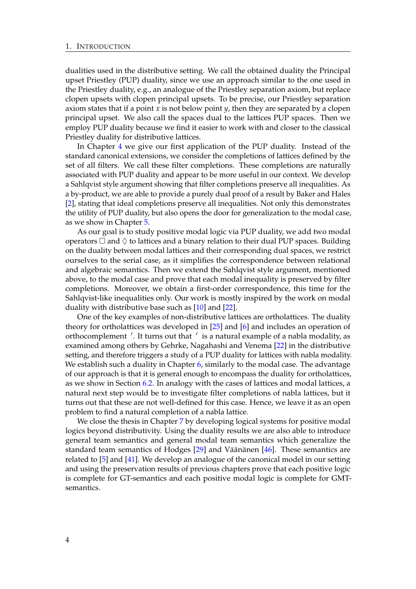dualities used in the distributive setting. We call the obtained duality the Principal upset Priestley (PUP) duality, since we use an approach similar to the one used in the Priestley duality, e.g., an analogue of the Priestley separation axiom, but replace clopen upsets with clopen principal upsets. To be precise, our Priestley separation axiom states that if a point *x* is not below point *y*, then they are separated by a clopen principal upset. We also call the spaces dual to the lattices PUP spaces. Then we employ PUP duality because we find it easier to work with and closer to the classical Priestley duality for distributive lattices.

In Chapter [4](#page-34-0) we give our first application of the PUP duality. Instead of the standard canonical extensions, we consider the completions of lattices defined by the set of all filters. We call these filter completions. These completions are naturally associated with PUP duality and appear to be more useful in our context. We develop a Sahlqvist style argument showing that filter completions preserve all inequalities. As a by-product, we are able to provide a purely dual proof of a result by Baker and Hales [\[2\]](#page-88-7), stating that ideal completions preserve all inequalities. Not only this demonstrates the utility of PUP duality, but also opens the door for generalization to the modal case, as we show in Chapter [5.](#page-42-0)

As our goal is to study positive modal logic via PUP duality, we add two modal operators  $\Box$  and  $\Diamond$  to lattices and a binary relation to their dual PUP spaces. Building on the duality between modal lattices and their corresponding dual spaces, we restrict ourselves to the serial case, as it simplifies the correspondence between relational and algebraic semantics. Then we extend the Sahlqvist style argument, mentioned above, to the modal case and prove that each modal inequality is preserved by filter completions. Moreover, we obtain a first-order correspondence, this time for the Sahlqvist-like inequalities only. Our work is mostly inspired by the work on modal duality with distributive base such as [\[10\]](#page-88-3) and [\[22\]](#page-89-6).

One of the key examples of non-distributive lattices are ortholattices. The duality theory for ortholattices was developed in [\[25\]](#page-89-10) and [\[6\]](#page-88-5) and includes an operation of orthocomplement '. It turns out that ' is a natural example of a nabla modality, as examined among others by Gehrke, Nagahashi and Venema [\[22\]](#page-89-6) in the distributive setting, and therefore triggers a study of a PUP duality for lattices with nabla modality. We establish such a duality in Chapter  $6$ , similarly to the modal case. The advantage of our approach is that it is general enough to encompass the duality for ortholattices, as we show in Section [6.2.](#page-65-0) In analogy with the cases of lattices and modal lattices, a natural next step would be to investigate filter completions of nabla lattices, but it turns out that these are not well-defined for this case. Hence, we leave it as an open problem to find a natural completion of a nabla lattice.

We close the thesis in Chapter [7](#page-76-0) by developing logical systems for positive modal logics beyond distributivity. Using the duality results we are also able to introduce general team semantics and general modal team semantics which generalize the standard team semantics of Hodges  $[29]$  and Väänänen  $[46]$  $[46]$ . These semantics are related to [\[5\]](#page-88-8) and [\[41\]](#page-90-6). We develop an analogue of the canonical model in our setting and using the preservation results of previous chapters prove that each positive logic is complete for GT-semantics and each positive modal logic is complete for GMTsemantics.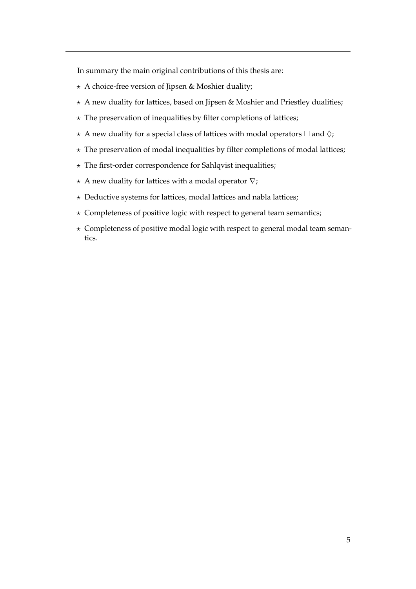In summary the main original contributions of this thesis are:

- $\star$  A choice-free version of Jipsen & Moshier duality;
- $\star$  A new duality for lattices, based on Jipsen & Moshier and Priestley dualities;
- $\star$  The preservation of inequalities by filter completions of lattices;
- $\star$  A new duality for a special class of lattices with modal operators  $\Box$  and  $\Diamond$ ;
- $\star$  The preservation of modal inequalities by filter completions of modal lattices;
- $\star$  The first-order correspondence for Sahlqvist inequalities;
- $\star$  A new duality for lattices with a modal operator  $\nabla$ ;
- $\star$  Deductive systems for lattices, modal lattices and nabla lattices;
- $\star$  Completeness of positive logic with respect to general team semantics;
- $\star$  Completeness of positive modal logic with respect to general modal team semantics.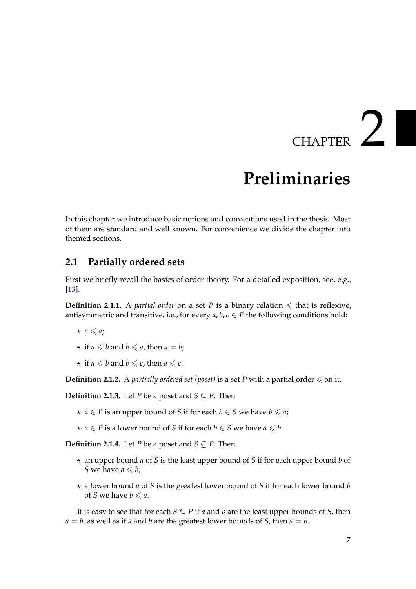## $CHAPTER$   $2$

## **Preliminaries**

<span id="page-10-0"></span>In this chapter we introduce basic notions and conventions used in the thesis. Most of them are standard and well known. For convenience we divide the chapter into themed sections.

#### <span id="page-10-1"></span>**2.1 Partially ordered sets**

First we briefly recall the basics of order theory. For a detailed exposition, see, e.g., [\[13\]](#page-88-9).

**Definition 2.1.1.** A *partial order* on a set *P* is a binary relation  $\leq$  that is reflexive, antisymmetric and transitive, i.e., for every  $a, b, c \in P$  the following conditions hold:

- $\star$  *a*  $\leq$  *a*;
- $\star$  if *a*  $\leq$  *b* and *b*  $\leq$  *a*, then *a* = *b*;
- $\star$  if *a*  $\leq$  *b* and *b*  $\leq$  *c*, then *a*  $\leq$  *c*.

**Definition 2.1.2.** A *partially ordered set (poset)* is a set *P* with a partial order  $\leq$  on it.

**Definition 2.1.3.** Let *P* be a poset and  $S \subseteq P$ . Then

- *★*  $a \in P$  is an upper bound of *S* if for each  $b \in S$  we have  $b \le a$ ;
- *★ a* ∈ *P* is a lower bound of *S* if for each *b* ∈ *S* we have *a*  $\leq$  *b*.

**Definition 2.1.4.** Let *P* be a poset and *S*  $\subseteq$  *P*. Then

- ? an upper bound *a* of *S* is the least upper bound of *S* if for each upper bound *b* of *S* we have  $a \leq b$ ;
- ? a lower bound *a* of *S* is the greatest lower bound of *S* if for each lower bound *b* of *S* we have  $b \le a$ .

It is easy to see that for each  $S \subseteq P$  if *a* and *b* are the least upper bounds of *S*, then  $a = b$ , as well as if *a* and *b* are the greatest lower bounds of *S*, then  $a = b$ .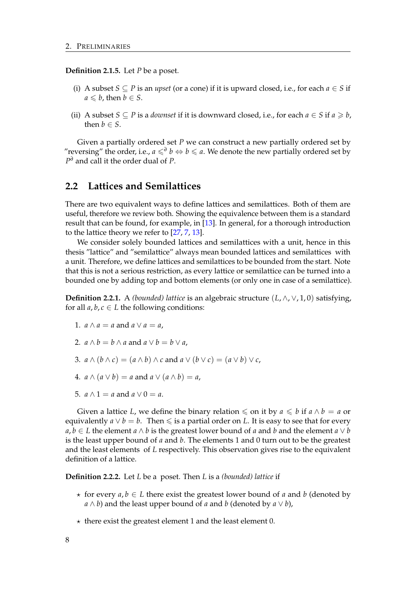**Definition 2.1.5.** Let *P* be a poset.

- (i) A subset *S* ⊂ *P* is an *upset* (or a cone) if it is upward closed, i.e., for each  $a \in S$  if  $a \leq b$ , then  $b \in S$ .
- (ii) A subset *S*  $\subseteq$  *P* is a *downset* if it is downward closed, i.e., for each  $a \in S$  if  $a \ge b$ , then  $b \in S$ .

Given a partially ordered set *P* we can construct a new partially ordered set by "reversing" the order, i.e., *a* 6*<sup>∂</sup> b* ⇔ *b* 6 *a*. We denote the new partially ordered set by *P <sup>∂</sup>* and call it the order dual of *P*.

#### <span id="page-11-0"></span>**2.2 Lattices and Semilattices**

There are two equivalent ways to define lattices and semilattices. Both of them are useful, therefore we review both. Showing the equivalence between them is a standard result that can be found, for example, in [\[13\]](#page-88-9). In general, for a thorough introduction to the lattice theory we refer to [\[27,](#page-89-13) [7,](#page-88-10) [13\]](#page-88-9).

We consider solely bounded lattices and semilattices with a unit, hence in this thesis "lattice" and "semilattice" always mean bounded lattices and semilattices with a unit. Therefore, we define lattices and semilattices to be bounded from the start. Note that this is not a serious restriction, as every lattice or semilattice can be turned into a bounded one by adding top and bottom elements (or only one in case of a semilattice).

<span id="page-11-1"></span>**Definition 2.2.1.** A *(bounded) lattice* is an algebraic structure  $(L, \wedge, \vee, 1, 0)$  satisfying, for all  $a, b, c \in L$  the following conditions:

- 1.  $a \wedge a = a$  and  $a \vee a = a$ ,
- 2.  $a \wedge b = b \wedge a$  and  $a \vee b = b \vee a$ .
- 3.  $a \wedge (b \wedge c) = (a \wedge b) \wedge c$  and  $a \vee (b \vee c) = (a \vee b) \vee c$ ,
- 4.  $a \wedge (a \vee b) = a$  and  $a \vee (a \wedge b) = a$ ,
- 5.  $a \wedge 1 = a$  and  $a \vee 0 = a$ .

Given a lattice *L*, we define the binary relation  $\leq$  on it by  $a \leq b$  if  $a \wedge b = a$  or equivalently  $a \vee b = b$ . Then  $\leq$  is a partial order on L. It is easy to see that for every *a*, *b* ∈ *L* the element *a*  $\land$  *b* is the greatest lower bound of *a* and *b* and the element *a*  $\lor$  *b* is the least upper bound of *a* and *b*. The elements 1 and 0 turn out to be the greatest and the least elements of *L* respectively. This observation gives rise to the equivalent definition of a lattice.

**Definition 2.2.2.** Let *L* be a poset. Then *L* is a *(bounded) lattice* if

- $\star$  for every *a*, *b*  $\in$  *L* there exist the greatest lower bound of *a* and *b* (denoted by *a* ∧ *b*) and the least upper bound of *a* and *b* (denoted by *a* ∨ *b*),
- $\star$  there exist the greatest element 1 and the least element 0.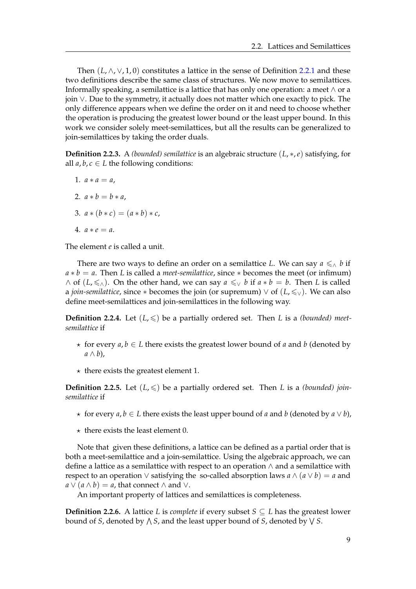Then  $(L, \wedge, \vee, 1, 0)$  constitutes a lattice in the sense of Definition [2.2.1](#page-11-1) and these two definitions describe the same class of structures. We now move to semilattices. Informally speaking, a semilattice is a lattice that has only one operation: a meet  $\wedge$  or a join ∨. Due to the symmetry, it actually does not matter which one exactly to pick. The only difference appears when we define the order on it and need to choose whether the operation is producing the greatest lower bound or the least upper bound. In this work we consider solely meet-semilattices, but all the results can be generalized to join-semilattices by taking the order duals.

**Definition 2.2.3.** A *(bounded) semilattice* is an algebraic structure (*L*, ∗,*e*) satisfying, for all  $a, b, c \in L$  the following conditions:

1.  $a * a = a$ , 2.  $a * b = b * a$ . 3.  $a * (b * c) = (a * b) * c$ , 4.  $a * e = a$ .

The element *e* is called a unit.

There are two ways to define an order on a semilattice *L*. We can say  $a \leq \wedge b$  if  $a * b = a$ . Then *L* is called a *meet-semilattice*, since  $*$  becomes the meet (or infimum) ∧ of  $(L, \leq \wedge)$ . On the other hand, we can say  $a \leq v$  *b* if  $a * b = b$ . Then *L* is called a *join-semilattice*, since  $*$  becomes the join (or supremum)  $\vee$  of  $(L, \leq \vee)$ . We can also define meet-semilattices and join-semilattices in the following way.

**Definition 2.2.4.** Let  $(L, \leq)$  be a partially ordered set. Then *L* is a *(bounded) meetsemilattice* if

- $\star$  for every *a*, *b*  $\in$  *L* there exists the greatest lower bound of *a* and *b* (denoted by *a* ∧ *b*),
- $\star$  there exists the greatest element 1.

**Definition 2.2.5.** Let  $(L, \leqslant)$  be a partially ordered set. Then L is a *(bounded) joinsemilattice* if

- ? for every *a*, *b* ∈ *L* there exists the least upper bound of *a* and *b* (denoted by *a* ∨ *b*),
- $\star$  there exists the least element 0.

Note that given these definitions, a lattice can be defined as a partial order that is both a meet-semilattice and a join-semilattice. Using the algebraic approach, we can define a lattice as a semilattice with respect to an operation ∧ and a semilattice with respect to an operation  $\vee$  satisfying the so-called absorption laws  $a \wedge (a \vee b) = a$  and  $a \vee (a \wedge b) = a$ , that connect  $\wedge$  and  $\vee$ .

An important property of lattices and semilattices is completeness.

**Definition 2.2.6.** A lattice *L* is *complete* if every subset  $S \subseteq L$  has the greatest lower bound of *S,* denoted by  $\wedge$  *S,* and the least upper bound of *S,* denoted by  $\vee$  *S*.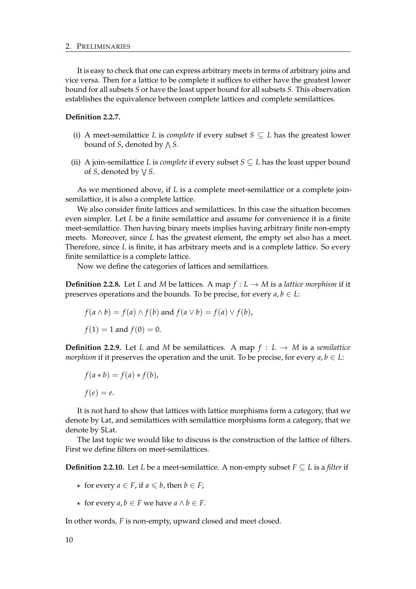#### 2. PRELIMINARIES

It is easy to check that one can express arbitrary meets in terms of arbitrary joins and vice versa. Then for a lattice to be complete it suffices to either have the greatest lower bound for all subsets *S* or have the least upper bound for all subsets *S*. This observation establishes the equivalence between complete lattices and complete semilattices.

#### **Definition 2.2.7.**

- (i) A meet-semilattice *L* is *complete* if every subset  $S \subseteq L$  has the greatest lower bound of *S*, denoted by  $\bigwedge S.$
- (ii) A join-semilattice *L* is *complete* if every subset  $S \subseteq L$  has the least upper bound of *S*, denoted by W *S*.

As we mentioned above, if *L* is a complete meet-semilattice or a complete joinsemilattice, it is also a complete lattice.

We also consider finite lattices and semilattices. In this case the situation becomes even simpler. Let *L* be a finite semilattice and assume for convenience it is a finite meet-semilattice. Then having binary meets implies having arbitrary finite non-empty meets. Moreover, since *L* has the greatest element, the empty set also has a meet. Therefore, since *L* is finite, it has arbitrary meets and is a complete lattice. So every finite semilattice is a complete lattice.

Now we define the categories of lattices and semilattices.

**Definition 2.2.8.** Let *L* and *M* be lattices. A map  $f: L \to M$  is a *lattice morphism* if it preserves operations and the bounds. To be precise, for every  $a, b \in L$ :

$$
f(a \wedge b) = f(a) \wedge f(b) \text{ and } f(a \vee b) = f(a) \vee f(b),
$$
  

$$
f(1) = 1 \text{ and } f(0) = 0.
$$

**Definition 2.2.9.** Let *L* and *M* be semilattices. A map  $f : L \rightarrow M$  is a *semilattice morphism* if it preserves the operation and the unit. To be precise, for every  $a, b \in L$ :

$$
f(a * b) = f(a) * f(b),
$$
  

$$
f(e) = e.
$$

It is not hard to show that lattices with lattice morphisms form a category, that we denote by Lat, and semilattices with semilattice morphisms form a category, that we denote by SLat.

The last topic we would like to discuss is the construction of the lattice of filters. First we define filters on meet-semilattices.

**Definition 2.2.10.** Let *L* be a meet-semilattice. A non-empty subset  $F \subseteq L$  is a *filter* if

- $\star$  for every *a* ∈ *F*, if *a* ≤ *b*, then *b* ∈ *F*;
- $\star$  for every *a*, *b* ∈ *F* we have *a* ∧ *b* ∈ *F*.

In other words, *F* is non-empty, upward closed and meet closed.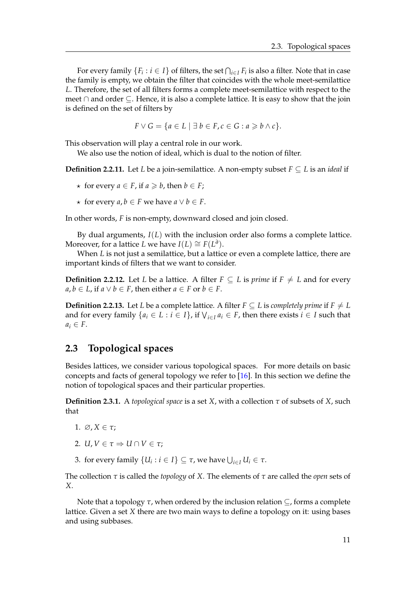For every family  $\{F_i : i \in I\}$  of filters, the set  $\bigcap_{i \in I} F_i$  is also a filter. Note that in case the family is empty, we obtain the filter that coincides with the whole meet-semilattice *L*. Therefore, the set of all filters forms a complete meet-semilattice with respect to the meet ∩ and order ⊆. Hence, it is also a complete lattice. It is easy to show that the join is defined on the set of filters by

$$
F \vee G = \{ a \in L \mid \exists b \in F, c \in G : a \geq b \wedge c \}.
$$

This observation will play a central role in our work.

We also use the notion of ideal, which is dual to the notion of filter.

**Definition 2.2.11.** Let *L* be a join-semilattice. A non-empty subset  $F \subseteq L$  is an *ideal* if

- $\star$  for every *a* ∈ *F*, if *a*  $\geq$  *b*, then *b* ∈ *F*;
- $\star$  for every *a*, *b* ∈ *F* we have *a* ∨ *b* ∈ *F*.

In other words, *F* is non-empty, downward closed and join closed.

By dual arguments, *I*(*L*) with the inclusion order also forms a complete lattice. Moreover, for a lattice *L* we have *I*(*L*) ≅  $F(L^{\partial})$ .

When *L* is not just a semilattice, but a lattice or even a complete lattice, there are important kinds of filters that we want to consider.

**Definition 2.2.12.** Let *L* be a lattice. A filter  $F \subseteq L$  is *prime* if  $F \neq L$  and for every *a*, *b* ∈ *L*, if *a*  $∨$  *b* ∈ *F*, then either *a* ∈ *F* or *b* ∈ *F*.

**Definition 2.2.13.** Let *L* be a complete lattice. A filter  $F \subseteq L$  is *completely prime* if  $F \neq L$ and for every family  $\{a_i \in L : i \in I\}$ , if  $\bigvee_{i \in I} a_i \in F$ , then there exists  $i \in I$  such that  $a_i \in F$ .

#### <span id="page-14-0"></span>**2.3 Topological spaces**

Besides lattices, we consider various topological spaces. For more details on basic concepts and facts of general topology we refer to [\[16\]](#page-89-14). In this section we define the notion of topological spaces and their particular properties.

**Definition 2.3.1.** A *topological space* is a set *X*, with a collection *τ* of subsets of *X*, such that

- 1. ∅, *X* ∈ *τ*;
- 2.  $U, V \in \tau \Rightarrow U \cap V \in \tau$ ;
- 3. for every family  $\{U_i : i \in I\} \subseteq \tau$ , we have  $\bigcup_{i \in I} U_i \in \tau$ .

The collection *τ* is called the *topology* of *X*. The elements of *τ* are called the *open* sets of *X*.

Note that a topology *τ*, when ordered by the inclusion relation ⊆, forms a complete lattice. Given a set *X* there are two main ways to define a topology on it: using bases and using subbases.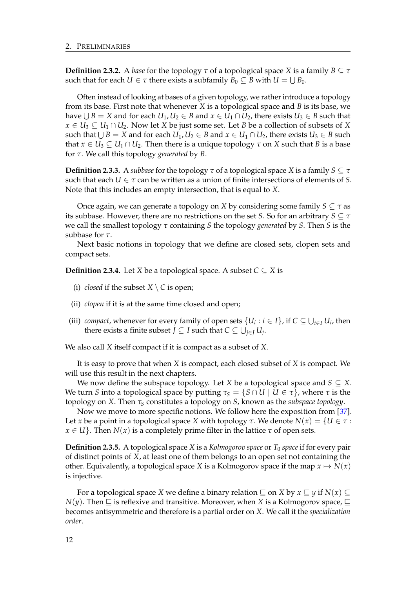**Definition 2.3.2.** A *base* for the topology *τ* of a topological space *X* is a family *B*  $\subseteq$  *τ* such that for each  $U \in \tau$  there exists a subfamily  $B_0 \subseteq B$  with  $U = \bigcup B_0$ .

Often instead of looking at bases of a given topology, we rather introduce a topology from its base. First note that whenever *X* is a topological space and *B* is its base, we have  $\bigcup B = X$  and for each  $U_1, U_2 \in B$  and  $x \in U_1 \cap U_2$ , there exists  $U_3 \in B$  such that *x* ∈ *U*<sub>3</sub>  $\subseteq$  *U*<sub>1</sub> ∩ *U*<sub>2</sub>. Now let *X* be just some set. Let *B* be a collection of subsets of *X* such that  $\bigcup B = X$  and for each  $U_1, U_2 \in B$  and  $x \in U_1 \cap U_2$ , there exists  $U_3 \in B$  such that  $x \in U_3 \subseteq U_1 \cap U_2$ . Then there is a unique topology  $\tau$  on *X* such that *B* is a base for *τ*. We call this topology *generated* by *B*.

**Definition 2.3.3.** A *subbase* for the topology  $\tau$  of a topological space *X* is a family  $S \subseteq \tau$ such that each  $U \in \tau$  can be written as a union of finite intersections of elements of *S*. Note that this includes an empty intersection, that is equal to *X*.

Once again, we can generate a topology on *X* by considering some family  $S \subseteq \tau$  as its subbase. However, there are no restrictions on the set *S*. So for an arbitrary *S* ⊆ *τ* we call the smallest topology *τ* containing *S* the topology *generated* by *S*. Then *S* is the subbase for *τ*.

Next basic notions in topology that we define are closed sets, clopen sets and compact sets.

**Definition 2.3.4.** Let *X* be a topological space. A subset  $C \subseteq X$  is

- (i) *closed* if the subset  $X \setminus C$  is open;
- (ii) *clopen* if it is at the same time closed and open;
- (iii) *compact*, whenever for every family of open sets  $\{U_i : i \in I\}$ , if  $C \subseteq \bigcup_{i \in I} U_i$ , then there exists a finite subset  $J \subseteq I$  such that  $C \subseteq \bigcup_{j \in J} U_j$ .

We also call *X* itself compact if it is compact as a subset of *X*.

It is easy to prove that when *X* is compact, each closed subset of *X* is compact. We will use this result in the next chapters.

We now define the subspace topology. Let *X* be a topological space and *S*  $\subseteq$  *X*. We turn *S* into a topological space by putting  $\tau_s = \{S \cap U \mid U \in \tau\}$ , where  $\tau$  is the topology on *X*. Then *τ<sup>S</sup>* constitutes a topology on *S*, known as the *subspace topology*.

Now we move to more specific notions. We follow here the exposition from [\[37\]](#page-90-2). Let *x* be a point in a topological space *X* with topology  $\tau$ . We denote  $N(x) = \{U \in \tau :$  $x \in U$ . Then *N*(*x*) is a completely prime filter in the lattice  $\tau$  of open sets.

**Definition 2.3.5.** A topological space *X* is a *Kolmogorov space* or  $T_0$  *space* if for every pair of distinct points of *X*, at least one of them belongs to an open set not containing the other. Equivalently, a topological space *X* is a Kolmogorov space if the map  $x \mapsto N(x)$ is injective.

For a topological space *X* we define a binary relation  $\subseteq$  on *X* by  $x \subseteq y$  if  $N(x) \subseteq$  $N(\gamma)$ . Then  $\Box$  is reflexive and transitive. Moreover, when *X* is a Kolmogorov space,  $\Box$ becomes antisymmetric and therefore is a partial order on *X*. We call it the *specialization order*.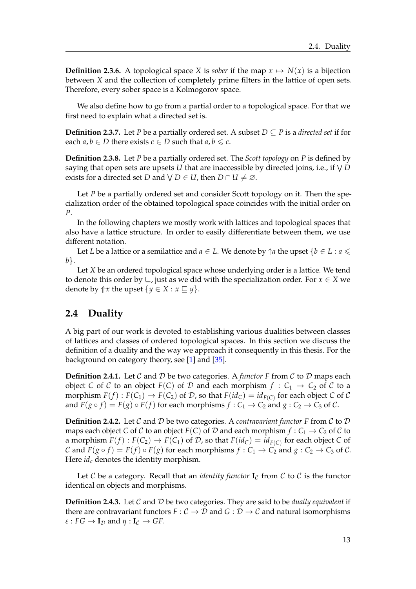**Definition 2.3.6.** A topological space *X* is *sober* if the map  $x \mapsto N(x)$  is a bijection between *X* and the collection of completely prime filters in the lattice of open sets. Therefore, every sober space is a Kolmogorov space.

We also define how to go from a partial order to a topological space. For that we first need to explain what a directed set is.

**Definition 2.3.7.** Let *P* be a partially ordered set. A subset  $D \subseteq P$  is a *directed set* if for each  $a, b \in D$  there exists  $c \in D$  such that  $a, b \leq c$ .

**Definition 2.3.8.** Let *P* be a partially ordered set. The *Scott topology* on *P* is defined by saying that open sets are upsets *U* that are inaccessible by directed joins, i.e., if W *D* exists for a directed set *D* and  $\forall$  *D*  $\in$  *U*, then *D*  $\cap$  *U*  $\neq \emptyset$ .

Let *P* be a partially ordered set and consider Scott topology on it. Then the specialization order of the obtained topological space coincides with the initial order on *P*.

In the following chapters we mostly work with lattices and topological spaces that also have a lattice structure. In order to easily differentiate between them, we use different notation.

Let *L* be a lattice or a semilattice and  $a \in L$ . We denote by  $\uparrow a$  the upset  $\{b \in L : a \leq \mathbb{R}\}$ *b*}.

Let *X* be an ordered topological space whose underlying order is a lattice. We tend to denote this order by  $\Box$ , just as we did with the specialization order. For  $x \in X$  we denote by  $\Uparrow x$  the upset  $\{y \in X : x \sqsubseteq y\}$ .

#### <span id="page-16-0"></span>**2.4 Duality**

A big part of our work is devoted to establishing various dualities between classes of lattices and classes of ordered topological spaces. In this section we discuss the definition of a duality and the way we approach it consequently in this thesis. For the background on category theory, see [\[1\]](#page-88-11) and [\[35\]](#page-90-7).

**Definition 2.4.1.** Let C and D be two categories. A *functor* F from C to D maps each object *C* of *C* to an object *F*(*C*) of *D* and each morphism  $f : C_1 \rightarrow C_2$  of *C* to a morphism  $F(f): F(C_1) \to F(C_2)$  of  $D$ , so that  $F(id_C) = id_{F(C)}$  for each object  $C$  of  $C$ and  $F(g \circ f) = F(g) \circ F(f)$  for each morphisms  $f : C_1 \to C_2$  and  $g : C_2 \to C_3$  of  $C$ .

**Definition 2.4.2.** Let C and D be two categories. A *contravariant functor F* from C to D maps each object *C* of *C* to an object *F*(*C*) of *D* and each morphism  $f: C_1 \to C_2$  of *C* to a morphism  $F(f): F(C_2) \to F(C_1)$  of  $D$ , so that  $F(id_C) = id_{F(C)}$  for each object  $C$  of C and  $F(g \circ f) = F(f) \circ F(g)$  for each morphisms  $f : C_1 \to C_2$  and  $g : C_2 \to C_3$  of C. Here *id<sup>c</sup>* denotes the identity morphism.

Let C be a category. Recall that an *identity functor*  $I_C$  from C to C is the functor identical on objects and morphisms.

**Definition 2.4.3.** Let C and D be two categories. They are said to be *dually equivalent* if there are contravariant functors  $F: \mathcal{C} \to \mathcal{D}$  and  $G: \mathcal{D} \to \mathcal{C}$  and natural isomorphisms  $\varepsilon$  :  $FG \to I_D$  and  $\eta$  :  $I_C \to GF$ .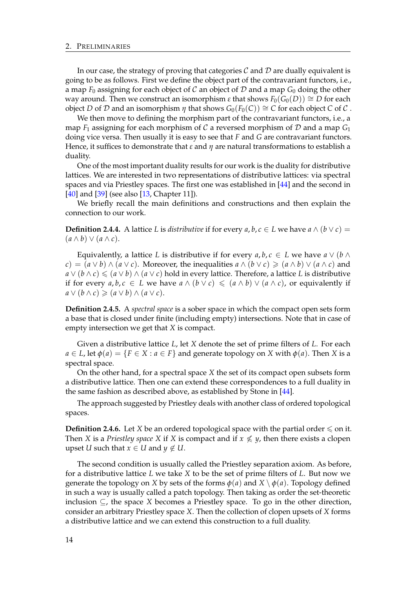In our case, the strategy of proving that categories  $\mathcal C$  and  $\mathcal D$  are dually equivalent is going to be as follows. First we define the object part of the contravariant functors, i.e., a map  $F_0$  assigning for each object of C an object of D and a map  $G_0$  doing the other way around. Then we construct an isomorphism *ε* that shows  $F_0(G_0(D)) \cong D$  for each object *D* of *D* and an isomorphism *η* that shows  $G_0(F_0(C)) \cong C$  for each object *C* of *C*.

We then move to defining the morphism part of the contravariant functors, i.e., a map  $F_1$  assigning for each morphism of C a reversed morphism of D and a map  $G_1$ doing vice versa. Then usually it is easy to see that *F* and *G* are contravariant functors. Hence, it suffices to demonstrate that *ε* and *η* are natural transformations to establish a duality.

One of the most important duality results for our work is the duality for distributive lattices. We are interested in two representations of distributive lattices: via spectral spaces and via Priestley spaces. The first one was established in [\[44\]](#page-90-8) and the second in [\[40\]](#page-90-0) and [\[39\]](#page-90-9) (see also [\[13,](#page-88-9) Chapter 11]).

We briefly recall the main definitions and constructions and then explain the connection to our work.

**Definition 2.4.4.** A lattice *L* is *distributive* if for every *a*, *b*, *c* ∈ *L* we have *a* ∧ (*b* ∨ *c*) =  $(a \wedge b) \vee (a \wedge c).$ 

Equivalently, a lattice *L* is distributive if for every  $a, b, c \in L$  we have  $a \vee (b \wedge c)$ *c*) =  $(a ∨ b) ∧ (a ∨ c)$ . Moreover, the inequalities  $a ∧ (b ∨ c) ≥ (a ∧ b) ∨ (a ∧ c)$  and *a* ∨ (*b* ∧ *c*) ≤ (*a* ∨ *b*) ∧ (*a* ∨ *c*) hold in every lattice. Therefore, a lattice *L* is distributive if for every  $a, b, c \in L$  we have  $a \wedge (b \vee c) \leq (a \wedge b) \vee (a \wedge c)$ , or equivalently if *a* ∨  $(b \land c)$  ≥  $(a \lor b) \land (a \lor c)$ .

**Definition 2.4.5.** A *spectral space* is a sober space in which the compact open sets form a base that is closed under finite (including empty) intersections. Note that in case of empty intersection we get that *X* is compact.

Given a distributive lattice *L*, let *X* denote the set of prime filters of *L*. For each  $a \in L$ , let  $\phi(a) = \{F \in X : a \in F\}$  and generate topology on *X* with  $\phi(a)$ . Then *X* is a spectral space.

On the other hand, for a spectral space *X* the set of its compact open subsets form a distributive lattice. Then one can extend these correspondences to a full duality in the same fashion as described above, as established by Stone in [\[44\]](#page-90-8).

The approach suggested by Priestley deals with another class of ordered topological spaces.

**Definition 2.4.6.** Let *X* be an ordered topological space with the partial order  $\leq$  on it. Then *X* is a *Priestley space X* if *X* is compact and if  $x \nleq y$ , then there exists a clopen upset *U* such that  $x \in U$  and  $y \notin U$ .

The second condition is usually called the Priestley separation axiom. As before, for a distributive lattice *L* we take *X* to be the set of prime filters of *L*. But now we generate the topology on *X* by sets of the forms  $\phi(a)$  and  $X \setminus \phi(a)$ . Topology defined in such a way is usually called a patch topology. Then taking as order the set-theoretic inclusion ⊆, the space *X* becomes a Priestley space. To go in the other direction, consider an arbitrary Priestley space *X*. Then the collection of clopen upsets of *X* forms a distributive lattice and we can extend this construction to a full duality.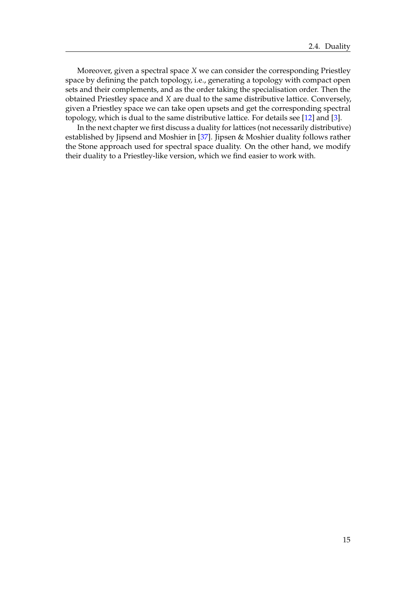Moreover, given a spectral space *X* we can consider the corresponding Priestley space by defining the patch topology, i.e., generating a topology with compact open sets and their complements, and as the order taking the specialisation order. Then the obtained Priestley space and *X* are dual to the same distributive lattice. Conversely, given a Priestley space we can take open upsets and get the corresponding spectral topology, which is dual to the same distributive lattice. For details see [\[12\]](#page-88-12) and [\[3\]](#page-88-13).

In the next chapter we first discuss a duality for lattices (not necessarily distributive) established by Jipsend and Moshier in [\[37\]](#page-90-2). Jipsen & Moshier duality follows rather the Stone approach used for spectral space duality. On the other hand, we modify their duality to a Priestley-like version, which we find easier to work with.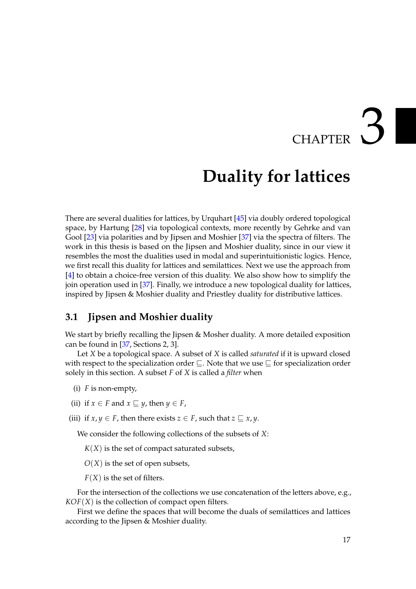# CHAPTER 3

## **Duality for lattices**

<span id="page-20-0"></span>There are several dualities for lattices, by Urquhart [\[45\]](#page-90-1) via doubly ordered topological space, by Hartung [\[28\]](#page-89-7) via topological contexts, more recently by Gehrke and van Gool [\[23\]](#page-89-8) via polarities and by Jipsen and Moshier [\[37\]](#page-90-2) via the spectra of filters. The work in this thesis is based on the Jipsen and Moshier duality, since in our view it resembles the most the dualities used in modal and superintuitionistic logics. Hence, we first recall this duality for lattices and semilattices. Next we use the approach from [\[4\]](#page-88-6) to obtain a choice-free version of this duality. We also show how to simplify the join operation used in [\[37\]](#page-90-2). Finally, we introduce a new topological duality for lattices, inspired by Jipsen & Moshier duality and Priestley duality for distributive lattices.

#### <span id="page-20-1"></span>**3.1 Jipsen and Moshier duality**

We start by briefly recalling the Jipsen & Mosher duality. A more detailed exposition can be found in [\[37,](#page-90-2) Sections 2, 3].

Let *X* be a topological space. A subset of *X* is called *saturated* if it is upward closed with respect to the specialization order  $\sqsubseteq$ . Note that we use  $\sqsubseteq$  for specialization order solely in this section. A subset *F* of *X* is called a *filter* when

- (i) *F* is non-empty,
- (ii) if  $x \in F$  and  $x \subseteq y$ , then  $y \in F$ ,
- (iii) if  $x, y \in F$ , then there exists  $z \in F$ , such that  $z \sqsubseteq x, y$ .

We consider the following collections of the subsets of *X*:

 $K(X)$  is the set of compact saturated subsets,

*O*(*X*) is the set of open subsets,

 $F(X)$  is the set of filters.

For the intersection of the collections we use concatenation of the letters above, e.g., *KOF*(*X*) is the collection of compact open filters.

First we define the spaces that will become the duals of semilattices and lattices according to the Jipsen & Moshier duality.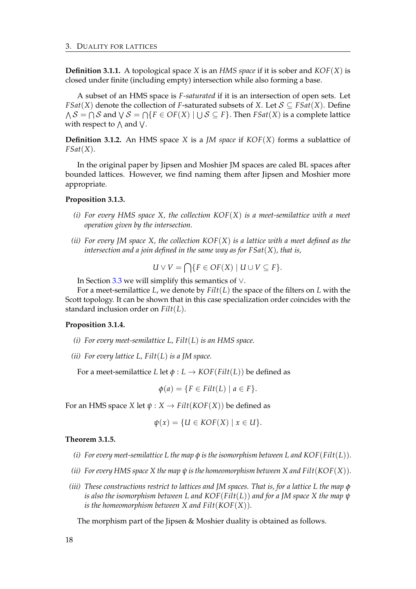**Definition 3.1.1.** A topological space *X* is an *HMS space* if it is sober and *KOF*(*X*) is closed under finite (including empty) intersection while also forming a base.

A subset of an HMS space is *F-saturated* if it is an intersection of open sets. Let *FSat*(*X*) denote the collection of *F*-saturated subsets of *X*. Let  $S \subseteq FSat(X)$ . Define  $\Lambda$   $\mathcal{S} = \bigcap \mathcal{S}$  and  $\bigvee \mathcal{S} = \bigcap \{F \in OF(X) \mid \bigcup \mathcal{S} \subseteq F\}.$  Then  $FSat(X)$  is a complete lattice with respect to  $\wedge$  and  $\vee$ .

**Definition 3.1.2.** An HMS space *X* is a *JM space* if *KOF*(*X*) forms a sublattice of *FSat*(*X*).

In the original paper by Jipsen and Moshier JM spaces are caled BL spaces after bounded lattices. However, we find naming them after Jipsen and Moshier more appropriate.

#### **Proposition 3.1.3.**

- *(i) For every HMS space X, the collection KOF*(*X*) *is a meet-semilattice with a meet operation given by the intersection.*
- *(ii) For every JM space X, the collection KOF*(*X*) *is a lattice with a meet defined as the intersection and a join defined in the same way as for FSat*(*X*)*, that is,*

$$
U \vee V = \bigcap \{ F \in OF(X) \mid U \cup V \subseteq F \}.
$$

In Section [3.3](#page-26-0) we will simplify this semantics of ∨.

For a meet-semilattice *L*, we denote by *Filt*(*L*) the space of the filters on *L* with the Scott topology. It can be shown that in this case specialization order coincides with the standard inclusion order on *Filt*(*L*).

#### **Proposition 3.1.4.**

- *(i) For every meet-semilattice L, Filt*(*L*) *is an HMS space.*
- *(ii) For every lattice L, Filt*(*L*) *is a JM space.*

For a meet-semilattice *L* let  $\phi$  : *L*  $\rightarrow$  *KOF*(*Filt*(*L*)) be defined as

$$
\phi(a) = \{ F \in Filt(L) \mid a \in F \}.
$$

For an HMS space *X* let  $\psi$  : *X*  $\rightarrow$  *Filt*(*KOF*(*X*)) be defined as

$$
\psi(x) = \{U \in KOF(X) \mid x \in U\}.
$$

#### <span id="page-21-0"></span>**Theorem 3.1.5.**

- *(i) For every meet-semilattice L the map φ is the isomorphism between L and KOF*(*Filt*(*L*))*.*
- *(ii) For every HMS space X the map ψ is the homeomorphism between X and Filt*(*KOF*(*X*))*.*
- *(iii) These constructions restrict to lattices and JM spaces. That is, for a lattice L the map φ is also the isomorphism between L and KOF*(*Filt*(*L*)) *and for a JM space X the map ψ is the homeomorphism between X and Filt*(*KOF*(*X*))*.*

The morphism part of the Jipsen & Moshier duality is obtained as follows.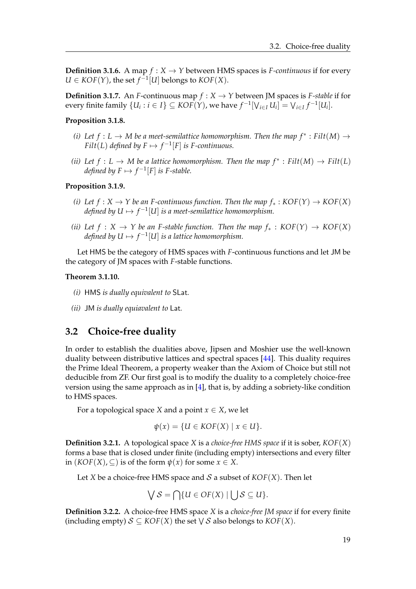**Definition 3.1.6.** A map  $f: X \to Y$  between HMS spaces is *F-continuous* if for every  $U \in KOF(Y)$ , the set  $f^{-1}[U]$  belongs to  $KOF(X)$ .

**Definition 3.1.7.** An *F*-continuous map  $f: X \to Y$  between JM spaces is *F-stable* if for every finite family  $\{U_i : i \in I\} \subseteq {\mathit{KOF}}(Y)$ , we have  $f^{-1}[V_{i \in I} U_i] = V_{i \in I} f^{-1}[U_i]$ .

#### **Proposition 3.1.8.**

- *(i)* Let  $f: L \to M$  be a meet-semilattice homomorphism. Then the map  $f^*: \text{Filt}(M) \to$ *Filt*(*L*) defined by  $F \mapsto f^{-1}[F]$  is *F*-continuous.
- *(ii)* Let  $f: L \to M$  be a lattice homomorphism. Then the map  $f^*: \text{Filt}(M) \to \text{Filt}(L)$ *defined by*  $F \mapsto f^{-1}[F]$  *is F-stable.*

#### **Proposition 3.1.9.**

- *(i)* Let  $f: X \to Y$  be an *F*-continuous function. Then the map  $f_*: KOF(Y) \to KOF(X)$ defined by  $U \mapsto f^{-1}[U]$  is a meet-semilattice homomorphism.
- *(ii)* Let  $f : X \to Y$  be an *F-stable function. Then the map*  $f_* : KOF(Y) \to KOF(X)$ defined by  $U \mapsto f^{-1}[U]$  is a lattice homomorphism.

Let HMS be the category of HMS spaces with *F*-continuous functions and let JM be the category of JM spaces with *F*-stable functions.

#### **Theorem 3.1.10.**

- *(i)* HMS *is dually equivalent to* SLat*.*
- *(ii)* JM *is dually equiavalent to* Lat*.*

#### <span id="page-22-0"></span>**3.2 Choice-free duality**

In order to establish the dualities above, Jipsen and Moshier use the well-known duality between distributive lattices and spectral spaces [\[44\]](#page-90-8). This duality requires the Prime Ideal Theorem, a property weaker than the Axiom of Choice but still not deducible from ZF. Our first goal is to modify the duality to a completely choice-free version using the same approach as in [\[4\]](#page-88-6), that is, by adding a sobriety-like condition to HMS spaces.

For a topological space *X* and a point  $x \in X$ , we let

$$
\psi(x) = \{U \in KOF(X) \mid x \in U\}.
$$

**Definition 3.2.1.** A topological space *X* is a *choice-free HMS space* if it is sober, *KOF*(*X*) forms a base that is closed under finite (including empty) intersections and every filter in  $(KOF(X), \subseteq)$  is of the form  $\psi(x)$  for some  $x \in X$ .

Let *X* be a choice-free HMS space and *S* a subset of  $KOF(X)$ . Then let

$$
\bigvee \mathcal{S} = \bigcap \{ U \in OF(X) \mid \bigcup \mathcal{S} \subseteq U \}.
$$

**Definition 3.2.2.** A choice-free HMS space *X* is a *choice-free JM space* if for every finite (including empty)  $S \subseteq KOF(X)$  the set  $\bigvee S$  also belongs to  $KOF(X)$ .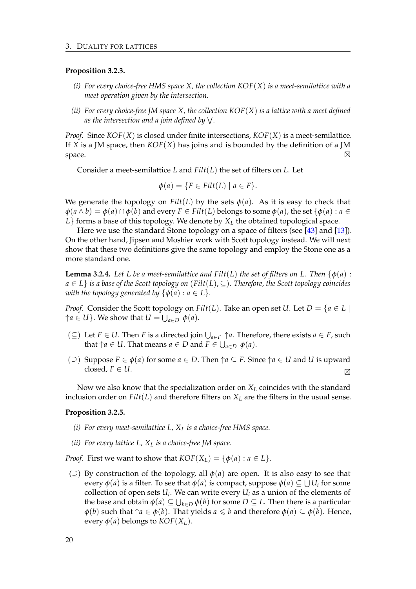#### **Proposition 3.2.3.**

- *(i) For every choice-free HMS space X, the collection KOF*(*X*) *is a meet-semilattice with a meet operation given by the intersection.*
- *(ii) For every choice-free JM space X, the collection KOF*(*X*) *is a lattice with a meet defined as the intersection and a join defined by* W *.*

*Proof.* Since *KOF*(*X*) is closed under finite intersections, *KOF*(*X*) is a meet-semilattice. If *X* is a JM space, then *KOF*(*X*) has joins and is bounded by the definition of a JM space.  $\Box$ ⊠

Consider a meet-semilattice *L* and *Filt*(*L*) the set of filters on *L*. Let

$$
\phi(a) = \{ F \in Filt(L) \mid a \in F \}.
$$

We generate the topology on  $Filt(L)$  by the sets  $\phi(a)$ . As it is easy to check that  $\varphi$ (*a*  $\wedge$  *b*) =  $\varphi$ (*a*)  $\cap$   $\varphi$ (*b*) and every *F* ∈ *Filt*(*L*) belongs to some  $\varphi$ (*a*), the set { $\varphi$ (*a*) : *a* ∈  $L$ } forms a base of this topology. We denote by  $X_L$  the obtained topological space.

Here we use the standard Stone topology on a space of filters (see [\[43\]](#page-90-10) and [\[13\]](#page-88-9)). On the other hand, Jipsen and Moshier work with Scott topology instead. We will next show that these two definitions give the same topology and employ the Stone one as a more standard one.

**Lemma 3.2.4.** Let L be a meet-semilattice and  $Filt(L)$  the set of filters on L. Then  $\{\phi(a):$ *a* ∈ *L*} *is a base of the Scott topology on* (*Filt*(*L*), ⊆)*. Therefore, the Scott topology coincides with the topology generated by*  $\{\phi(a) : a \in L\}$ *.* 

*Proof.* Consider the Scott topology on *Filt*(*L*). Take an open set *U*. Let  $D = \{a \in L \mid$  $\uparrow a \in U$ }. We show that  $U = \bigcup_{a \in D} \phi(a)$ .

- (⊆) Let *F* ∈ *U*. Then *F* is a directed join  $\bigcup_{a \in F} \uparrow a$ . Therefore, there exists *a* ∈ *F*, such that  $\uparrow$ *a*  $\in$  *U*. That means  $a \in D$  and  $F \in \bigcup_{a \in D} \phi(a)$ .
- (⊇) Suppose *F* ∈ *φ*(*a*) for some *a* ∈ *D*. Then ↑*a* ⊆ *F*. Since ↑*a* ∈ *U* and *U* is upward closed, *F* ∈ *U*. -

Now we also know that the specialization order on  $X_L$  coincides with the standard inclusion order on  $Filt(L)$  and therefore filters on  $X_L$  are the filters in the usual sense.

#### **Proposition 3.2.5.**

- *(i) For every meet-semilattice L, X<sup>L</sup> is a choice-free HMS space.*
- *(ii) For every lattice L, X<sup>L</sup> is a choice-free JM space.*

*Proof.* First we want to show that  $KOF(X_L) = \{\phi(a) : a \in L\}.$ 

( $\supseteq$ ) By construction of the topology, all *φ*(*a*) are open. It is also easy to see that every  $\phi(a)$  is a filter. To see that  $\phi(a)$  is compact, suppose  $\phi(a) \subseteq \bigcup U_i$  for some collection of open sets  $U_i$ . We can write every  $U_i$  as a union of the elements of the base and obtain  $\phi(a) \subseteq \bigcup_{b \in D} \phi(b)$  for some  $D \subseteq L.$  Then there is a particular *φ*(*b*) such that  $↑a ∈ φ(b)$ . That yields *a* ≤ *b* and therefore *φ*(*a*) ⊆ *φ*(*b*). Hence, every  $\phi$ (*a*) belongs to  $KOF(X_L)$ .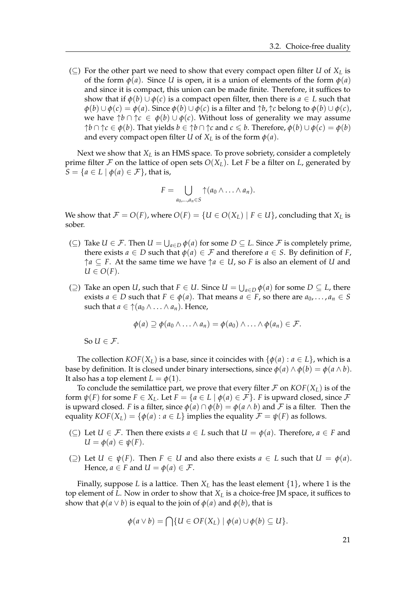(⊆) For the other part we need to show that every compact open filter *U* of  $X_L$  is of the form  $\phi(a)$ . Since *U* is open, it is a union of elements of the form  $\phi(a)$ and since it is compact, this union can be made finite. Therefore, it suffices to show that if  $\phi(b) \cup \phi(c)$  is a compact open filter, then there is  $a \in L$  such that  $\phi(b) \cup \phi(c) = \phi(a)$ . Since  $\phi(b) \cup \phi(c)$  is a filter and  $\uparrow b$ ,  $\uparrow c$  belong to  $\phi(b) \cup \phi(c)$ , we have  $\uparrow b \cap \uparrow c \in \phi(b) \cup \phi(c)$ . Without loss of generality we may assume  $\uparrow$ *b* ∩  $\uparrow$ *c* ∈ *φ*(*b*). That yields *b* ∈  $\uparrow$ *b* ∩  $\uparrow$ *c* and *c* ≤ *b*. Therefore, *φ*(*b*) ∪ *φ*(*c*) = *φ*(*b*) and every compact open filter *U* of  $X_L$  is of the form  $\phi(a)$ .

Next we show that *X<sup>L</sup>* is an HMS space. To prove sobriety, consider a completely prime filter  $\mathcal F$  on the lattice of open sets  $O(X_L)$ . Let  $F$  be a filter on  $L$ , generated by  $S = \{a \in L \mid \phi(a) \in \mathcal{F}\}\$ , that is,

$$
F=\bigcup_{a_0,\ldots,a_n\in S}\uparrow(a_0\wedge\ldots\wedge a_n).
$$

We show that  $\mathcal{F} = O(F)$ , where  $O(F) = \{U \in O(X_L) \mid F \in U\}$ , concluding that  $X_L$  is sober.

- (⊆) Take *U* ∈ *F*. Then *U* =  $\bigcup_{a \in D} \phi(a)$  for some *D* ⊆ *L*. Since *F* is completely prime, there exists  $a \in D$  such that  $\phi(a) \in \mathcal{F}$  and therefore  $a \in S$ . By definition of *F*,  $\uparrow a \subseteq F$ . At the same time we have  $\uparrow a \in U$ , so *F* is also an element of *U* and  $U \in O(F)$ .
- (⊇) Take an open *U*, such that *F* ∈ *U*. Since *U* =  $\bigcup_{a \in D} \phi(a)$  for some *D* ⊆ *L*, there exists  $a \in D$  such that  $F \in \phi(a)$ . That means  $a \in F$ , so there are  $a_0, \ldots, a_n \in S$ such that  $a \in \mathcal{A}(a_0 \wedge \ldots \wedge a_n)$ . Hence,

$$
\phi(a) \supseteq \phi(a_0 \wedge \ldots \wedge a_n) = \phi(a_0) \wedge \ldots \wedge \phi(a_n) \in \mathcal{F}.
$$

So  $U \in \mathcal{F}$ .

The collection  $KOF(X_L)$  is a base, since it coincides with  $\{\phi(a) : a \in L\}$ , which is a base by definition. It is closed under binary intersections, since  $\phi(a) \wedge \phi(b) = \phi(a \wedge b)$ . It also has a top element  $L = \phi(1)$ .

To conclude the semilattice part, we prove that every filter  $\mathcal F$  on  $KOF(X_L)$  is of the form  $\psi(F)$  for some  $F \in X_L$ . Let  $F = \{a \in L \mid \phi(a) \in \mathcal{F}\}\$ . *F* is upward closed, since  $\mathcal F$ is upward closed. *F* is a filter, since  $\phi(a) \cap \phi(b) = \phi(a \land b)$  and *F* is a filter. Then the equality  $KOF(X_L) = {\phi(a) : a \in L}$  implies the equality  $\mathcal{F} = \psi(F)$  as follows.

- $(\subseteq)$  Let *U* ∈ *F*. Then there exists *a* ∈ *L* such that *U* =  $\phi$ (*a*). Therefore, *a* ∈ *F* and  $U = \phi(a) \in \psi(F)$ .
- (⊇) Let *U* ∈  $\psi$ (*F*). Then *F* ∈ *U* and also there exists *a* ∈ *L* such that *U* =  $\phi$ (*a*). Hence,  $a \in F$  and  $U = \phi(a) \in \mathcal{F}$ .

Finally, suppose *L* is a lattice. Then  $X_L$  has the least element  $\{1\}$ , where 1 is the top element of  $L$ . Now in order to show that  $X_L$  is a choice-free JM space, it suffices to show that  $\phi$ ( $a \vee b$ ) is equal to the join of  $\phi$ ( $a$ ) and  $\phi$ ( $b$ ), that is

$$
\phi(a \vee b) = \bigcap \{ U \in OF(X_L) \mid \phi(a) \cup \phi(b) \subseteq U \}.
$$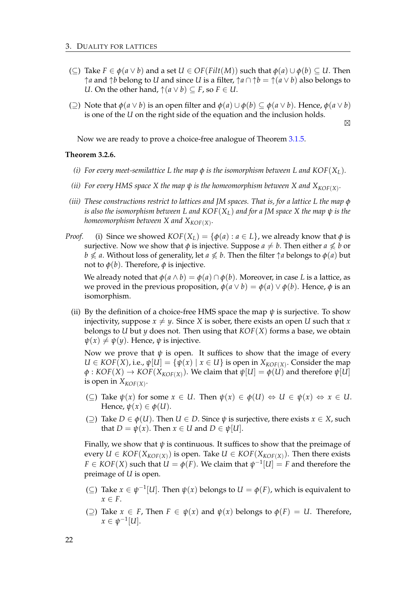- (⊆) Take *F* ∈ *φ*(*a* ∨ *b*) and a set *U* ∈ *OF*(*Filt*(*M*)) such that *φ*(*a*) ∪ *φ*(*b*) ⊆ *U*. Then ↑*a* and ↑*b* belong to *U* and since *U* is a filter, ↑*a* ∩ ↑*b* = ↑(*a* ∨ *b*) also belongs to *U*. On the other hand,  $↑$  ( $a ∨ b$ ) ⊆ *F*, so *F* ∈ *U*.
- (2) Note that  $\phi$ ( $a \lor b$ ) is an open filter and  $\phi$ ( $a) \cup \phi$ ( $b) \subseteq \phi$ ( $a \lor b$ ). Hence,  $\phi$ ( $a \lor b$ ) is one of the *U* on the right side of the equation and the inclusion holds.

 $\boxtimes$ 

Now we are ready to prove a choice-free analogue of Theorem [3.1.5.](#page-21-0)

#### **Theorem 3.2.6.**

- *(i)* For every meet-semilattice L the map  $\phi$  is the isomorphism between L and  $KOF(X_L)$ .
- (*ii*) For every HMS space X the map  $\psi$  is the homeomorphism between X and  $X_{KOF(X)}.$
- *(iii) These constructions restrict to lattices and JM spaces. That is, for a lattice L the map φ is also the isomorphism between L and KOF*(*XL*) *and for a JM space X the map ψ is the homeomorphism between X and XKOF*(*X*) *.*
- *Proof.* (i) Since we showed  $KOF(X_L) = {\phi(a) : a \in L}$ , we already know that  $\phi$  is surjective. Now we show that  $\phi$  is injective. Suppose  $a \neq b$ . Then either  $a \nleq b$  or *b*  $\not\le$  *a*. Without loss of generality, let  $a \nleq b$ . Then the filter  $\uparrow a$  belongs to  $\phi(a)$  but not to  $\phi(b)$ . Therefore,  $\phi$  is injective.

We already noted that  $\phi(a \wedge b) = \phi(a) \cap \phi(b)$ . Moreover, in case *L* is a lattice, as we proved in the previous proposition,  $\phi(a \lor b) = \phi(a) \lor \phi(b)$ . Hence,  $\phi$  is an isomorphism.

(ii) By the definition of a choice-free HMS space the map  $\psi$  is surjective. To show injectivity, suppose  $x \neq y$ . Since *X* is sober, there exists an open *U* such that *x* belongs to *U* but *y* does not. Then using that *KOF*(*X*) forms a base, we obtain  $\psi(x) \neq \psi(y)$ . Hence,  $\psi$  is injective.

Now we prove that  $\psi$  is open. It suffices to show that the image of every  $U \in KOF(X)$ , i.e.,  $\psi[U] = {\psi(x) | x \in U}$  is open in  $X_{KOF(X)}$ . Consider the map  $\phi: KOF(X) \rightarrow KOF(X_{KOF(X)})$ . We claim that  $\psi[U] = \phi(U)$  and therefore  $\psi[U]$ is open in  $X_{KOF(X)}$ .

- ( $\subseteq$ ) Take  $\psi(x)$  for some  $x \in U$ . Then  $\psi(x) \in \phi(U) \Leftrightarrow U \in \psi(x) \Leftrightarrow x \in U$ . Hence,  $\psi(x) \in \phi(U)$ .
- ( $\supset$ ) Take  $D \in \phi(U)$ . Then  $U \in D$ . Since  $\psi$  is surjective, there exists  $x \in X$ , such that  $D = \psi(x)$ . Then  $x \in U$  and  $D \in \psi[U]$ .

Finally, we show that  $\psi$  is continuous. It suffices to show that the preimage of  $P(X|X| \in KOF(X_{KOF(X)})$  is open. Take  $U \in KOF(X_{KOF(X)})$ . Then there exists  $F \in {\mathcal K}$ *OF*(*X*) such that  $U = \phi(F)$ . We claim that  $\psi^{-1}[U] = F$  and therefore the preimage of *U* is open.

- (⊆) Take *x* ∈  $\psi^{-1}[U]$ . Then  $\psi(x)$  belongs to *U* =  $\phi(F)$ , which is equivalent to  $x \in F$ .
- (⊇) Take  $x \in F$ , Then  $F \in \psi(x)$  and  $\psi(x)$  belongs to  $\phi(F) = U$ . Therefore,  $x \in \psi^{-1}[U].$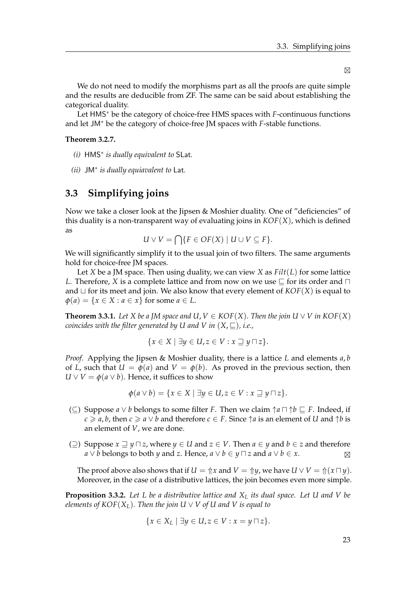$\boxtimes$ 

We do not need to modify the morphisms part as all the proofs are quite simple and the results are deducible from ZF. The same can be said about establishing the categorical duality.

Let HMS<sup>∗</sup> be the category of choice-free HMS spaces with *F*-continuous functions and let JM<sup>∗</sup> be the category of choice-free JM spaces with *F*-stable functions.

#### **Theorem 3.2.7.**

- *(i)* HMS<sup>∗</sup> *is dually equivalent to* SLat*.*
- *(ii)* JM<sup>∗</sup> *is dually equiavalent to* Lat*.*

#### <span id="page-26-0"></span>**3.3 Simplifying joins**

Now we take a closer look at the Jipsen & Moshier duality. One of "deficiencies" of this duality is a non-transparent way of evaluating joins in  $KOF(X)$ , which is defined as

$$
U \vee V = \bigcap \{ F \in OF(X) \mid U \cup V \subseteq F \}.
$$

We will significantly simplify it to the usual join of two filters. The same arguments hold for choice-free JM spaces.

Let *X* be a JM space. Then using duality, we can view *X* as *Filt*(*L*) for some lattice *L*. Therefore, *X* is a complete lattice and from now on we use  $\sqsubset$  for its order and  $\sqcap$ and  $\sqcup$  for its meet and join. We also know that every element of  $KOF(X)$  is equal to  $\phi$ (*a*) = {*x* ∈ *X* : *a* ∈ *x*} for some *a* ∈ *L*.

**Theorem 3.3.1.** Let *X* be a JM space and  $U, V \in KOF(X)$ . Then the join  $U \vee V$  in  $KOF(X)$ *coincides with the filter generated by U and V in*  $(X, \square)$ *, i.e.,* 

$$
\{x \in X \mid \exists y \in U, z \in V : x \sqsupseteq y \sqcap z\}.
$$

*Proof.* Applying the Jipsen & Moshier duality, there is a lattice *L* and elements *a*, *b* of *L*, such that  $U = \phi(a)$  and  $V = \phi(b)$ . As proved in the previous section, then  $U \vee V = \phi(a \vee b)$ . Hence, it suffices to show

$$
\phi(a \vee b) = \{x \in X \mid \exists y \in U, z \in V : x \sqsupseteq y \sqcap z\}.
$$

- (⊆) Suppose *a* ∨ *b* belongs to some filter *F*. Then we claim  $\uparrow$ *a*  $\sqcap$   $\uparrow$ *b*  $\sqsubseteq$  *F*. Indeed, if  $c \ge a$ , *b*, then  $c \ge a \vee b$  and therefore  $c \in F$ . Since  $\uparrow a$  is an element of *U* and  $\uparrow b$  is an element of *V*, we are done.
- (2) Suppose  $x \supseteq y \supseteq z$ , where  $y \in U$  and  $z \in V$ . Then  $a \in y$  and  $b \in z$  and therefore *a* ∨ *b* belongs to both *y* and *z*. Hence, *a* ∨ *b* ∈ *y*  $\sqcap$  *z* and *a* ∨ *b* ∈ *x*.  $\boxtimes$

The proof above also shows that if  $U = \Uparrow x$  and  $V = \Uparrow y$ , we have  $U \vee V = \Uparrow (x \sqcap y)$ . Moreover, in the case of a distributive lattices, the join becomes even more simple.

<span id="page-26-1"></span>**Proposition 3.3.2.** *Let L be a distributive lattice and X<sup>L</sup> its dual space. Let U and V be elements of KOF*( $X_L$ ). Then the join U  $\vee$  V of U and V is equal to

$$
\{x\in X_L\mid \exists y\in U, z\in V: x=y\sqcap z\}.
$$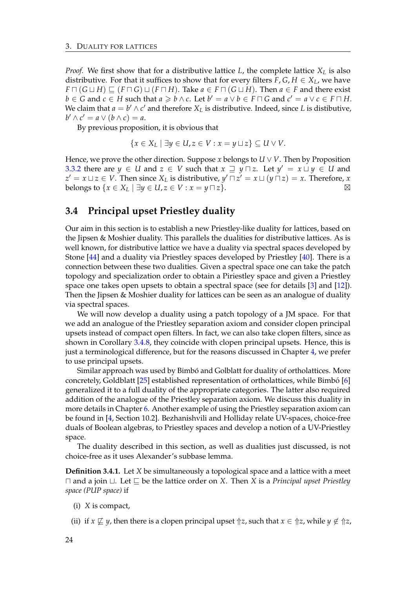*Proof.* We first show that for a distributive lattice *L*, the complete lattice *X<sup>L</sup>* is also distributive. For that it suffices to show that for every filters  $F, G, H \in X_L$ , we have *F*  $\Box$  (*G*  $\Box$  *H*)  $\Box$  (*F*  $\Box$  *G*)  $\Box$  (*F*  $\Box$  *H*). Take *a* ∈ *F*  $\Box$  (*G*  $\Box$  *H*). Then *a* ∈ *F* and there exist  $b \in G$  and  $c \in H$  such that  $a \ge b \wedge c$ . Let  $b' = a \vee b \in F \cap G$  and  $c' = a \vee c \in F \cap H$ . We claim that  $a = b' \wedge c'$  and therefore  $X_L$  is distributive. Indeed, since *L* is distibutive,  $b' \wedge c' = a \vee (b \wedge c) = a$ .

By previous proposition, it is obvious that

$$
\{x\in X_L\mid \exists y\in U, z\in V: x=y\sqcup z\}\subseteq U\vee V.
$$

Hence, we prove the other direction. Suppose  $x$  belongs to  $U \vee V$ . Then by Proposition [3.3.2](#page-26-1) there are  $y \in U$  and  $z \in V$  such that  $x \supseteq y \sqcap z$ . Let  $y' = x \sqcup y \in U$  and  $z' = x \sqcup z \in V$ . Then since  $X_L$  is distributive,  $y' \sqcap z' = x \sqcup (y \sqcap z) = x$ . Therefore, *x* belongs to  $\{x \in X_L \mid \exists y \in U, z \in V : x = y \sqcap z\}.$ 

#### <span id="page-27-0"></span>**3.4 Principal upset Priestley duality**

Our aim in this section is to establish a new Priestley-like duality for lattices, based on the Jipsen & Moshier duality. This parallels the dualities for distributive lattices. As is well known, for distributive lattice we have a duality via spectral spaces developed by Stone [\[44\]](#page-90-8) and a duality via Priestley spaces developed by Priestley [\[40\]](#page-90-0). There is a connection between these two dualities. Given a spectral space one can take the patch topology and specialization order to obtain a Piriestley space and given a Priestley space one takes open upsets to obtain a spectral space (see for details [\[3\]](#page-88-13) and [\[12\]](#page-88-12)). Then the Jipsen & Moshier duality for lattices can be seen as an analogue of duality via spectral spaces.

We will now develop a duality using a patch topology of a JM space. For that we add an analogue of the Priestley separation axiom and consider clopen principal upsets instead of compact open filters. In fact, we can also take clopen filters, since as shown in Corollary [3.4.8,](#page-30-0) they coincide with clopen principal upsets. Hence, this is just a terminological difference, but for the reasons discussed in Chapter [4,](#page-34-0) we prefer to use principal upsets.

Similar approach was used by Bimbó and Golblatt for duality of ortholattices. More concretely, Goldblatt  $[25]$  established representation of ortholattices, while Bimbó  $[6]$  $[6]$ generalized it to a full duality of the appropriate categories. The latter also required addition of the analogue of the Priestley separation axiom. We discuss this duality in more details in Chapter [6.](#page-60-0) Another example of using the Priestley separation axiom can be found in [\[4,](#page-88-6) Section 10.2]. Bezhanishvili and Holliday relate UV-spaces, choice-free duals of Boolean algebras, to Priestley spaces and develop a notion of a UV-Priestley space.

The duality described in this section, as well as dualities just discussed, is not choice-free as it uses Alexander's subbase lemma.

**Definition 3.4.1.** Let *X* be simultaneously a topological space and a lattice with a meet  $\Box$  and a join  $\Box$ . Let  $\Box$  be the lattice order on *X*. Then *X* is a *Principal upset Priestley space (PUP space)* if

- (i) *X* is compact,
- (ii) if  $x \not\sqsubseteq y$ , then there is a clopen principal upset  $\Uparrow z$ , such that  $x \in \Uparrow z$ , while  $y \notin \Uparrow z$ ,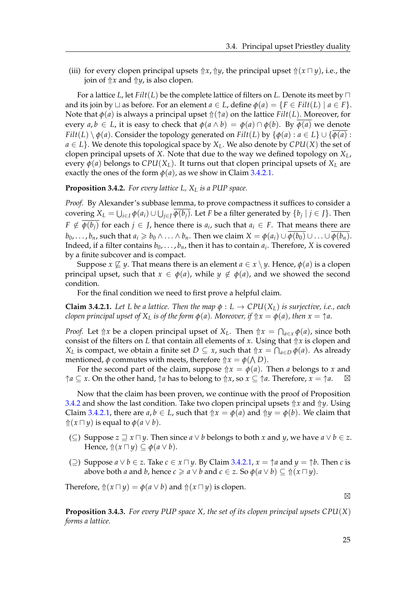(iii) for every clopen principal upsets  $\Uparrow x$ ,  $\Uparrow y$ , the principal upset  $\Uparrow(x \sqcap y)$ , i.e., the join of  $\Uparrow x$  and  $\Uparrow y$ , is also clopen.

For a lattice *L*, let  $Filt(L)$  be the complete lattice of filters on *L*. Denote its meet by  $\Box$ and its join by  $\sqcup$  as before. For an element  $a \in L$ , define  $\phi(a) = \{F \in Filt(L) \mid a \in F\}$ . Note that  $\phi$ (*a*) is always a principal upset  $\Uparrow(\uparrow a)$  on the lattice *Filt*(*L*). Moreover, for every  $a, b \in L$ , it is easy to check that  $\phi(a \wedge b) = \phi(a) \cap \phi(b)$ . By  $\phi(a)$  we denote *Filt*(*L*) \ $\phi$ (*a*). Consider the topology generated on *Filt*(*L*) by { $\phi$ (*a*) : *a* ∈ *L*} ∪ { $\overline{\phi$ (*a*) :  $a \in L$ . We denote this topological space by  $X_L$ . We also denote by  $CPU(X)$  the set of clopen principal upsets of *X*. Note that due to the way we defined topology on *XL*, every  $\phi$ (*a*) belongs to *CPU*( $X_L$ ). It turns out that clopen principal upsets of  $X_L$  are exactly the ones of the form  $\phi(a)$ , as we show in Claim [3.4.2.1.](#page-28-0)

<span id="page-28-1"></span>**Proposition 3.4.2.** *For every lattice L, X<sup>L</sup> is a PUP space.*

*Proof.* By Alexander's subbase lemma, to prove compactness it suffices to consider a  $\text{covering } X_L = \bigcup_{i \in I} \phi(a_i) \cup \bigcup_{j \in J} \phi(b_j).$  Let *F* be a filter generated by  $\{b_j \mid j \in J\}.$  Then *F*  $\notin$   $\phi(b_j)$  for each *j* ∈ *J*, hence there is  $a_i$ , such that  $a_i \in F$ . That means there are *b*<sub>0</sub>, ..., *b*<sub>*n*</sub>, such that  $a_i \geq b_0 \wedge ... \wedge b_n$ . Then we claim  $X = \phi(a_i) \cup \phi(b_0) \cup ... \cup \phi(b_n)$ . Indeed, if a filter contains  $b_0, \ldots, b_n$ , then it has to contain  $a_i$ . Therefore, X is covered by a finite subcover and is compact.

Suppose  $x \not\sqsubseteq y$ . That means there is an element  $a \in x \setminus y$ . Hence,  $\phi(a)$  is a clopen principal upset, such that  $x \in \phi(a)$ , while  $y \notin \phi(a)$ , and we showed the second condition.

For the final condition we need to first prove a helpful claim.

<span id="page-28-0"></span>**Claim 3.4.2.1.** Let *L* be a lattice. Then the map  $\phi : L \to CPU(X_L)$  is surjective, i.e., each *clopen principal upset of*  $X_L$  *is of the form*  $\phi(a)$ *. Moreover, if*  $\Uparrow x = \phi(a)$ *, then*  $x = \Uparrow a$ *.* 

*Proof.* Let  $\Uparrow x$  be a clopen principal upset of  $X_L$ . Then  $\Uparrow x = \bigcap_{a \in x} \phi(a)$ , since both consist of the filters on *L* that contain all elements of *x*. Using that  $\Uparrow x$  is clopen and *X*<sub>*L*</sub> is compact, we obtain a finite set  $D \subseteq x$ , such that  $\Uparrow x = \bigcap_{a \in D} \phi(a)$ . As already mentioned,  $\phi$  commutes with meets, therefore  $\Uparrow x = \phi(\bigwedge D)$ .

For the second part of the claim, suppose  $\Uparrow x = \phi(a)$ . Then *a* belongs to *x* and  $\uparrow a \subseteq x$ . On the other hand,  $\uparrow a$  has to belong to  $\uparrow x$ , so  $x \subseteq \uparrow a$ . Therefore,  $x = \uparrow a$ . ⊠

Now that the claim has been proven, we continue with the proof of Proposition [3.4.2](#page-28-1) and show the last condition. Take two clopen principal upsets ⇑*x* and ⇑*y*. Using Claim [3.4.2.1,](#page-28-0) there are  $a, b \in L$ , such that  $\hat{\uparrow} x = \phi(a)$  and  $\hat{\uparrow} y = \phi(b)$ . We claim that  $\Uparrow(x \sqcap y)$  is equal to  $\phi(a \lor b)$ .

- (⊆) Suppose  $z \sqsupseteq x \sqcap y$ . Then since  $a \lor b$  belongs to both  $x$  and  $y$ , we have  $a \lor b \in z$ . Hence,  $\Uparrow(x \sqcap y) \subseteq \phi(a \lor b)$ .
- (⊇) Suppose  $a \lor b \in z$ . Take  $c \in x \sqcap y$ . By Claim [3.4.2.1,](#page-28-0)  $x = \uparrow a$  and  $y = \uparrow b$ . Then *c* is above both *a* and *b*, hence  $c \ge a \vee b$  and  $c \in \mathbb{Z}$ . So  $\phi(a \vee b) \subseteq \Uparrow(x \sqcap y)$ .

Therefore,  $\Uparrow(x \sqcap y) = \phi(a \lor b)$  and  $\Uparrow(x \sqcap y)$  is clopen.

 $\boxtimes$ 

**Proposition 3.4.3.** *For every PUP space X, the set of its clopen principal upsets CPU*(*X*) *forms a lattice.*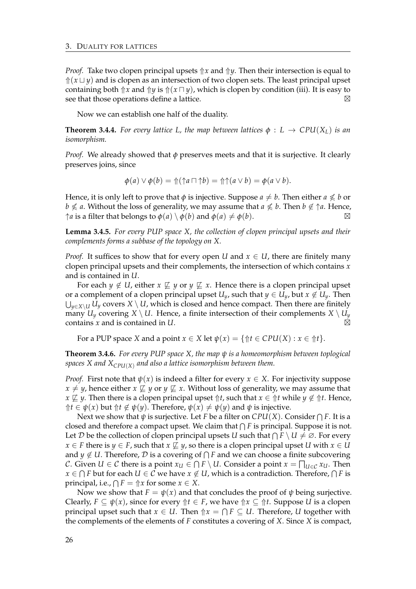*Proof.* Take two clopen principal upsets  $\Uparrow x$  and  $\Uparrow y$ . Then their intersection is equal to  $\frac{\hat{\pi}(x \cup y)}{\alpha}$  and is clopen as an intersection of two clopen sets. The least principal upset containing both  $\Uparrow x$  and  $\Uparrow y$  is  $\Uparrow(x \sqcap y)$ , which is clopen by condition (iii). It is easy to see that those operations define a lattice.  $\boxtimes$ 

Now we can establish one half of the duality.

**Theorem 3.4.4.** For every lattice L, the map between lattices  $\phi : L \to CPU(X_L)$  is an *isomorphism.*

*Proof.* We already showed that *φ* preserves meets and that it is surjective. It clearly preserves joins, since

$$
\phi(a)\vee\phi(b)=\Uparrow(\uparrow a\sqcap\uparrow b)=\Uparrow\uparrow(a\vee b)=\phi(a\vee b).
$$

Hence, it is only left to prove that  $\phi$  is injective. Suppose  $a \neq b$ . Then either  $a \nleq b$  or *b*  $\not\le$  *a*. Without the loss of generality, we may assume that  $a \not\le b$ . Then  $b \not\in \uparrow a$ . Hence,  $\uparrow$ *a* is a filter that belongs to  $\phi$ (*a*)  $\setminus$   $\phi$ (*b*) and  $\phi$ (*a*)  $\neq$   $\phi$ (*b*).  $\Box$ 

<span id="page-29-0"></span>**Lemma 3.4.5.** *For every PUP space X, the collection of clopen principal upsets and their complements forms a subbase of the topology on X.*

*Proof.* It suffices to show that for every open *U* and  $x \in U$ , there are finitely many clopen principal upsets and their complements, the intersection of which contains *x* and is contained in *U*.

For each *y*  $\notin U$ , either *x*  $\not\sqsubseteq$  *y* or *y*  $\not\sqsubseteq$  *x*. Hence there is a clopen principal upset or a complement of a clopen principal upset  $U_y$ , such that  $y \in U_y$ , but  $x \notin U_y$ . Then S *<sup>y</sup>*∈*X*\*<sup>U</sup> U<sup>y</sup>* covers *X* \ *U*, which is closed and hence compact. Then there are finitely many  $U_y$  covering  $X \setminus U$ . Hence, a finite intersection of their complements  $X \setminus U_y$ contains *x* and is contained in *U*.  $\boxtimes$ 

For a PUP space *X* and a point  $x \in X$  let  $\psi(x) = \{ \Uparrow t \in CPU(X) : x \in \Uparrow t \}.$ 

**Theorem 3.4.6.** *For every PUP space X, the map ψ is a homeomorphism between toplogical spaces X and XCPU*(*X*) *and also a lattice isomorphism between them.*

*Proof.* First note that  $\psi(x)$  is indeed a filter for every  $x \in X$ . For injectivity suppose  $x \neq y$ , hence either  $x \not\sqsubseteq y$  or  $y \not\sqsubseteq x$ . Without loss of generality, we may assume that *x*  $\not\sqsubseteq$  *y*. Then there is a clopen principal upset  $\Uparrow t$ , such that  $x \in \Uparrow t$  while  $y \notin \Uparrow t$ . Hence,  $↑$ *t* ∈ *ψ*(*x*) but  $↑$ *t* ∉ *ψ*(*y*). Therefore, *ψ*(*x*) ≠ *ψ*(*y*) and *ψ* is injective.

Next we show that  $\psi$  is surjective. Let  $F$  be a filter on  $CPU(X).$  Consider  $\bigcap F.$  It is a closed and therefore a compact upset. We claim that  $\bigcap F$  is principal. Suppose it is not. Let  $D$  be the collection of clopen principal upsets *U* such that  $\bigcap F \setminus U \neq \emptyset$ . For every *x* ∈ *F* there is *y* ∈ *F*, such that *x*  $\not\sqsubseteq$  *y*, so there is a clopen principal upset *U* with *x* ∈ *U* and  $y \not\in U$ . Therefore*,*  $\mathcal D$  is a covering of  $\bigcap F$  and we can choose a finite subcovering C. Given  $U \in \mathcal{C}$  there is a point  $x_U \in \bigcap F \setminus U$ . Consider a point  $x = \bigcap_{U \in \mathcal{C}} x_U$ . Then  $x \in \bigcap F$  but for each  $U \in \mathcal{C}$  we have  $x \not\in U$ , which is a contradiction. Therefore,  $\bigcap F$  is principal, i.e.,  $\bigcap F = \Uparrow x$  for some  $x \in X$ .

Now we show that  $F = \psi(x)$  and that concludes the proof of  $\psi$  being surjective. Clearly,  $F \subseteq \psi(x)$ , since for every  $\Uparrow t \in F$ , we have  $\Uparrow x \subseteq \Uparrow t$ . Suppose *U* is a clopen principal upset such that  $x \in U$ . Then  $\Uparrow x = \bigcap F \subseteq U$ . Therefore, U together with the complements of the elements of *F* constitutes a covering of *X*. Since *X* is compact,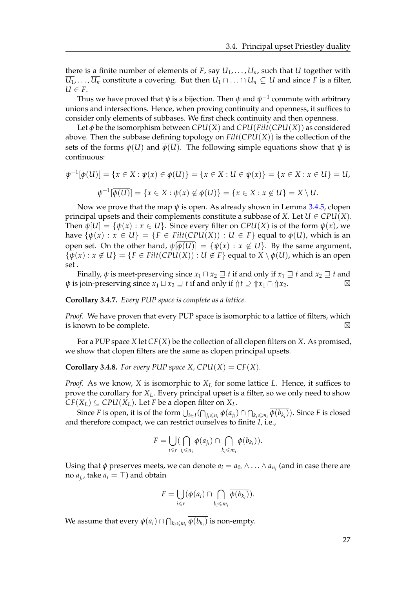there is a finite number of elements of  $F$ , say  $U_1, \ldots, U_n$ , such that  $U$  together with *U*<sub>1</sub>, . . . , *U*<sub>*n*</sub> constitute a covering. But then *U*<sub>1</sub> ∩ . . . ∩ *U*<sub>*n*</sub> ⊆ *U* and since *F* is a filter,  $U \in F$ .

Thus we have proved that  $\psi$  is a bijection. Then  $\psi$  and  $\psi^{-1}$  commute with arbitrary unions and intersections. Hence, when proving continuity and openness, it suffices to consider only elements of subbases. We first check continuity and then openness.

Let  $\phi$  be the isomorphism between *CPU*(*X*) and *CPU*(*Filt*(*CPU*(*X*)) as considered above. Then the subbase defining topology on *Filt*(*CPU*(*X*)) is the collection of the sets of the forms  $\phi(U)$  and  $\phi(U)$ . The following simple equations show that  $\psi$  is continuous:

$$
\psi^{-1}[\phi(U)] = \{x \in X : \psi(x) \in \phi(U)\} = \{x \in X : U \in \psi(x)\} = \{x \in X : x \in U\} = U,
$$
  

$$
\psi^{-1}[\overline{\phi(U)}] = \{x \in X : \psi(x) \notin \phi(U)\} = \{x \in X : x \notin U\} = X \setminus U.
$$

Now we prove that the map *ψ* is open. As already shown in Lemma [3.4.5,](#page-29-0) clopen principal upsets and their complements constitute a subbase of *X*. Let  $U \in CPU(X)$ . Then  $\psi[U] = {\psi(x) : x \in U}$ . Since every filter on *CPU*(*X*) is of the form  $\psi(x)$ , we have  $\{\psi(x): x \in U\} = \{F \in \text{Filt}(\text{CPU}(X)): U \in F\}$  equal to  $\phi(U)$ , which is an open set. On the other hand,  $\psi[\phi(U)] = {\psi(x) : x \notin U}$ . By the same argument,  $\{\psi(x): x \notin U\} = \{F \in \text{Filt}(\text{CPU}(X)): U \notin F\}$  equal to  $X \setminus \phi(U)$ , which is an open set .

Finally,  $\psi$  is meet-preserving since  $x_1 \sqcap x_2 \sqsupseteq t$  if and only if  $x_1 \sqsupseteq t$  and  $x_2 \sqsupseteq t$  and *ψ* is join-preserving since  $x_1 \sqcup x_2 \sqsupseteq t$  if and only if  $\Uparrow t \supseteq \Uparrow x_1 \cap \Uparrow x_2$ . ⊠

**Corollary 3.4.7.** *Every PUP space is complete as a lattice.*

*Proof.* We have proven that every PUP space is isomorphic to a lattice of filters, which is known to be complete.  $\boxtimes$ 

For a PUP space *X* let *CF*(*X*) be the collection of all clopen filters on *X*. As promised, we show that clopen filters are the same as clopen principal upsets.

<span id="page-30-0"></span>**Corollary 3.4.8.** For every PUP space X,  $CPU(X) = CF(X)$ .

*Proof.* As we know, *X* is isomorphic to *X<sup>L</sup>* for some lattice *L*. Hence, it suffices to prove the corollary for *XL*. Every principal upset is a filter, so we only need to show  $CF(X_L) \subseteq CPU(X_L)$ . Let *F* be a clopen filter on  $X_L$ .

Since  $F$  is open, it is of the form  $\bigcup_{i\in I}(\bigcap_{j_i\leqslant n_i}\phi(a_{j_i})\cap\bigcap_{k_i\leqslant m_i}\phi(b_{k_i})).$  Since  $F$  is closed and therefore compact, we can restrict ourselves to finite *I*, i.e.,

$$
F=\bigcup_{i\leq r}(\bigcap_{j_i\leq n_i}\phi(a_{j_i})\cap\bigcap_{k_i\leq m_i}\overline{\phi(b_{k_i})}).
$$

Using that  $\phi$  preserves meets, we can denote  $a_i = a_{0_i} \wedge \ldots \wedge a_{n_i}$  (and in case there are no  $a_{j_i}$ , take  $a_i = \top$ ) and obtain

$$
F=\bigcup_{i\leq r}(\phi(a_i)\cap\bigcap_{k_i\leq m_i}\overline{\phi(b_{k_i})}).
$$

We assume that every  $\phi(a_i) \cap \bigcap_{k_i \leq m_i} \phi(b_{k_i})$  is non-empty.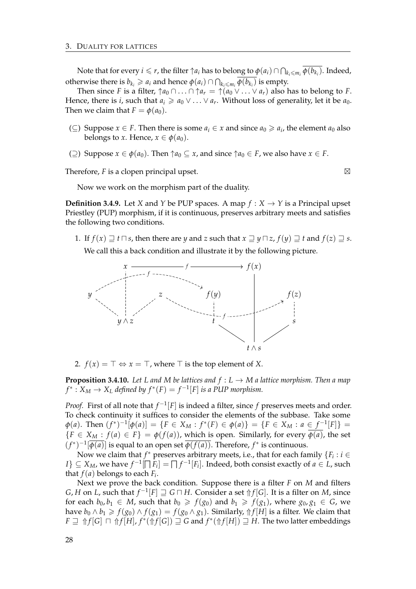Note that for every  $i \leq r$ , the filter  $\uparrow a_i$  has to belong to  $\phi(a_i) \cap \bigcap_{k_i \leqslant m_i} \overline{\phi(b_{k_i})}$ . Indeed, otherwise there is  $b_{k_i} \geqslant a_i$  and hence  $\phi(a_i) \cap \bigcap_{k_i \leqslant m_i} \overline{\phi(b_{k_i})}$  is empty.

Then since *F* is a filter,  $\uparrow a_0 \cap \ldots \cap \uparrow a_r = \uparrow (a_0 \vee \ldots \vee a_r)$  also has to belong to *F*. Hence, there is *i*, such that  $a_i \geq a_0 \vee \ldots \vee a_r$ . Without loss of generality, let it be  $a_0$ . Then we claim that  $F = \phi(a_0)$ .

- (⊆) Suppose *x* ∈ *F*. Then there is some  $a_i$  ∈ *x* and since  $a_0$  ≥  $a_i$ , the element  $a_0$  also belongs to *x*. Hence,  $x \in \phi(a_0)$ .
- (⊇) Suppose *x* ∈  $\phi$ (*a*<sub>0</sub>). Then  $\uparrow a_0$  ⊆ *x*, and since  $\uparrow a_0$  ∈ *F*, we also have *x* ∈ *F*.

Therefore, *F* is a clopen principal upset.

$$
\boxtimes
$$

Now we work on the morphism part of the duality.

**Definition 3.4.9.** Let *X* and *Y* be PUP spaces. A map  $f : X \rightarrow Y$  is a Principal upset Priestley (PUP) morphism, if it is continuous, preserves arbitrary meets and satisfies the following two conditions.

1. If  $f(x) \supseteq t \cap s$ , then there are *y* and *z* such that  $x \supseteq y \cap z$ ,  $f(y) \supseteq t$  and  $f(z) \supseteq s$ .

We call this a back condition and illustrate it by the following picture.



2.  $f(x) = \top \Leftrightarrow x = \top$ , where  $\top$  is the top element of *X*.

**Proposition 3.4.10.** *Let L and M be lattices and*  $f : L \to M$  *a lattice morphism. Then a map*  $f^*: X_M \to X_L$  *defined by*  $f^*(F) = f^{-1}[F]$  *is a PUP morphism.* 

*Proof.* First of all note that  $f^{-1}[F]$  is indeed a filter, since *f* preserves meets and order. To check continuity it suffices to consider the elements of the subbase. Take some  $\varphi(a)$ . Then  $(f^*)^{-1}[\varphi(a)] = \{F \in X_M : f^*(F) \in \varphi(a)\} = \{F \in X_M : a \in f^{-1}[F]\}$  ${F \in X_M : f(a) \in F} = \phi(f(a))$ , which is open. Similarly, for every  $\phi(a)$ , the set  $(f^*)^{-1}[\overline{\phi(a)}]$  is equal to an open set  $\overline{\phi(f(a))}$ . Therefore,  $f^*$  is continuous.

Now we claim that  $f^*$  preserves arbitrary meets, i.e., that for each family  $\{F_i : i \in I\}$  $I$ }  $\subseteq X_M$ , we have  $f^{-1}[\bigcap F_i] = \bigcap f^{-1}[F_i]$ . Indeed, both consist exactly of  $a \in L$ , such that  $f(a)$  belongs to each  $F_i$ .

Next we prove the back condition. Suppose there is a filter *F* on *M* and filters *G*, *H* on *L*, such that  $f^{-1}[F] \sqsupseteq G \sqcap H$ . Consider a set  $\Uparrow f[G]$ . It is a filter on *M*, since for each  $b_0, b_1 \in M$ , such that  $b_0 \ge f(g_0)$  and  $b_1 \ge f(g_1)$ , where  $g_0, g_1 \in G$ , we have  $b_0 \wedge b_1 \geq f(g_0) \wedge f(g_1) = f(g_0 \wedge g_1)$ . Similarly,  $\Uparrow f[H]$  is a filter. We claim that  $F \sqsupseteq \Uparrow f[G] \sqcap \Uparrow f[H], f^*(\Uparrow f[G]) \sqsupseteq G$  and  $f^*(\Uparrow f[H]) \sqsupseteq H$ . The two latter embeddings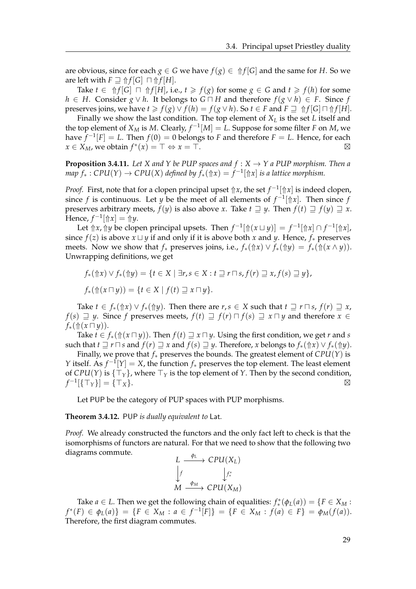are obvious, since for each  $g \in G$  we have  $f(g) \in \frac{\Lambda}{G}$  and the same for *H*. So we are left with  $F \supseteq \Uparrow f[G] \sqcap \Uparrow f[H]$ .

Take  $t \in \Uparrow f[G] \sqcap \Uparrow f[H]$ , i.e.,  $t \geq f(g)$  for some  $g \in G$  and  $t \geq f(h)$  for some *h* ∈ *H*. Consider *g* ∨ *h*. It belongs to *G*  $\cap$  *H* and therefore  $f(g \lor h) \in F$ . Since *f* preserves joins, we have  $t \geq f(g) \vee f(h) = f(g \vee h)$ . So  $t \in F$  and  $F \supseteq \int f[G] \cap \int f[H]$ .

Finally we show the last condition. The top element of *X<sup>L</sup>* is the set *L* itself and the top element of  $X_M$  is M. Clearly,  $f^{-1}[M] = L$ . Suppose for some filter *F* on *M*, we have  $f^{-1}[F] = L$ . Then  $f(0) = 0$  belongs to F and therefore  $F = L$ . Hence, for each  $x \in X_M$ , we obtain  $f^*(x) = \top \Leftrightarrow x = \top$ .  $\boxtimes$ 

**Proposition 3.4.11.** Let *X* and *Y* be PUP spaces and  $f : X \to Y$  a PUP morphism. Then a  $map \ f_*:CPU(Y) \rightarrow CPU(X)$  *defined by*  $f_*(\Uparrow x) = f^{-1}[\Uparrow x]$  *is a lattice morphism.* 

*Proof.* First, note that for a clopen principal upset  $\Uparrow x$ , the set  $f^{-1}[\Uparrow x]$  is indeed clopen, since *f* is continuous. Let *y* be the meet of all elements of  $f^{-1}[\nup{x}]$ . Then since *f* preserves arbitrary meets,  $f(y)$  is also above *x*. Take  $t \supseteq y$ . Then  $f(t) \supseteq f(y) \supseteq x$ .  $\text{Hence, } f^{-1}[\Uparrow x] = \Uparrow y.$ 

Let  $\Uparrow x$ ,  $\Uparrow y$  be clopen principal upsets. Then  $f^{-1}[\Uparrow(x \sqcup y)] = f^{-1}[\Uparrow x] \cap f^{-1}[\Uparrow x]$ , since  $f(z)$  is above  $x \sqcup y$  if and only if it is above both x and y. Hence,  $f_*$  preserves meets. Now we show that  $f_*$  preserves joins, i.e.,  $f_*(\hat{\uparrow} x) \vee f_*(\hat{\uparrow} y) = f_*(\hat{\uparrow} (x \wedge y)).$ Unwrapping definitions, we get

$$
f_*(\Uparrow x) \vee f_*(\Uparrow y) = \{t \in X \mid \exists r, s \in X : t \sqsupseteq r \sqcap s, f(r) \sqsupseteq x, f(s) \sqsupseteq y\},
$$
  

$$
f_*(\Uparrow (x \sqcap y)) = \{t \in X \mid f(t) \sqsupseteq x \sqcap y\}.
$$

Take  $t \in f_*(\Uparrow x) \vee f_*(\Uparrow y)$ . Then there are  $r, s \in X$  such that  $t \sqsupseteq r \sqcap s$ ,  $f(r) \sqsupseteq x$ , *f*(*s*)  $\exists$  *y*. Since *f* preserves meets, *f*(*t*)  $\exists$  *f*(*r*)  $\sqcap$  *f*(*s*)  $\exists$  *x*  $\sqcap$  *y* and therefore *x* ∈  $f_*(\Uparrow(x\sqcap y)).$ 

Take  $t \in f_*(\Uparrow(x \sqcap y))$ . Then  $f(t) \sqsupseteq x \sqcap y$ . Using the first condition, we get *r* and *s* such that  $t \sqsupset r \sqcap s$  and  $f(r) \sqsupset x$  and  $f(s) \sqsupset y$ . Therefore, *x* belongs to  $f_*(\Uparrow x) \vee f_*(\Uparrow y)$ .

Finally, we prove that *f*<sup>∗</sup> preserves the bounds. The greatest element of *CPU*(*Y*) is *Y* itself. As  $f^{-1}[Y] = X$ , the function  $f_*$  preserves the top element. The least element of *CPU*(*Y*) is  $\{\top_{\gamma}\}\$ , where  $\top_{\gamma}$  is the top element of *Y*. Then by the second condition,  $f^{-1}[\{\top_Y\}] = \{\top_X\}.$ 

Let PUP be the category of PUP spaces with PUP morphisms.

**Theorem 3.4.12.** PUP *is dually equivalent to* Lat*.*

*Proof.* We already constructed the functors and the only fact left to check is that the isomorphisms of functors are natural. For that we need to show that the following two diagrams commute.

$$
L \xrightarrow{\phi_L} CPU(X_L)
$$
  
\n
$$
\downarrow f \qquad \qquad \downarrow f^* \qquad \qquad
$$
  
\n
$$
M \xrightarrow{\phi_M} CPU(X_M)
$$

Take *a* ∈ *L*. Then we get the following chain of equalities:  $f^*_{*}(\phi_L(a)) = \{F \in X_M :$ *f*<sup>\*</sup>(*F*) ∈ *φ*<sub>*L*</sub>(*a*)} = {*F* ∈ *X<sub>M</sub>* : *a* ∈ *f*<sup>-1</sup>[*F*]} = {*F* ∈ *X<sub>M</sub>* : *f*(*a*) ∈ *F*} = *φ*<sub>*M*</sub>(*f*(*a*)). Therefore, the first diagram commutes.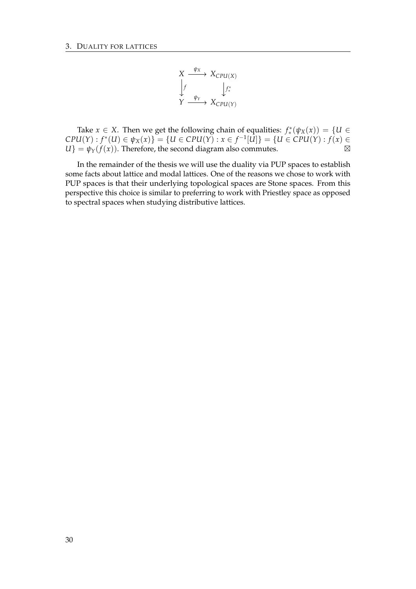$$
X \xrightarrow{\psi_X} X_{CPU(X)}
$$
\n
$$
\downarrow f
$$
\n
$$
\downarrow f
$$
\n
$$
\downarrow f^*
$$
\n
$$
Y \xrightarrow{\psi_Y} X_{CPU(Y)}
$$

Take *x*  $\in$  *X*. Then we get the following chain of equalities:  $f^*(\psi_X(x)) = \{U \in$  $CPU(Y)$  :  $f^*(U) \in \psi_X(x)$ } = {*U* ∈ *CPU*(*Y*) : *x* ∈  $f^{-1}[U]$ } = {*U* ∈ *CPU*(*Y*) : *f*(*x*) ∈  $U$ } =  $\psi_Y(f(x))$ . Therefore, the second diagram also commutes.  $\boxtimes$ 

In the remainder of the thesis we will use the duality via PUP spaces to establish some facts about lattice and modal lattices. One of the reasons we chose to work with PUP spaces is that their underlying topological spaces are Stone spaces. From this perspective this choice is similar to preferring to work with Priestley space as opposed to spectral spaces when studying distributive lattices.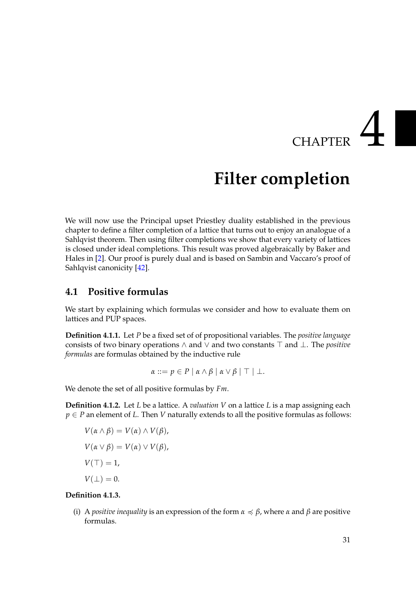## **CHAPTER**

## **Filter completion**

<span id="page-34-0"></span>We will now use the Principal upset Priestley duality established in the previous chapter to define a filter completion of a lattice that turns out to enjoy an analogue of a Sahlqvist theorem. Then using filter completions we show that every variety of lattices is closed under ideal completions. This result was proved algebraically by Baker and Hales in [\[2\]](#page-88-7). Our proof is purely dual and is based on Sambin and Vaccaro's proof of Sahlqvist canonicity [\[42\]](#page-90-11).

#### <span id="page-34-1"></span>**4.1 Positive formulas**

We start by explaining which formulas we consider and how to evaluate them on lattices and PUP spaces.

**Definition 4.1.1.** Let *P* be a fixed set of of propositional variables. The *positive language* consists of two binary operations  $\land$  and  $\lor$  and two constants  $\top$  and  $\bot$ . The *positive formulas* are formulas obtained by the inductive rule

$$
\alpha ::= p \in P \mid \alpha \wedge \beta \mid \alpha \vee \beta \mid \top \mid \bot.
$$

We denote the set of all positive formulas by *Fm*.

**Definition 4.1.2.** Let *L* be a lattice. A *valuation V* on a lattice *L* is a map assigning each  $p \in P$  an element of *L*. Then *V* naturally extends to all the positive formulas as follows:

 $V(\alpha \wedge \beta) = V(\alpha) \wedge V(\beta),$  $V(\alpha \vee \beta) = V(\alpha) \vee V(\beta),$  $V(\top) = 1$ ,  $V(\perp) = 0.$ 

#### **Definition 4.1.3.**

(i) A *positive inequality* is an expression of the form  $\alpha \leq \beta$ , where  $\alpha$  and  $\beta$  are positive formulas.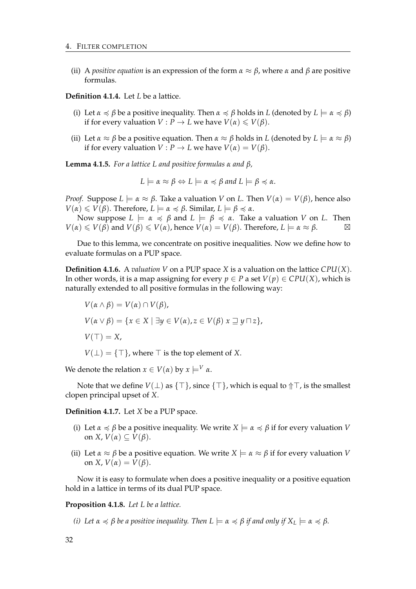(ii) A *positive equation* is an expression of the form  $\alpha \approx \beta$ , where  $\alpha$  and  $\beta$  are positive formulas.

**Definition 4.1.4.** Let *L* be a lattice.

- (i) Let  $\alpha \preccurlyeq \beta$  be a positive inequality. Then  $\alpha \preccurlyeq \beta$  holds in *L* (denoted by  $L \models \alpha \preccurlyeq \beta$ ) if for every valuation *V* : *P*  $\rightarrow$  *L* we have *V*( $\alpha$ )  $\leq$  *V*( $\beta$ ).
- (ii) Let  $\alpha \approx \beta$  be a positive equation. Then  $\alpha \approx \beta$  holds in *L* (denoted by  $L \models \alpha \approx \beta$ ) if for every valuation  $V: P \to L$  we have  $V(\alpha) = V(\beta)$ .

**Lemma 4.1.5.** *For a lattice L and positive formulas α and β,*

$$
L \models \alpha \approx \beta \Leftrightarrow L \models \alpha \preccurlyeq \beta \text{ and } L \models \beta \preccurlyeq \alpha.
$$

*Proof.* Suppose  $L \models \alpha \approx \beta$ . Take a valuation *V* on *L*. Then  $V(\alpha) = V(\beta)$ , hence also  $V(\alpha) \leq V(\beta)$ . Therefore,  $L \models \alpha \leq \beta$ . Similar,  $L \models \beta \leq \alpha$ .

Now suppose  $L \models \alpha \preccurlyeq \beta$  and  $L \models \beta \preccurlyeq \alpha$ . Take a valuation *V* on *L*. Then  $V(\alpha) \leq V(\beta)$  and  $V(\beta) \leq V(\alpha)$ , hence  $V(\alpha) = V(\beta)$ . Therefore,  $L \models \alpha \approx \beta$ .

Due to this lemma, we concentrate on positive inequalities. Now we define how to evaluate formulas on a PUP space.

**Definition 4.1.6.** A *valuation V* on a PUP space *X* is a valuation on the lattice *CPU*(*X*). In other words, it is a map assigning for every  $p \in P$  a set  $V(p) \in CPU(X)$ , which is naturally extended to all positive formulas in the following way:

$$
V(\alpha \wedge \beta) = V(\alpha) \cap V(\beta),
$$
  
\n
$$
V(\alpha \vee \beta) = \{x \in X \mid \exists y \in V(\alpha), z \in V(\beta) \times \exists y \sqcap z\},
$$
  
\n
$$
V(\top) = X,
$$
  
\n
$$
V(\bot) = \{\top\}, \text{where } \top \text{ is the top element of } X.
$$

We denote the relation  $x \in V(\alpha)$  by  $x \models^V \alpha$ .

Note that we define  $V(\perp)$  as  $\{\top\}$ , since  $\{\top\}$ , which is equal to  $\Uparrow\top$ , is the smallest clopen principal upset of *X*.

**Definition 4.1.7.** Let *X* be a PUP space.

- (i) Let  $\alpha \le \beta$  be a positive inequality. We write  $X \models \alpha \le \beta$  if for every valuation *V* on *X*,  $V(\alpha) \subseteq V(\beta)$ .
- (ii) Let  $\alpha \approx \beta$  be a positive equation. We write  $X \models \alpha \approx \beta$  if for every valuation *V* on *X*,  $V(\alpha) = V(\beta)$ .

Now it is easy to formulate when does a positive inequality or a positive equation hold in a lattice in terms of its dual PUP space.

**Proposition 4.1.8.** *Let L be a lattice.*

*(i) Let*  $\alpha \preccurlyeq \beta$  *be a positive inequality. Then*  $L \models \alpha \preccurlyeq \beta$  *if and only if*  $X_L \models \alpha \preccurlyeq \beta$ *.*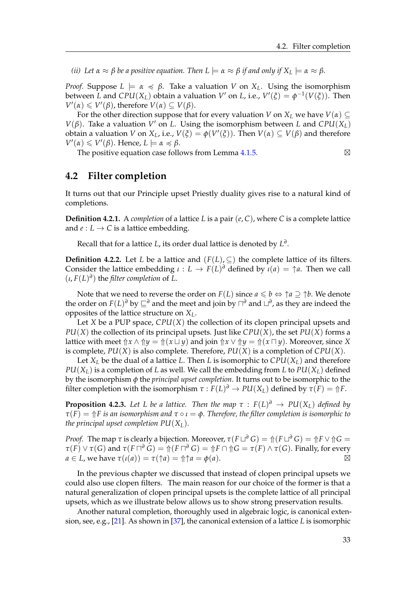*(ii) Let*  $\alpha \approx \beta$  *be a positive equation. Then L*  $\models \alpha \approx \beta$  *if and only if*  $X_L \models \alpha \approx \beta$ *.* 

*Proof.* Suppose  $L \models \alpha \preccurlyeq \beta$ . Take a valuation *V* on *X*<sub>*L*</sub>. Using the isomorphism between *L* and  $CPU(X_L)$  obtain a valuation  $V'$  on *L*, i.e.,  $V'(\xi) = \phi^{-1}(V(\xi))$ . Then  $V'(\alpha) \leq V'(\beta)$ , therefore  $V(\alpha) \subseteq V(\beta)$ .

For the other direction suppose that for every valuation *V* on  $X_L$  we have  $V(\alpha) \subseteq$  $V(\beta)$ . Take a valuation  $V'$  on *L*. Using the isomorphism between *L* and  $CPU(X_L)$ obtain a valuation *V* on  $X_L$ , i.e.,  $V(\xi) = \phi(V'(\xi))$ . Then  $V(\alpha) \subseteq V(\beta)$  and therefore  $V'(\alpha) \leq V'(\beta)$ . Hence,  $L \models \alpha \preccurlyeq \beta$ .

The positive equation case follows from Lemma  $4.1.5$ .  $\boxtimes$ 

#### <span id="page-36-1"></span>**4.2 Filter completion**

It turns out that our Principle upset Priestly duality gives rise to a natural kind of completions.

**Definition 4.2.1.** A *completion* of a lattice *L* is a pair (*e*, *C*), where *C* is a complete lattice and  $e: L \to C$  is a lattice embedding.

Recall that for a lattice *L*, its order dual lattice is denoted by *L ∂* .

**Definition 4.2.2.** Let *L* be a lattice and  $(F(L), \subseteq)$  the complete lattice of its filters. Consider the lattice embedding  $\iota : L \to F(L)^{\partial}$  defined by  $\iota(a) = \uparrow a$ . Then we call  $(\iota, F(L)^{\partial})$  the *filter completion* of *L*.

Note that we need to reverse the order on  $F(L)$  since  $a \leq b \Leftrightarrow \uparrow a \supseteq \uparrow b$ . We denote the order on  $F(L)^{d}$  by  $\sqsubseteq^{d}$  and the meet and join by  $\sqcap^{d}$  and  $\sqcup^{d}$ , as they are indeed the opposites of the lattice structure on *XL*.

Let *X* be a PUP space, *CPU*(*X*) the collection of its clopen principal upsets and *PU*(*X*) the collection of its principal upsets. Just like *CPU*(*X*), the set *PU*(*X*) forms a lattice with meet  $\Uparrow x \wedge \Uparrow y = \Uparrow (x \sqcup y)$  and join  $\Uparrow x \vee \Uparrow y = \Uparrow (x \sqcap y)$ . Moreover, since *X* is complete,  $PU(X)$  is also complete. Therefore,  $PU(X)$  is a completion of  $CPU(X)$ .

Let  $X_L$  be the dual of a lattice *L*. Then *L* is isomorphic to  $CPU(X_L)$  and therefore  $PU(X_L)$  is a completion of *L* as well. We call the embedding from *L* to  $PU(X_L)$  defined by the isomorphism *φ* the *principal upset completion*. It turns out to be isomorphic to the filter completion with the isomorphism  $\tau : F(L)^d \to PU(X_L)$  defined by  $\tau(F) = \Uparrow F$ .

<span id="page-36-0"></span>**Proposition 4.2.3.** Let L be a lattice. Then the map  $\tau$  :  $F(L)^{\theta} \rightarrow PU(X_L)$  defined by *τ*(*F*) = ⇑*F is an isomorphism and τ* ◦ *ι* = *φ. Therefore, the filter completion is isomorphic to the principal upset completion PU*(*XL*)*.*

*Proof.* The map  $\tau$  is clearly a bijection. Moreover,  $\tau(F \sqcup^{\partial} G) = \Uparrow(F \sqcup^{\partial} G) = \Uparrow F \vee \Uparrow G =$  $\tau(F) \vee \tau(G)$  and  $\tau(F \sqcap^{\partial} G) = \Uparrow(F \sqcap^{\partial} G) = \Uparrow F \cap \Uparrow G = \tau(F) \wedge \tau(G)$ . Finally, for every  $a \in L$ , we have  $\tau(\iota(a)) = \tau(\uparrow a) = \Uparrow \uparrow a = \phi(a)$ .

In the previous chapter we discussed that instead of clopen principal upsets we could also use clopen filters. The main reason for our choice of the former is that a natural generalization of clopen principal upsets is the complete lattice of all principal upsets, which as we illustrate below allows us to show strong preservation results.

Another natural completion, thoroughly used in algebraic logic, is canonical extension, see, e.g., [\[21\]](#page-89-0). As shown in [\[37\]](#page-90-0), the canonical extension of a lattice *L* is isomorphic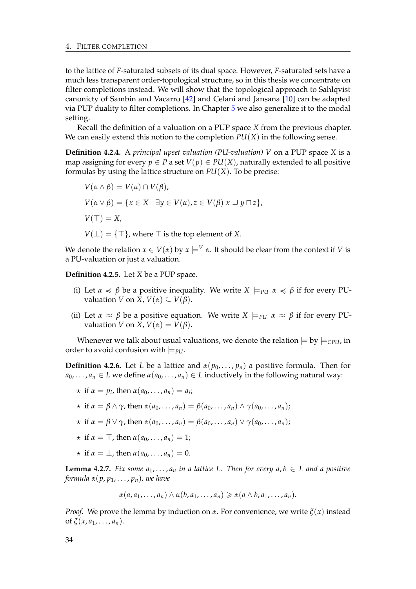to the lattice of *F*-saturated subsets of its dual space. However, *F*-saturated sets have a much less transparent order-topological structure, so in this thesis we concentrate on filter completions instead. We will show that the topological approach to Sahlqvist canonicty of Sambin and Vacarro [\[42\]](#page-90-1) and Celani and Jansana [\[10\]](#page-88-0) can be adapted via PUP duality to filter completions. In Chapter [5](#page-42-0) we also generalize it to the modal setting.

Recall the definition of a valuation on a PUP space *X* from the previous chapter. We can easily extend this notion to the completion  $PU(X)$  in the following sense.

<span id="page-37-2"></span>**Definition 4.2.4.** A *principal upset valuation (PU-valuation) V* on a PUP space *X* is a map assigning for every  $p \in P$  a set  $V(p) \in PU(X)$ , naturally extended to all positive formulas by using the lattice structure on *PU*(*X*). To be precise:

$$
V(\alpha \wedge \beta) = V(\alpha) \cap V(\beta),
$$
  
\n
$$
V(\alpha \vee \beta) = \{x \in X \mid \exists y \in V(\alpha), z \in V(\beta) \times \exists y \sqcap z\},
$$
  
\n
$$
V(\top) = X,
$$
  
\n
$$
V(\bot) = \{\top\}, \text{where } \top \text{ is the top element of } X.
$$

We denote the relation  $x \in V(\alpha)$  by  $x \models^{V} \alpha$ . It should be clear from the context if *V* is a PU-valuation or just a valuation.

**Definition 4.2.5.** Let *X* be a PUP space.

- (i) Let  $\alpha \preccurlyeq \beta$  be a positive inequality. We write  $X \models_{\text{PU}} \alpha \preccurlyeq \beta$  if for every PUvaluation *V* on *X*,  $V(\alpha) \subseteq V(\beta)$ .
- (ii) Let  $\alpha \approx \beta$  be a positive equation. We write  $X \models_{\text{PU}} \alpha \approx \beta$  if for every PUvaluation *V* on *X*,  $V(\alpha) = V(\beta)$ .

Whenever we talk about usual valuations, we denote the relation  $\models$  by  $\models$ <sub>CPU</sub>, in order to avoid confusion with  $\models$ *PU*.

<span id="page-37-0"></span>**Definition 4.2.6.** Let *L* be a lattice and  $\alpha(p_0, \ldots, p_n)$  a positive formula. Then for  $a_0, \ldots, a_n \in L$  we define  $\alpha(a_0, \ldots, a_n) \in L$  inductively in the following natural way:

- $\star$  if  $\alpha = p_i$ , then  $\alpha(a_0, \ldots, a_n) = a_i$ ;
- $\star$  if  $\alpha = \beta \wedge \gamma$ , then  $\alpha(a_0, \ldots, a_n) = \beta(a_0, \ldots, a_n) \wedge \gamma(a_0, \ldots, a_n);$
- $\star$  if  $\alpha = \beta \vee \gamma$ , then  $\alpha(a_0, \ldots, a_n) = \beta(a_0, \ldots, a_n) \vee \gamma(a_0, \ldots, a_n);$
- $\star$  if  $\alpha = \top$ , then  $\alpha(a_0, \ldots, a_n) = 1$ ;
- $\star$  if  $\alpha = \perp$ , then  $\alpha(a_0, \ldots, a_n) = 0$ .

<span id="page-37-1"></span>**Lemma 4.2.7.** *Fix some*  $a_1, \ldots, a_n$  *in a lattice L. Then for every*  $a, b \in L$  *and a positive formula*  $α(p, p_1, \ldots, p_n)$ *, we have* 

$$
\alpha(a, a_1, \ldots, a_n) \wedge \alpha(b, a_1, \ldots, a_n) \geq \alpha(a \wedge b, a_1, \ldots, a_n).
$$

*Proof.* We prove the lemma by induction on *α*. For convenience, we write  $\zeta(x)$  instead of  $\xi(x, a_1, \ldots, a_n)$ .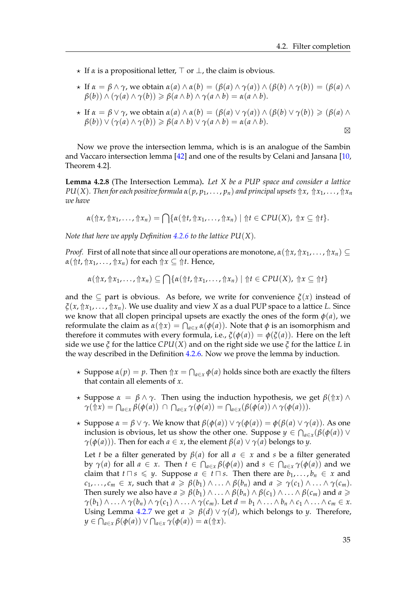- $\star$  If  $\alpha$  is a propositional letter,  $\top$  or  $\bot$ , the claim is obvious.
- $\star$  If  $\alpha = \beta \wedge \gamma$ , we obtain  $\alpha(a) \wedge \alpha(b) = (\beta(a) \wedge \gamma(a)) \wedge (\beta(b) \wedge \gamma(b)) = (\beta(a) \wedge \gamma(b))$  $\beta(b)$ )  $\land$   $(\gamma(a) \land \gamma(b)) \geq \beta(a \land b) \land \gamma(a \land b) = \alpha(a \land b).$
- $\star$  If  $\alpha = \beta \vee \gamma$ , we obtain  $\alpha(a) \wedge \alpha(b) = (\beta(a) \vee \gamma(a)) \wedge (\beta(b) \vee \gamma(b)) \geq (\beta(a) \wedge \gamma(b))$  $\beta(b)$ )  $\vee$   $(\gamma(a) \wedge \gamma(b)) \geq \beta(a \wedge b) \vee \gamma(a \wedge b) = \alpha(a \wedge b).$

 $\boxtimes$ 

Now we prove the intersection lemma, which is is an analogue of the Sambin and Vaccaro intersection lemma [\[42\]](#page-90-1) and one of the results by Celani and Jansana [\[10,](#page-88-0) Theorem 4.2].

<span id="page-38-0"></span>**Lemma 4.2.8** (The Intersection Lemma)**.** *Let X be a PUP space and consider a lattice PU*(*X*). Then for each positive formula  $α(p, p_1, \ldots, p_n)$  and principal upsets  $↑x, ↑x_1, \ldots, ↑x_n$ *we have*

$$
\alpha(\Uparrow x,\Uparrow x_1,\ldots,\Uparrow x_n)=\bigcap\{\alpha(\Uparrow t,\Uparrow x_1,\ldots,\Uparrow x_n)\mid\Uparrow t\in\mathcal{C}PU(X),\Uparrow x\subseteq\Uparrow t\}.
$$

*Note that here we apply Definition [4.2.6](#page-37-0) to the lattice PU*(*X*)*.*

*Proof.* First of all note that since all our operations are monotone,  $\alpha(\Uparrow x, \Uparrow x_1, \ldots, \Uparrow x_n) \subseteq$  $\alpha(\Uparrow t, \Uparrow x_1, \ldots, \Uparrow x_n)$  for each  $\Uparrow x \subseteq \Uparrow t$ . Hence,

$$
\alpha(\Uparrow x,\Uparrow x_1,\ldots,\Uparrow x_n)\subseteq\bigcap\{\alpha(\Uparrow t,\Uparrow x_1,\ldots,\Uparrow x_n)\mid\Uparrow t\in\mathit{CPU}(X),\Uparrow x\subseteq\Uparrow t\}
$$

and the  $\subset$  part is obvious. As before, we write for convenience  $\zeta(x)$  instead of *ξ*(*x*, ⇑*x*1, . . . , ⇑*xn*). We use duality and view *X* as a dual PUP space to a lattice *L*. Since we know that all clopen principal upsets are exactly the ones of the form  $\phi(a)$ , we reformulate the claim as  $\alpha(\Uparrow x) = \bigcap_{a \in x} \alpha(\phi(a))$ . Note that  $\phi$  is an isomorphism and therefore it commutes with every formula, i.e.,  $\xi(\phi(a)) = \phi(\xi(a))$ . Here on the left side we use *ξ* for the lattice *CPU*(*X*) and on the right side we use *ξ* for the lattice *L* in the way described in the Definition [4.2.6.](#page-37-0) Now we prove the lemma by induction.

- $\star$  Suppose  $\alpha(p) = p$ . Then  $\Uparrow x = \bigcap_{a \in x} \phi(a)$  holds since both are exactly the filters that contain all elements of *x*.
- $\star$  Suppose *α* = *β* ∧ *γ*. Then using the induction hypothesis, we get *β*(↑*x*) ∧  $\gamma(\Uparrow x) = \bigcap_{a \in x} \beta(\phi(a)) \cap \bigcap_{a \in x} \gamma(\phi(a)) = \bigcap_{a \in x} (\beta(\phi(a)) \wedge \gamma(\phi(a))).$
- $\star$  Suppose  $\alpha = \beta \vee \gamma$ . We know that  $\beta(\phi(a)) \vee \gamma(\phi(a)) = \phi(\beta(a) \vee \gamma(a))$ . As one inclusion is obvious, let us show the other one. Suppose  $y \in \bigcap_{a \in x} (\beta(\phi(a))) \vee$ *γ*( $φ(a)$ )). Then for each *a* ∈ *x*, the element  $β(a) ∨ γ(a)$  belongs to *y*.

Let *t* be a filter generated by  $\beta$ (*a*) for all  $a \in x$  and *s* be a filter generated by  $\gamma(a)$  for all  $a \in x$ . Then  $t \in \bigcap_{a \in x} \beta(\phi(a))$  and  $s \in \bigcap_{a \in x} \gamma(\phi(a))$  and we claim that  $t \sqcap s \leq y$ . Suppose  $a \in t \sqcap s$ . Then there are  $b_1, \ldots, b_n \in x$  and  $c_1, \ldots, c_m \in x$ , such that  $a \geq \beta(b_1) \wedge \ldots \wedge \beta(b_n)$  and  $a \geq \gamma(c_1) \wedge \ldots \wedge \gamma(c_m)$ . Then surely we also have  $a \ge \beta(b_1) \wedge \ldots \wedge \beta(b_n) \wedge \beta(c_1) \wedge \ldots \wedge \beta(c_m)$  and  $a \ge$  $\gamma(b_1) \wedge \ldots \wedge \gamma(b_n) \wedge \gamma(c_1) \wedge \ldots \wedge \gamma(c_m)$ . Let  $d = b_1 \wedge \ldots \wedge b_n \wedge c_1 \wedge \ldots \wedge c_m \in x$ . Using Lemma [4.2.7](#page-37-1) we get  $a \ge \beta(d) \vee \gamma(d)$ , which belongs to *y*. Therefore,  $y \in \bigcap_{a \in x} \beta(\phi(a)) \vee \bigcap_{a \in x} \gamma(\phi(a)) = \alpha(\Uparrow x).$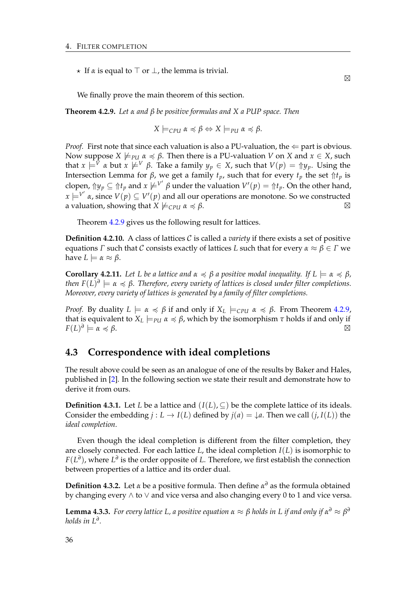$\star$  If  $\alpha$  is equal to  $\top$  or  $\bot$ , the lemma is trivial.

We finally prove the main theorem of this section.

<span id="page-39-0"></span>**Theorem 4.2.9.** *Let α and β be positive formulas and X a PUP space. Then*

$$
X \models_{\text{CPU}} \alpha \preccurlyeq \beta \Leftrightarrow X \models_{\text{PU}} \alpha \preccurlyeq \beta.
$$

*Proof.* First note that since each valuation is also a PU-valuation, the  $\Leftarrow$  part is obvious. Now suppose *X*  $\nvdash_{PU}$  *α*  $\preccurlyeq$  *β*. Then there is a PU-valuation *V* on *X* and *x* ∈ *X*, such that  $x \models^V \alpha$  but  $x \not\models^V \beta$ . Take a family  $y_p \in X$ , such that  $V(p) = \Uparrow y_p$ . Using the Intersection Lemma for *β*, we get a family *tp*, such that for every *t<sup>p</sup>* the set ⇑*t<sup>p</sup>* is clopen,  $\Uparrow\gamma y_p\subseteq\Uparrow t_p$  and  $x\not\models^{V'}\beta$  under the valuation  $V'(p)=\Uparrow t_p.$  On the other hand,  $\alpha \models^{V'} \alpha$ , since  $V(p) \subseteq V'(p)$  and all our operations are monotone. So we constructed a valuation, showing that  $X \not\models c_{\text{PU}} \alpha \preccurlyeq \beta$ .

Theorem [4.2.9](#page-39-0) gives us the following result for lattices.

**Definition 4.2.10.** A class of lattices C is called a *variety* if there exists a set of positive equations *Γ* such that *C* consists exactly of lattices *L* such that for every *α* ≈ *β* ∈ *Γ* we have  $L \models \alpha \approx \beta$ .

<span id="page-39-2"></span>**Corollary 4.2.11.** *Let L be a lattice and*  $\alpha \preccurlyeq \beta$  *a positive modal inequality.* If  $L \models \alpha \preccurlyeq \beta$ *,*  $\iota$ then  $F(L)^{\mathfrak{d}} \models \mathfrak{a} \preccurlyeq \beta$ . Therefore, every variety of lattices is closed under filter completions. *Moreover, every variety of lattices is generated by a family of filter completions.*

*Proof.* By duality  $L \models \alpha \preccurlyeq \beta$  if and only if  $X_L \models_{\text{CPU}} \alpha \preccurlyeq \beta$ . From Theorem [4.2.9,](#page-39-0) that is equivalent to  $X_L \models_{PU} \alpha \preccurlyeq \beta$ , which by the isomorphism  $\tau$  holds if and only if *F*(*L*) *∂*  $\models \alpha \preccurlyeq \beta$ .

#### <span id="page-39-3"></span>**4.3 Correspondence with ideal completions**

The result above could be seen as an analogue of one of the results by Baker and Hales, published in [\[2\]](#page-88-1). In the following section we state their result and demonstrate how to derive it from ours.

**Definition 4.3.1.** Let *L* be a lattice and  $(I(L), \subseteq)$  be the complete lattice of its ideals. Consider the embedding  $j: L \to I(L)$  defined by  $j(a) = \downarrow a$ . Then we call  $(j, I(L))$  the *ideal completion*.

Even though the ideal completion is different from the filter completion, they are closely connected. For each lattice *L*, the ideal completion *I*(*L*) is isomorphic to *F*(*L ∂* ), where *L ∂* is the order opposite of *L*. Therefore, we first establish the connection between properties of a lattice and its order dual.

**Definition 4.3.2.** Let *α* be a positive formula. Then define *α <sup>∂</sup>* as the formula obtained by changing every ∧ to ∨ and vice versa and also changing every 0 to 1 and vice versa.

<span id="page-39-1"></span>**Lemma 4.3.3.** *For every lattice L, a positive equation*  $\alpha \approx \beta$  *holds in L if and only if*  $\alpha^o \approx \beta^o$ *holds in L<sup>∂</sup> .*

 $\boxtimes$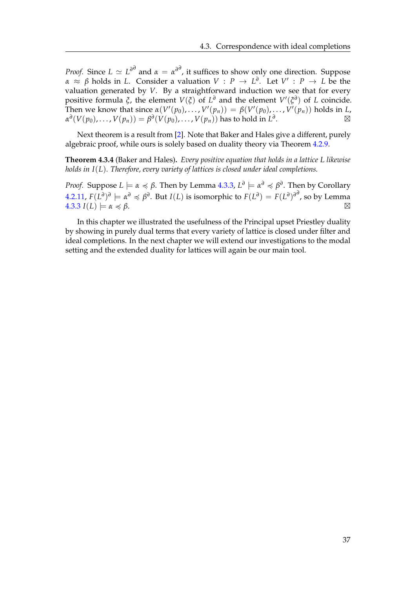*Proof.* Since  $L \simeq L^{\partial^d}$  and  $\alpha = \alpha^{\partial^d}$ , it suffices to show only one direction. Suppose *α*  $\approx$  *β* holds in *L*. Consider a valuation *V* : *P*  $\rightarrow$  *L*<sup>∂</sup>. Let *V*' : *P*  $\rightarrow$  *L* be the valuation generated by *V*. By a straightforward induction we see that for every positive formula *ξ*, the element  $V(\xi)$  of  $L^{\partial}$  and the element  $V'(\xi^{\partial})$  of *L* coincide. Then we know that since  $\alpha(V'(p_0), \ldots, V'(p_n)) = \beta(V'(p_0), \ldots, V'(p_n))$  holds in *L*,  $\alpha^d(V(p_0),\ldots,V(p_n)) = \beta^d(V(p_0),\ldots,V(p_n))$  has to hold in  $L^d$ .  $\qquad \qquad \boxtimes$ 

Next theorem is a result from [\[2\]](#page-88-1). Note that Baker and Hales give a different, purely algebraic proof, while ours is solely based on duality theory via Theorem [4.2.9.](#page-39-0)

**Theorem 4.3.4** (Baker and Hales)**.** *Every positive equation that holds in a lattice L likewise holds in I*(*L*)*. Therefore, every variety of lattices is closed under ideal completions.*

*Proof.* Suppose  $L \models \alpha \preccurlyeq \beta$ . Then by Lemma [4.3.3,](#page-39-1)  $L^\partial \models \alpha^\partial \preccurlyeq \beta^\partial$ . Then by Corollary  $4.2.11$ ,  $F(L^{\partial})^{\partial} \models \alpha^{\partial} \preccurlyeq \beta^{\partial}.$  But  $I(L)$  is isomorphic to  $F(L^{\partial}) = F(L^{\partial})^{\partial^{\partial}},$  so by Lemma  $4.3.3 \text{ J}(L) \models \alpha \preccurlyeq \beta.$  $4.3.3 \text{ J}(L) \models \alpha \preccurlyeq \beta.$ 

In this chapter we illustrated the usefulness of the Principal upset Priestley duality by showing in purely dual terms that every variety of lattice is closed under filter and ideal completions. In the next chapter we will extend our investigations to the modal setting and the extended duality for lattices will again be our main tool.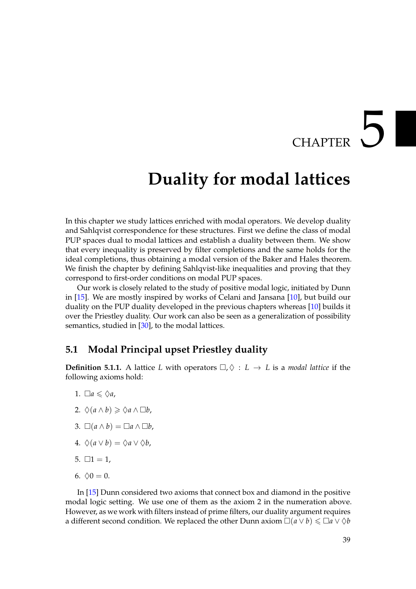# CHAPTER 5

### <span id="page-42-0"></span>**Duality for modal lattices**

In this chapter we study lattices enriched with modal operators. We develop duality and Sahlqvist correspondence for these structures. First we define the class of modal PUP spaces dual to modal lattices and establish a duality between them. We show that every inequality is preserved by filter completions and the same holds for the ideal completions, thus obtaining a modal version of the Baker and Hales theorem. We finish the chapter by defining Sahlqvist-like inequalities and proving that they correspond to first-order conditions on modal PUP spaces.

Our work is closely related to the study of positive modal logic, initiated by Dunn in [\[15\]](#page-89-1). We are mostly inspired by works of Celani and Jansana [\[10\]](#page-88-0), but build our duality on the PUP duality developed in the previous chapters whereas [\[10\]](#page-88-0) builds it over the Priestley duality. Our work can also be seen as a generalization of possibility semantics, studied in [\[30\]](#page-89-2), to the modal lattices.

#### **5.1 Modal Principal upset Priestley duality**

<span id="page-42-1"></span>**Definition 5.1.1.** A lattice *L* with operators  $\Box, \Diamond : L \rightarrow L$  is a *modal lattice* if the following axioms hold:

- 1.  $\Box a \leq \Diamond a$ ,
- 2.  $\Diamond(a \land b) \geq \Diamond a \land \Box b$ ,
- 3.  $\square(a \wedge b) = \square a \wedge \square b$ ,
- 4.  $\Diamond(a \vee b) = \Diamond a \vee \Diamond b$ ,
- 5.  $\Box 1 = 1$ ,
- 6.  $\lozenge 0 = 0$ .

In [\[15\]](#page-89-1) Dunn considered two axioms that connect box and diamond in the positive modal logic setting. We use one of them as the axiom 2 in the numeration above. However, as we work with filters instead of prime filters, our duality argument requires a different second condition. We replaced the other Dunn axiom  $\Box(a \lor b) \leq \Box a \lor \Diamond b$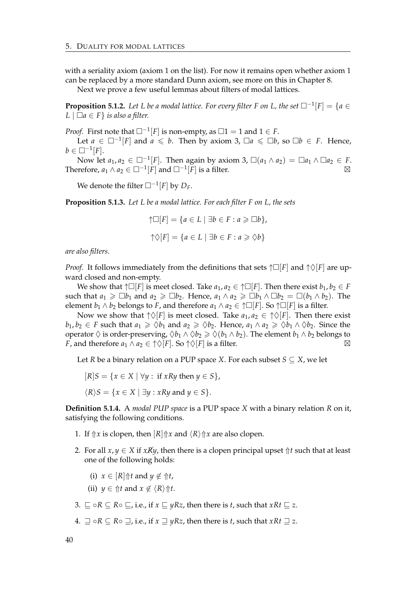with a seriality axiom (axiom 1 on the list). For now it remains open whether axiom 1 can be replaced by a more standard Dunn axiom, see more on this in Chapter 8.

Next we prove a few useful lemmas about filters of modal lattices.

**Proposition 5.1.2.** Let *L* be a modal lattice. For every filter *F* on *L*, the set  $\Box^{-1}[F] = \{a \in F : |F| = |a| \leq 1\}$ *L*  $\Box a$  ∈ *F*  $\}$  *is also a filter.* 

*Proof.* First note that  $\square^{-1}[F]$  is non-empty, as  $\square 1 = 1$  and  $1 \in F$ .

Let *a* ∈  $\square^{-1}[F]$  and *a* ≤ *b*. Then by axiom 3,  $\square a$  ≤  $\square b$ , so  $\square b$  ∈ *F*. Hence,  $b \in \Box^{-1}[F].$ 

Now let  $a_1, a_2 \in \Box^{-1}[F]$ . Then again by axiom 3,  $\Box(a_1 \land a_2) = \Box a_1 \land \Box a_2 \in F$ . Therefore,  $a_1 \wedge a_2 \in \Box^{-1}[F]$  and  $\Box^{-1}[F]$  is a filter.  $\boxtimes$ 

We denote the filter  $\square^{-1}[F]$  by  $D_F$ .

<span id="page-43-1"></span>**Proposition 5.1.3.** *Let L be a modal lattice. For each filter F on L, the sets*

$$
\uparrow \Box[F] = \{a \in L \mid \exists b \in F : a \geq \Box b\},\
$$

$$
\uparrow \Diamond[F] = \{a \in L \mid \exists b \in F : a \geq \Diamond b\}
$$

*are also filters.*

*Proof.* It follows immediately from the definitions that sets  $\uparrow \Box [F]$  and  $\uparrow \Diamond [F]$  are upward closed and non-empty.

We show that  $\uparrow \Box [F]$  is meet closed. Take  $a_1, a_2 \in \uparrow \Box [F]$ . Then there exist  $b_1, b_2 \in F$ such that  $a_1 \geq b_1$  and  $a_2 \geq b_2$ . Hence,  $a_1 \wedge a_2 \geq b_1 \wedge b_2 = \Box(b_1 \wedge b_2)$ . The element  $b_1 \wedge b_2$  belongs to *F*, and therefore  $a_1 \wedge a_2 \in \uparrow \Box[F]$ . So  $\uparrow \Box[F]$  is a filter.

Now we show that  $\uparrow \Diamond [F]$  is meet closed. Take  $a_1, a_2 \in \uparrow \Diamond [F]$ . Then there exist *b*<sub>1</sub>, *b*<sub>2</sub> ∈ *F* such that  $a_1 \ge \Diamond b_1$  and  $a_2 \ge \Diamond b_2$ . Hence,  $a_1 \land a_2 \ge \Diamond b_1 \land \Diamond b_2$ . Since the operator  $\Diamond$  is order-preserving,  $\Diamond b_1 \land \Diamond b_2 \geq \Diamond (b_1 \land b_2)$ . The element  $b_1 \land b_2$  belongs to *F*, and therefore  $a_1 \wedge a_2 \in \{\hat{\vee}|F\}$ . So  $\{\hat{\vee}|F\}$  is a filter.

Let *R* be a binary relation on a PUP space *X*. For each subset  $S \subseteq X$ , we let

$$
[R]S = \{x \in X \mid \forall y : \text{ if } xRy \text{ then } y \in S\},
$$

$$
\langle R \rangle S = \{ x \in X \mid \exists y : xRy \text{ and } y \in S \}.
$$

<span id="page-43-0"></span>**Definition 5.1.4.** A *modal PUP space* is a PUP space *X* with a binary relation *R* on it, satisfying the following conditions.

- 1. If  $\Uparrow x$  is clopen, then  $\lceil R \rceil \Uparrow x$  and  $\langle R \rangle \Uparrow x$  are also clopen.
- 2. For all  $x, y \in X$  if  $xRy$ , then there is a clopen principal upset  $\Uparrow t$  such that at least one of the following holds:

(i) 
$$
x \in [R] \Uparrow t
$$
 and  $y \notin \Uparrow t$ ,

- (ii)  $y \in \hat{p}t$  and  $x \notin \langle R \rangle \hat{p}t$ .
- 3.  $\Box$  ◦ $R \subseteq R \circ \Box$ , i.e., if  $x \Box yRz$ , then there is *t*, such that  $xRt \Box z$ .
- 4.  $\sqsupseteq$  ∘*R* ⊆ *R*  $\sqsupseteq$ *,* i.e., if *x*  $\sqsupseteq$  *yRz*, then there is *t*, such that *xRt*  $\sqsupseteq$  *z*.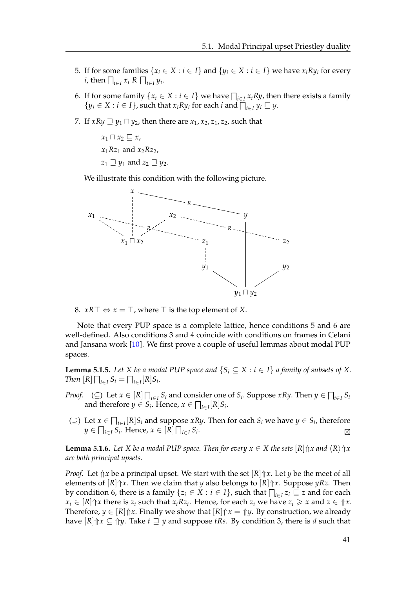- 5. If for some families  $\{x_i \in X : i \in I\}$  and  $\{y_i \in X : i \in I\}$  we have  $x_i R y_i$  for every *i*, then  $\bigcap_{i \in I} x_i$  *R*  $\bigcap_{i \in I} y_i$ .
- 6. If for some family  $\{x_i \in X : i \in I\}$  we have  $\prod_{i \in I} x_i R y$ , then there exists a family  $\{y_i \in X : i \in I\}$ , such that  $x_i R y_i$  for each  $i$  and  $\bigcap_{i \in I} y_i \sqsubseteq y$ .
- 7. If  $xRy \rightrightarrows y_1 \sqcap y_2$ , then there are  $x_1, x_2, z_1, z_2$ , such that

 $x_1 \sqcap x_2 \sqsubseteq x$ ,  $x_1Rz_1$  and  $x_2Rz_2$ ,  $z_1 \sqsupseteq y_1$  and  $z_2 \sqsupseteq y_2$ .

We illustrate this condition with the following picture.



8.  $xR\top \Leftrightarrow x = \top$ , where  $\top$  is the top element of *X*.

Note that every PUP space is a complete lattice, hence conditions 5 and 6 are well-defined. Also conditions 3 and 4 coincide with conditions on frames in Celani and Jansana work [\[10\]](#page-88-0). We first prove a couple of useful lemmas about modal PUP spaces.

<span id="page-44-1"></span>**Lemma 5.1.5.** *Let X be a modal PUP space and*  $\{S_i \subseteq X : i \in I\}$  *a family of subsets of X*. *Then*  $[R] \bigcap_{i \in I} S_i = \bigcap_{i \in I} [R] S_i$ *.* 

- *Proof.* (⊆) Let  $x \in [R] \prod_{i \in I} S_i$  and consider one of  $S_i$ . Suppose  $xRy$ . Then  $y \in \prod_{i \in I} S_i$ and therefore  $y \in S_i$ . Hence,  $x \in \prod_{i \in I} [R] S_i$ .
- $\text{( ⊇)}$  Let *x* ∈  $\bigcap_{i \in I} [R] S_i$  and suppose *xRy*. Then for each *S*<sup>*i*</sup> we have *y* ∈ *S*<sup>*i*</sup>, therefore  $y \in \prod_{i \in I} S_i$ . Hence,  $x \in [R] \prod_{i \in I} S_i$ . **.** *N*

<span id="page-44-0"></span>**Lemma 5.1.6.** *Let X be a modal PUP space. Then for every*  $x \in X$  *the sets*  $[R]$  $\uparrow$ *x and*  $\langle R \rangle$  $\uparrow$ *x are both principal upsets.*

*Proof.* Let  $\Uparrow x$  be a principal upset. We start with the set  $\lbrack R \rbrack \Uparrow x$ . Let *y* be the meet of all elements of  $[R]\uparrow\!\chi$ . Then we claim that *y* also belongs to  $[R]\uparrow\!\chi$ . Suppose *yRz*. Then by condition 6, there is a family  $\{z_i \in X : i \in I\}$ , such that  $\bigcap_{i \in I} z_i \sqsubseteq z$  and for each  $x_i \in [R]$   $\Uparrow x$  there is  $z_i$  such that  $x_i R z_i$ . Hence, for each  $z_i$  we have  $z_i \geq x$  and  $z \in \Uparrow x$ . Therefore,  $y \in [R]$   $\uparrow$  *x*. Finally we show that  $[R]$   $\uparrow$  *x* =  $\uparrow$  *y*. By construction, we already have  $[R]\uparrow x \subseteq \uparrow y$ . Take  $t \sqsupseteq y$  and suppose *tRs*. By condition 3, there is *d* such that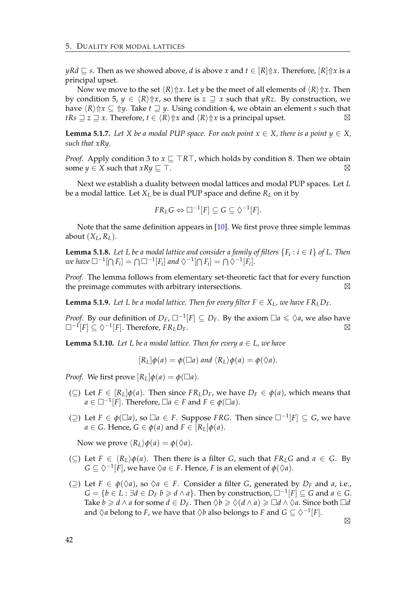$yRd \subseteq s$ . Then as we showed above, *d* is above *x* and  $t \in [R]\Uparrow x$ . Therefore,  $[R]\Uparrow x$  is a principal upset.

Now we move to the set  $\langle R \rangle \hat{\uparrow} x$ . Let *y* be the meet of all elements of  $\langle R \rangle \hat{\uparrow} x$ . Then by condition 5,  $y \in \langle R \rangle \text{ for } x$ , so there is  $z \supseteq x$  such that *yRz*. By construction, we have  $\langle R \rangle \text{d} x \subseteq \text{d} y$ . Take  $t \sqsupseteq y$ . Using condition 4, we obtain an element *s* such that *tRs*  $\supseteq$  *z*  $\supseteq$  *x*. Therefore, *t*  $\in$   $\langle R \rangle \text{$  $\uparrow$ *x* and  $\langle R \rangle \text{ } \uparrow$ *x* is a principal upset.  $\supseteq$ 

<span id="page-45-3"></span>**Lemma 5.1.7.** *Let X be a modal PUP space. For each point*  $x \in X$ *, there is a point*  $y \in X$ *, such that xRy.*

*Proof.* Apply condition 3 to  $x \subseteq TRT$ , which holds by condition 8. Then we obtain some  $y \in X$  such that  $xRy \sqsubset \top$ .

Next we establish a duality between modal lattices and modal PUP spaces. Let *L* be a modal lattice. Let *X<sup>L</sup>* be is dual PUP space and define *R<sup>L</sup>* on it by

$$
FR_L G \Leftrightarrow \Box^{-1}[F] \subseteq G \subseteq \Diamond^{-1}[F].
$$

Note that the same definition appears in [\[10\]](#page-88-0). We first prove three simple lemmas about  $(X_L, R_L)$ .

<span id="page-45-1"></span>**Lemma 5.1.8.** Let L be a modal lattice and consider a family of filters  $\{F_i : i \in I\}$  of L. Then  $\omega e$  have  $\Box^{-1}[\bigcap F_i] = \bigcap \Box^{-1}[F_i]$  and  $\Diamond^{-1}[\bigcap F_i] = \bigcap \Diamond^{-1}[F_i].$ 

*Proof.* The lemma follows from elementary set-theoretic fact that for every function the preimage commutes with arbitrary intersections.  $\boxtimes$ 

<span id="page-45-2"></span>**Lemma 5.1.9.** Let L be a modal lattice. Then for every filter  $F \in X_L$ , we have  $FR_L D_F$ .

*Proof.* By our definition of  $D_F$ ,  $\square^{-1}[F] \subseteq D_F$ . By the axiom  $\square a \leq \Diamond a$ , we also have  $\Box^{-1}[F] \subseteq \Diamond^{-1}[F]$ . Therefore,  $FR_L D_F$ .  $\Box$ 

<span id="page-45-0"></span>**Lemma 5.1.10.** Let L be a modal lattice. Then for every  $a \in L$ , we have

$$
[R_L]\phi(a) = \phi(\Box a) \text{ and } \langle R_L \rangle \phi(a) = \phi(\Diamond a).
$$

*Proof.* We first prove  $[R_L] \phi(a) = \phi(\Box a)$ .

- (⊆) Let *F* ∈  $[R_L]$  $\phi$ (*a*). Then since *FR*<sub>*L*</sub> $D_F$ , we have  $D_F$  ∈  $\phi$ (*a*), which means that  $a \in \Box^{-1}[F]$ . Therefore,  $\Box a \in F$  and  $F \in \phi(\Box a)$ .
- $( ⊇)$  Let  $F ∈ φ(□a)$ , so  $□a ∈ F$ . Suppose *FRG*. Then since  $□^{-1}[F] ⊆ G$ , we have  $a \in G$ . Hence,  $G \in \phi(a)$  and  $F \in [R_L] \phi(a)$ .

Now we prove  $\langle R_L \rangle \phi(a) = \phi(\Diamond a)$ .

- $(\subseteq)$  Let *F* ∈  $\langle R_L \rangle \phi(a)$ . Then there is a filter *G*, such that *FR*<sub>*L*</sub>*G* and *a* ∈ *G*. By  $G \subseteq \Diamond^{-1}[F]$ , we have  $\Diamond a \in F$ . Hence, *F* is an element of  $\phi(\Diamond a)$ .
- (⊇) Let *F* ∈  $\phi$ ( $\Diamond a$ ), so  $\Diamond a$  ∈ *F*. Consider a filter *G*, generated by *D<sub>F</sub>* and *a*, i.e.,  $G = \{b \in L : \exists d \in D_F \ b \geq d \wedge a\}$ . Then by construction,  $\Box^{-1}[F] \subseteq G$  and  $a \in G$ . Take *b*  $\ge d \wedge a$  for some  $d \in D_F$ . Then  $\Diamond b \ge \Diamond (d \wedge a) \ge \Box d \wedge \Diamond a$ . Since both  $\Box d$ and  $\Diamond a$  belong to *F*, we have that  $\Diamond b$  also belongs to *F* and  $G \subseteq \Diamond^{-1}[F]$ .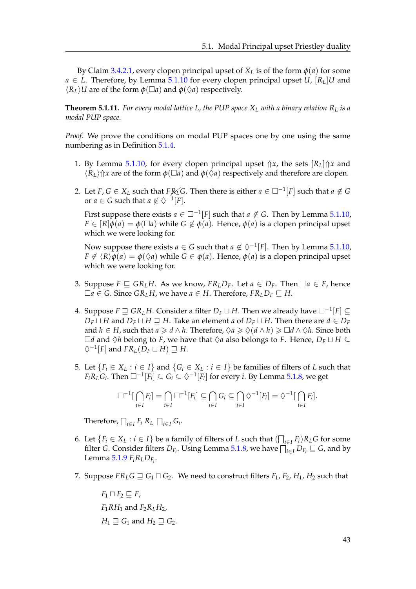By Claim [3.4.2.1,](#page-28-0) every clopen principal upset of  $X_L$  is of the form  $\phi(a)$  for some  $a \in L$ . Therefore, by Lemma [5.1.10](#page-45-0) for every clopen principal upset *U*,  $[R_L]$ *U* and  $\langle R_L \rangle U$  are of the form  $\phi(\Box a)$  and  $\phi(\Diamond a)$  respectively.

**Theorem 5.1.11.** For every modal lattice L, the PUP space  $X_L$  with a binary relation  $R_L$  is a *modal PUP space.*

*Proof.* We prove the conditions on modal PUP spaces one by one using the same numbering as in Definition [5.1.4.](#page-43-0)

- 1. By Lemma [5.1.10,](#page-45-0) for every clopen principal upset  $\Uparrow x$ , the sets  $[R_L]\Uparrow x$  and  $\langle R_L \rangle$   $\Uparrow x$  are of the form  $\phi(\Box a)$  and  $\phi(\Diamond a)$  respectively and therefore are clopen.
- 2. Let  $F, G \in X_L$  such that  $F \mathcal{R}_L G$ . Then there is either  $a \in \Box^{-1}[F]$  such that  $a \notin G$ or  $a \in G$  such that  $a \notin \Diamond^{-1}[F]$ .

First suppose there exists  $a \in \Box^{-1}[F]$  such that  $a \notin G$ . Then by Lemma [5.1.10,](#page-45-0)  $F \in [R] \phi(a) = \phi(\Box a)$  while  $G \notin \phi(a)$ . Hence,  $\phi(a)$  is a clopen principal upset which we were looking for.

Now suppose there exists  $a \in G$  such that  $a \notin \Diamond^{-1}[F]$ . Then by Lemma [5.1.10,](#page-45-0) *F*  $\notin \langle R \rangle \phi(a) = \phi(\Diamond a)$  while  $G \in \phi(a)$ . Hence,  $\phi(a)$  is a clopen principal upset which we were looking for.

- 3. Suppose  $F \subseteq \mathbb{G}R_LH$ . As we know,  $FR_LD_F$ . Let  $a \in D_F$ . Then  $\Box a \in F$ , hence  $\Box a$  ∈ *G*. Since *GR*<sup>*LH*</sup>, we have *a* ∈ *H*. Therefore,  $FR$ <sup>*LD*</sup>*F*  $\subseteq$  *H*.
- 4. Suppose  $F ⊒ GR$ <sub>*L</sub>H*. Consider a filter  $D_F ⊔ H$ . Then we already have  $□^{-1}[F] ⊆ I$ </sub> *D*<sup>*F*</sup>  $\perp$  *H* and *D*<sup>*F*</sup>  $\perp$  *H*. Take an element *a* of *D*<sup>*F*</sup>  $\perp$  *H*. Then there are *d* ∈ *D*<sup>*F*</sup> and  $h \in H$ , such that  $a \geq d \wedge h$ . Therefore,  $\Diamond a \geq \Diamond (d \wedge h) \geq \Box d \wedge \Diamond h$ . Since both  $\Box$ *d* and  $\Diamond$ *h* belong to *F*, we have that  $\Diamond$ *a* also belongs to *F*. Hence, *D<sub>F</sub>*  $\Box$  *H* ⊆  $\Diamond^{-1}[F]$  and  $FR_L(\breve{D_F} \sqcup H) \sqsupseteq H.$
- 5. Let  ${F_i \in X_L : i \in I}$  and  ${G_i \in X_L : i \in I}$  be families of filters of *L* such that  $F_iR_LG_i$ . Then  $\square^{-1}[F_i]\subseteq G_i\subseteq \Diamond^{-1}[F_i]$  for every *i*. By Lemma [5.1.8,](#page-45-1) we get

$$
\Box^{-1}[\bigcap_{i\in I}F_i]=\bigcap_{i\in I}\Box^{-1}[F_i]\subseteq\bigcap_{i\in I}G_i\subseteq\bigcap_{i\in I}\Diamond^{-1}[F_i]=\Diamond^{-1}[\bigcap_{i\in I}F_i].
$$

Therefore,  $\bigcap_{i \in I} F_i R_L \bigcap_{i \in I} G_i$ .

- 6. Let  $\{F_i \in X_L : i \in I\}$  be a family of filters of *L* such that  $(\bigcap_{i \in I} F_i)R_L G$  for some filter *G*. Consider filters  $D_{F_i}$ . Using Lemma [5.1.8,](#page-45-1) we have  $\bigcap_{i\in I}D_{F_i}\sqsubseteq G$ , and by Lemma [5.1.9](#page-45-2) *FiRLDF<sup>i</sup>* .
- 7. Suppose  $FR<sub>L</sub>G \supseteq G_1 \sqcap G_2$ . We need to construct filters  $F_1$ ,  $F_2$ ,  $H_1$ ,  $H_2$  such that

 $F_1 \sqcap F_2 \sqsubseteq F$ ,  $F_1RH_1$  and  $F_2R_1H_2$ ,  $H_1 \sqsupseteq G_1$  and  $H_2 \sqsupseteq G_2$ .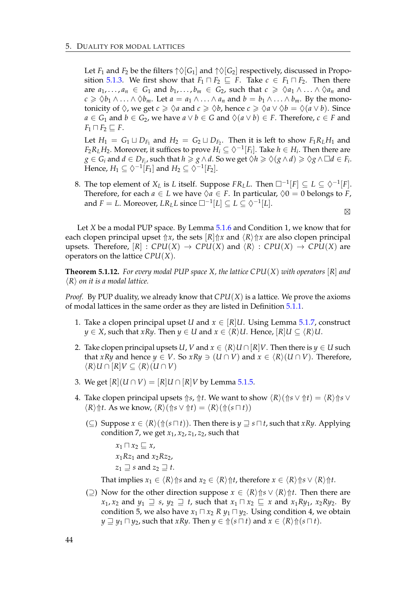Let *F*<sub>1</sub> and *F*<sub>2</sub> be the filters  $\uparrow \Diamond [G_1]$  and  $\uparrow \Diamond [G_2]$  respectively, discussed in Propo-sition [5.1.3.](#page-43-1) We first show that  $F_1 \sqcap F_2 \sqsubseteq F$ . Take  $c \in F_1 \sqcap F_2$ . Then there are  $a_1, \ldots, a_n \in G_1$  and  $b_1, \ldots, b_m \in G_2$ , such that  $c \geq \sqrt{a_1 \wedge \ldots \wedge \sqrt{a_n}}$  and *c* ≥  $\diamondsuit b_1 \wedge \ldots \wedge \diamondsuit b_m$ . Let *a* = *a*<sub>1</sub> ∧ ... ∧ *a*<sub>*n*</sub> and *b* = *b*<sub>1</sub> ∧ ... ∧ *b*<sub>*m*</sub>. By the monotonicity of  $\Diamond$ , we get  $c \ge \Diamond a$  and  $c \ge \Diamond b$ , hence  $c \ge \Diamond a \vee \Diamond b = \Diamond (a \vee b)$ . Since *a* ∈ *G*<sub>1</sub> and *b* ∈ *G*<sub>2</sub>, we have *a*  $\lor$  *b* ∈ *G* and  $\Diamond$ (*a*  $\lor$  *b*) ∈ *F*. Therefore, *c* ∈ *F* and  $F_1 \sqcap F_2 \sqsubseteq F$ .

Let  $H_1 = G_1 \sqcup D_{F_1}$  and  $H_2 = G_2 \sqcup D_{F_2}$ . Then it is left to show  $F_1R_LH_1$  and  $F_2R_LH_2$ . Moreover, it suffices to prove  $H_i \subseteq \Diamond^{-1}[F_i]$ . Take  $h \in H_i$ . Then there are  $g \in G_i$  and  $d \in D_{F_i}$ , such that  $h \geqslant g \wedge d$ . So we get  $\Diamond h \geqslant \Diamond (g \wedge d) \geqslant \Diamond g \wedge \Box d \in F_i$ . Hence,  $H_1 \subseteq \Diamond^{-1}[F_1]$  and  $H_2 \subseteq \Diamond^{-1}[F_2]$ .

8. The top element of  $X_L$  is *L* itself. Suppose  $FR_L L$ . Then  $\square^{-1}[F] \subseteq L \subseteq \Diamond^{-1}[F]$ . Therefore, for each  $a \in L$  we have  $\Diamond a \in F$ . In particular,  $\Diamond 0 = 0$  belongs to *F*, and  $F = L$ . Moreover,  $LR_L L$  since  $\square^{-1}[L] \subseteq L \subseteq \Diamond^{-1}[L]$ .  $\boxtimes$ 

Let *X* be a modal PUP space. By Lemma [5.1.6](#page-44-0) and Condition 1, we know that for each clopen principal upset  $\hat{}$  *n*, the sets  $R$  $\hat{}$  *n* and  $\langle R \rangle \hat{}$ *n* are also clopen principal upsets. Therefore,  $[R] : CPU(X) \rightarrow CPU(X)$  and  $\langle R \rangle : CPU(X) \rightarrow CPU(X)$  are operators on the lattice *CPU*(*X*).

<span id="page-47-0"></span>**Theorem 5.1.12.** *For every modal PUP space X, the lattice CPU*(*X*) *with operators* [*R*] *and*  $\langle R \rangle$  *on it is a modal lattice.* 

*Proof.* By PUP duality, we already know that *CPU*(*X*) is a lattice. We prove the axioms of modal lattices in the same order as they are listed in Definition [5.1.1.](#page-42-1)

- 1. Take a clopen principal upset *U* and  $x \in [R]U$ . Using Lemma [5.1.7,](#page-45-3) construct *y* ∈ *X*, such that *xRy*. Then *y* ∈ *U* and *x* ∈  $\langle R \rangle$ *U*. Hence,  $\lceil R \rceil$ *U* ⊆  $\langle R \rangle$ *U*.
- 2. Take clopen principal upsets *U*, *V* and  $x \in \langle R \rangle U \cap [R]V$ . Then there is  $y \in U$  such that *xRy* and hence  $y \in V$ . So *xRy*  $\ni$   $(U \cap V)$  and  $x \in \langle R \rangle$   $(U \cap V)$ . Therefore,  $\langle R \rangle$ *U* ∩  $[R]$ *V*  $\subseteq$   $\langle R \rangle$  (*U* ∩ *V*)
- 3. We get  $[R|(U \cap V) = [R]U \cap [R]V$  by Lemma [5.1.5.](#page-44-1)
- 4. Take clopen principal upsets  $\Uparrow s$ ,  $\Uparrow t$ . We want to show  $\langle R \rangle (\Uparrow s \vee \Uparrow t) = \langle R \rangle \Uparrow s \vee$  $\langle R \rangle \hat{\uparrow} t$ . As we know,  $\langle R \rangle (\hat{\uparrow} s \vee \hat{\uparrow} t) = \langle R \rangle (\hat{\uparrow} (s \sqcap t))$ 
	- (⊆) Suppose  $x \in \langle R \rangle (\Uparrow (s \sqcap t))$ . Then there is  $y \sqsupseteq s \sqcap t$ , such that *xRy*. Applying condition 7, we get  $x_1$ ,  $x_2$ ,  $z_1$ ,  $z_2$ , such that

 $x_1 \sqcap x_2 \sqsubseteq x$ , *x*1*Rz*<sup>1</sup> and *x*2*Rz*2,  $z_1 \sqsupseteq s$  and  $z_2 \sqsupseteq t$ .

That implies  $x_1 \in \langle R \rangle \text{ for all } x_2 \in \langle R \rangle \text{ for } t$ , therefore  $x \in \langle R \rangle \text{ for } \langle R \rangle \text{ for } t$ .

(⊇) Now for the other direction suppose  $x \in \langle R \rangle \text{ (}s \vee \langle R \rangle \text{ (}t)$ . Then there are  $x_1, x_2$  and  $y_1 \supseteq s$ ,  $y_2 \supseteq t$ , such that  $x_1 \sqcap x_2 \sqsubseteq x$  and  $x_1 R y_1, x_2 R y_2$ . By condition 5, we also have  $x_1 \sqcap x_2$ ,  $R$   $y_1 \sqcap y_2$ . Using condition 4, we obtain  $y \supseteq y_1 \sqcap y_2$ , such that *xRy*. Then  $y \in \text{ft}(s \sqcap t)$  and  $x \in \langle R \rangle \text{ft}(s \sqcap t)$ .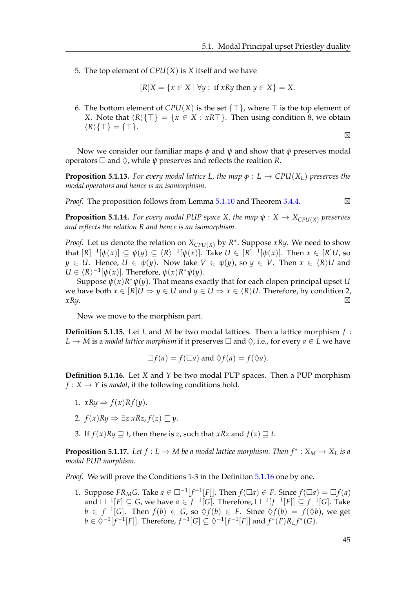5. The top element of *CPU*(*X*) is *X* itself and we have

$$
[R]X = \{x \in X \mid \forall y : \text{ if } xRy \text{ then } y \in X\} = X.
$$

6. The bottom element of  $CPU(X)$  is the set  $\{\top\}$ , where  $\top$  is the top element of *X*. Note that  $\langle R \rangle$ { $\top$ } = { $x \in X : xR\top$ }. Then using condition 8, we obtain  $\langle R \rangle \{T\} = \{T\}.$  $\boxtimes$ 

Now we consider our familiar maps *φ* and *ψ* and show that *φ* preserves modal operators  $\square$  and  $\lozenge$ , while  $\psi$  preserves and reflects the realtion *R*.

**Proposition 5.1.13.** For every modal lattice L, the map  $\phi : L \to CPU(X_L)$  preserves the *modal operators and hence is an isomorphism.*

*Proof.* The proposition follows from Lemma [5.1.10](#page-45-0) and Theorem [3.4.4.](#page-29-0)  $\boxtimes$ 

**Proposition 5.1.14.** *For every modal PUP space X, the map*  $\psi$  :  $X \to X_{\text{CPI}(X)}$  *preserves and reflects the relation R and hence is an isomorphism.*

*Proof.* Let us denote the relation on  $X_{\text{CPU}(X)}$  by  $R^*$ . Suppose *xRy*. We need to show that  $[R]^{-1}[\psi(x)] \subseteq \psi(y) \subseteq \langle R \rangle^{-1}[\psi(x)]$ . Take  $U \in [R]^{-1}[\psi(x)]$ . Then  $x \in [R]U$ , so  $y \in U$ . Hence,  $U \in \psi(y)$ . Now take  $V \in \psi(y)$ , so  $y \in V$ . Then  $x \in \langle R \rangle U$  and  $U \in \langle R \rangle^{-1}[\psi(x)]$ . Therefore,  $\psi(x)R^*\psi(y)$ .

Suppose *ψ*(*x*)*R* <sup>∗</sup>*ψ*(*y*). That means exactly that for each clopen principal upset *U* we have both  $x \in [R]U \Rightarrow y \in U$  and  $y \in U \Rightarrow x \in \langle R \rangle U$ . Therefore, by condition 2,  $xRy.$ ⊠

Now we move to the morphism part.

**Definition 5.1.15.** Let *L* and *M* be two modal lattices. Then a lattice morphism *f* :  $L \to M$  is a *modal lattice morphism* if it preserves  $\Box$  and  $\Diamond$ , i.e., for every  $a \in L$  we have

$$
\Box f(a) = f(\Box a) \text{ and } \Diamond f(a) = f(\Diamond a).
$$

<span id="page-48-0"></span>**Definition 5.1.16.** Let *X* and *Y* be two modal PUP spaces. Then a PUP morphism  $f: X \rightarrow Y$  is *modal*, if the following conditions hold.

- 1.  $xRy \Rightarrow f(x)Rf(y)$ .
- 2.  $f(x)Ry \Rightarrow \exists z \ xRz, f(z) \sqsubset y$ .
- 3. If  $f(x)Ry \supseteq t$ , then there is *z*, such that *xRz* and  $f(z) \supseteq t$ .

**Proposition 5.1.17.** Let  $f: L \to M$  be a modal lattice morphism. Then  $f^*: X_M \to X_L$  is a *modal PUP morphism.*

*Proof.* We will prove the Conditions 1-3 in the Definiton [5.1.16](#page-48-0) one by one.

1. Suppose  $FR_MG$ . Take  $a \in \Box^{-1}[f^{-1}[F]]$ . Then  $f(\Box a) \in F$ . Since  $f(\Box a) = \Box f(a)$ and  $□^{-1}[F] ⊆ G$ , we have  $a ∈ f^{-1}[G]$ . Therefore,  $□^{-1}[f^{-1}[F]] ⊆ f^{-1}[G]$ . Take *b* ∈  $f^{-1}[G]$ . Then  $f(b)$  ∈ *G*, so  $\Diamond f(b)$  ∈ *F*. Since  $\Diamond f(b) = f(\Diamond b)$ , we get  $b \in \Diamond^{-1}[f^{-1}[F]]$ . Therefore,  $f^{-1}[G] \subseteq \Diamond^{-1}[f^{-1}[F]]$  and  $f^*(F)R_Lf^*(G)$ .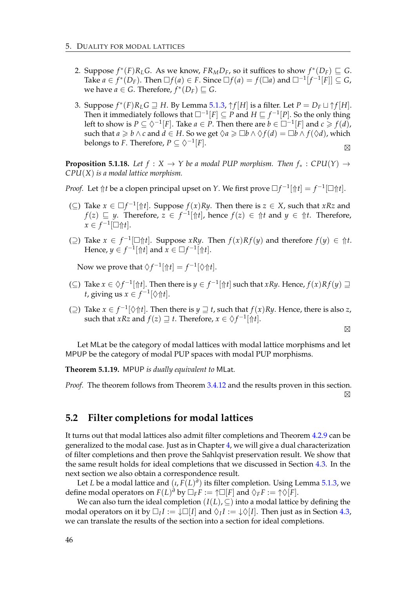- 2. Suppose  $f^*(F)R_LG$ . As we know,  $FR_MD_F$ , so it suffices to show  $f^*(D_F) \sqsubseteq G$ . Take  $a \in f^*(D_F)$ . Then  $\Box f(a) \in F$ . Since  $\Box f(a) = f(\Box a)$  and  $\Box^{-1}[f^{-1}[F]] \subseteq G$ , we have  $a \in G$ . Therefore,  $f^*(D_F) \sqsubseteq G$ .
- 3. Suppose  $f^*(F)R_L G \supseteq H$ . By Lemma [5.1.3,](#page-43-1)  $\uparrow f[H]$  is a filter. Let  $P = D_F \sqcup \uparrow f[H]$ . Then it immediately follows that  $\square^{-1}[F] \subseteq P$  and  $H \sqsubseteq f^{-1}[P]$ . So the only thing left to show is  $P \subseteq \Diamond^{-1}[F]$ . Take  $a \in P$ . Then there are  $b \in \Box^{-1}[F]$  and  $c \geq f(d)$ , such that  $a \ge b \wedge c$  and  $d \in H$ . So we get  $\Diamond a \ge \Box b \wedge \Diamond f(d) = \Box b \wedge f(\Diamond d)$ , which belongs to *F*. Therefore,  $P \subseteq \Diamond^{-1}[F]$ .  $\boxtimes$

**Proposition 5.1.18.** Let  $f : X \to Y$  be a modal PUP morphism. Then  $f_* : CPU(Y) \to$ *CPU*(*X*) *is a modal lattice morphism.*

- *Proof.* Let  $\Uparrow t$  be a clopen principal upset on *Y*. We first prove  $\Box f^{-1}[\Uparrow t] = f^{-1}[\Box \Uparrow t]$ .
- (⊆) Take  $x \in \Box f^{-1}[\Uparrow t]$ . Suppose  $f(x)Ry$ . Then there is  $z \in X$ , such that  $xRz$  and *f*(*z*)  $\subseteq$  *y*. Therefore, *z* ∈ *f*<sup>-1</sup>[↑*t*], hence *f*(*z*) ∈ ↑*t* and *y* ∈ ↑*t*. Therefore,  $x \in f^{-1}[\Box \Uparrow t].$
- (⊇) Take  $x \in f^{-1}$ [□ $\Uparrow t$ ]. Suppose *xRy*. Then  $f(x)Rf(y)$  and therefore  $f(y) \in \Uparrow t$ . Hence,  $y \in f^{-1}[\hat{\uparrow}t]$  and  $x \in \Box f^{-1}[\hat{\uparrow}t]$ .

Now we prove that  $\Diamond f^{-1}[\Uparrow t] = f^{-1}[\Diamond \Uparrow t].$ 

- (⊆) Take  $x \in \Diamond f^{-1}[\Uparrow t]$ . Then there is  $y \in f^{-1}[\Uparrow t]$  such that *xRy*. Hence,  $f(x)Rf(y)$   $\Box$ *t*, giving us  $x \in f^{-1}[\Diamond \Uparrow t]$ .
- ( $\supseteq$ ) Take *x* ∈ *f*<sup>-1</sup>[ $\Diamond$  $\Uparrow$ *f*</sub>. Then there is *y*  $\supseteq$  *t*, such that *f*(*x*)*Ry*. Hence, there is also *z*, such that *xRz* and  $f(z) \sqsupseteq t$ . Therefore,  $x \in \Diamond f^{-1}[\Uparrow t]$ .

 $\boxtimes$ 

Let MLat be the category of modal lattices with modal lattice morphisms and let MPUP be the category of modal PUP spaces with modal PUP morphisms.

**Theorem 5.1.19.** MPUP *is dually equivalent to* MLat*.*

*Proof.* The theorem follows from Theorem [3.4.12](#page-32-0) and the results proven in this section.  $\boxtimes$ 

#### **5.2 Filter completions for modal lattices**

It turns out that modal lattices also admit filter completions and Theorem [4.2.9](#page-39-0) can be generalized to the modal case. Just as in Chapter [4,](#page-34-0) we will give a dual characterization of filter completions and then prove the Sahlqvist preservation result. We show that the same result holds for ideal completions that we discussed in Section [4.3.](#page-39-3) In the next section we also obtain a correspondence result.

Let *L* be a modal lattice and (*ι*, *F*(*L*) *∂* ) its filter completion. Using Lemma [5.1.3,](#page-43-1) we define modal operators on  $F(L)^{\partial}$  by  $\Box_F F := \uparrow \Box[F]$  and  $\Diamond_F F := \uparrow \Diamond[F]$ .

We can also turn the ideal completion  $(I(L), \subseteq)$  into a modal lattice by defining the modal operators on it by  $\Box_I I := \Box \Box [I]$  and  $\Diamond_I I := \Box \Diamond [I]$ . Then just as in Section [4.3,](#page-39-3) we can translate the results of the section into a section for ideal completions.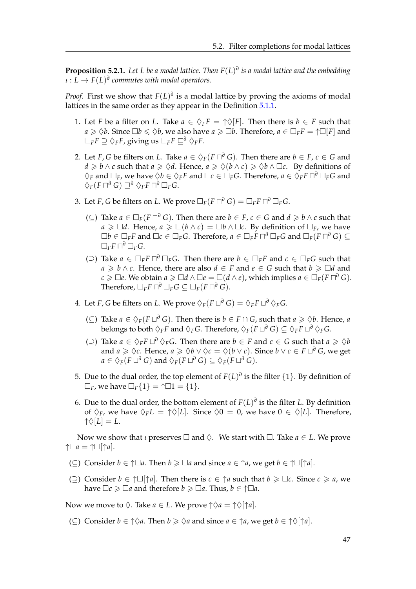**Proposition 5.2.1.** *Let L be a modal lattice. Then F*(*L*) *∂ is a modal lattice and the embedding*  $\iota: L \to F(L)^d$  commutes with modal operators.

*Proof.* First we show that  $F(L)$ <sup> $\theta$ </sup> is a modal lattice by proving the axioms of modal lattices in the same order as they appear in the Definition [5.1.1.](#page-42-1)

- 1. Let *F* be a filter on *L*. Take  $a \in \Diamond_F F = \Diamond F$ . Then there is  $b \in F$  such that  $a \ge \Diamond b$ . Since  $\Box b \le \Diamond b$ , we also have  $a \ge \Box b$ . Therefore,  $a \in \Box_F F = \uparrow \Box [F]$  and  $\Box$ *F***F**  $\supset \Diamond$ *FF*, giving us  $\Box$ *F***F**  $\Box$ <sup>*F*</sup> $\Diamond$ *F***F**.
- 2. Let *F*, *G* be filters on *L*. Take  $a \in \Diamond_F(F \sqcap^{\partial} G)$ . Then there are  $b \in F$ ,  $c \in G$  and *d* ≥ *b* ∧ *c* such that *a* ≥  $\Diamond d$ . Hence, *a* ≥  $\Diamond (b \land c)$  ≥  $\Diamond b \land \Box c$ . By definitions of  $\Diamond_F$  and  $\Box_F$ , we have  $\Diamond b \in \Diamond_F F$  and  $\Box c \in \Box_F G$ . Therefore,  $a \in \Diamond_F F \sqcap^{\partial} \Box_F G$  and  $\diamondsuit$ <sub>*F*</sub>(*F*  $\Box$ <sup>∂</sup>  $\Box$ <sup>∂</sup>  $\Box$ <sup>*F*</sup> $\Box$ *FG*.
- 3. Let *F*, *G* be filters on *L*. We prove  $\Box_F(F \sqcap^{\partial} G) = \Box_F F \sqcap^{\partial} \Box_F G$ .
	- (⊆) Take  $a \in \Box_F(F \sqcap^{\partial} G)$ . Then there are  $b \in F$ ,  $c \in G$  and  $d \ge b \land c$  such that *a* ≥  $\Box$ *d*. Hence, *a* ≥  $\Box$ (*b* ∧ *c*) =  $\Box$ *b* ∧  $\Box$ *c*. By definition of  $\Box$ <sub>*F*</sub>, we have  $\Box b\in \Box_F F$  and  $\Box c\in \Box_F G$ . Therefore,  $a\in \Box_F \tilde{F}\sqcap^{\partial}\Box_F G$  and  $\Box_F (F\sqcap^{\partial} G)\subseteq^{\partial} F$  $\Box$ *F***F**  $\Box$ <sup>*F*</sup> $\Box$ *F***G**.
	- ( $\supseteq$ ) Take *a* ∈  $\Box$ *FF*  $\Box$ <sup>*P*</sup>  $\Box$ *FG*. Then there are *b* ∈  $\Box$ *FF* and *c* ∈  $\Box$ *FG* such that *a* ≥ *b* ∧ *c*. Hence, there are also *d* ∈ *F* and *e* ∈ *G* such that *b* ≥  $\Box$ *d* and *c* ≥ □*e*. We obtain  $a$  ≥ □*d* ∧ □*e* = □(*d* ∧ *e*), which implies  $a \in \Box_F(F \sqcap^{\partial} G)$ .  $\Box$ *F*  $\Box$ *F*  $\Box$ *F*  $\Box$ *F*  $G \subseteq \Box$ *F*  $(F \sqcap$ <sup>*∂*</sup> *G* $).$
- 4. Let *F*, *G* be filters on *L*. We prove  $\Diamond_F(F \sqcup^{\partial} G) = \Diamond_F F \sqcup^{\partial} \Diamond_F G$ .
	- (⊆) Take  $a \in \Diamond_F(F \sqcup^{\partial} G)$ . Then there is  $b \in F \cap G$ , such that  $a \ge \Diamond b$ . Hence, *a*  $\bigcirc$  belongs to both  $\Diamond_F F$  and  $\Diamond_F G$ . Therefore,  $\Diamond_F (F \sqcup^{\partial} G) \subseteq \Diamond_F F \sqcup^{\partial} \Diamond_F G$ .
	- (2) Take *a* ∈  $\Diamond$ <sub>*F*</sub>*F*  $\Box$ <sup>*∂*</sup>  $\Diamond$ <sub>*F*</sub>*G*. Then there are *b* ∈ *F* and *c* ∈ *G* such that *a* ≥  $\Diamond$ *b* and  $a \geq \Diamond c$ . Hence,  $a \geq \Diamond b \vee \Diamond c = \Diamond (b \vee c)$ . Since  $b \vee c \in F \sqcup^{\partial} G$ , we get  $a \in \Diamond_F(F \sqcup^{\partial} G)$  and  $\Diamond_F(F \sqcup^{\partial} G) \subseteq \Diamond_F(F \sqcup^{\partial} G).$
- 5. Due to the dual order, the top element of  $F(L)^{\sigma}$  is the filter  $\{1\}$ . By definition of  $\Box_F$ , we have  $\Box_F\{1\} = \uparrow \Box 1 = \{1\}.$
- 6. Due to the dual order, the bottom element of  $F(L)^{\partial}$  is the filter *L*. By definition of  $\Diamond_F$ , we have  $\Diamond_F L = \Diamond[\bot]$ . Since  $\Diamond 0 = 0$ , we have  $0 \in \Diamond[L]$ . Therefore,  $\uparrow \Diamond [L] = L.$

Now we show that *ι* preserves  $\Box$  and  $\Diamond$ . We start with  $\Box$ . Take  $a \in L$ . We prove  $↑□a = ↑□[↑a].$ 

- (⊂) Consider  $b \in \uparrow \Box a$ . Then  $b \geq \Box a$  and since  $a \in \uparrow a$ , we get  $b \in \uparrow \Box [\uparrow a]$ .
- (○) Consider  $b \in \uparrow \Box \uparrow a$ . Then there is  $c \in \uparrow a$  such that  $b \geq \Box c$ . Since  $c \geq a$ , we have  $\Box c \ge \Box a$  and therefore  $b \ge \Box a$ . Thus,  $b \in \uparrow \Box a$ .

Now we move to  $\Diamond$ . Take  $a \in L$ . We prove  $\Diamond a = \Diamond \Diamond \dag a$ .

(⊂) Consider  $b \in \uparrow \Diamond a$ . Then  $b \geq \Diamond a$  and since  $a \in \uparrow a$ , we get  $b \in \uparrow \Diamond [\uparrow a]$ .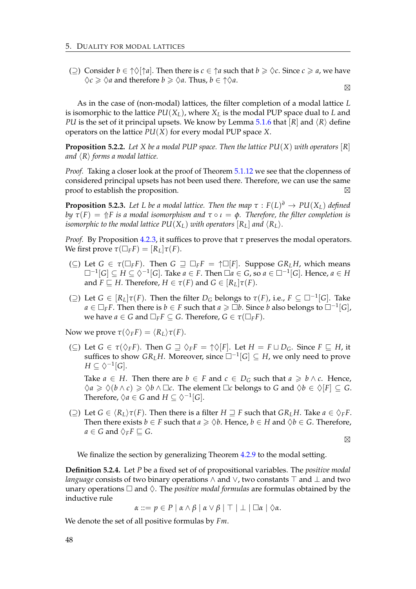(⊇) Consider  $b \in \uparrow \Diamond \uparrow a$ . Then there is  $c \in \uparrow a$  such that  $b \geq \Diamond c$ . Since  $c \geq a$ , we have  $\diamondsuit c \geq \diamondsuit a$  and therefore  $b \geq \diamondsuit a$ . Thus,  $b \in \uparrow \diamondsuit a$ .

 $\boxtimes$ 

As in the case of (non-modal) lattices, the filter completion of a modal lattice *L* is isomorphic to the lattice  $PU(X_L)$ , where  $X_L$  is the modal PUP space dual to *L* and *PU* is the set of it principal upsets. We know by Lemma [5.1.6](#page-44-0) that  $|R|$  and  $\langle R \rangle$  define operators on the lattice *PU*(*X*) for every modal PUP space *X*.

**Proposition 5.2.2.** Let *X* be a modal PUP space. Then the lattice  $PU(X)$  with operators  $[R]$ *and*  $\langle R \rangle$  *forms a modal lattice.* 

*Proof.* Taking a closer look at the proof of Theorem [5.1.12](#page-47-0) we see that the clopenness of considered principal upsets has not been used there. Therefore, we can use the same proof to establish the proposition.  $\boxtimes$ 

**Proposition 5.2.3.** Let L be a modal lattice. Then the map  $\tau : F(L)^{\sigma} \to PU(X_L)$  defined *by*  $\tau$ (*F*) =  $\Uparrow$ *F is a modal isomorphism and*  $\tau \circ \iota = \phi$ *. Therefore, the filter completion is isomorphic to the modal lattice PU*( $X_L$ ) *with operators* [ $R_L$ ] *and*  $\langle R_L \rangle$ *.* 

*Proof.* By Proposition [4.2.3,](#page-36-0) it suffices to prove that *τ* preserves the modal operators. We first prove  $\tau(\Box_F F) = [R_L] \tau(F)$ .

- ( $\subseteq$ ) Let  $G \in \tau(\Box_F F)$ . Then  $G \supseteq \Box_F F = \uparrow \Box [F]$ . Suppose  $GR_L H$ , which means  $\square^{-1}[G] \subseteq H \subseteq \Diamond^{-1}[G]$ . Take  $a \in F$ . Then  $\square a \in G$ , so  $a \in \square^{-1}[G]$ . Hence,  $a \in H$ and *F*  $\sqsubseteq$  *H*. Therefore, *H*  $\in$  *τ*(*F*) and *G*  $\in$   $\lceil R_L \rceil$ *τ*(*F*).
- ( $\supseteq$ ) Let *G* ∈ [*R*<sub>*L*</sub>] $τ$ (*F*). Then the filter *D<sub>G</sub>* belongs to  $τ$ (*F*), i.e., *F* ⊆ □<sup>-1</sup>[*G*]. Take *a* ∈  $\Box$ <sub>*F*</sub>*F*. Then there is *b* ∈ *F* such that *a* ≥  $\Box$ *b*. Since *b* also belongs to  $\Box$ <sup>-1</sup>[*G*], we have  $a \in G$  and  $\Box_F F \subseteq G$ . Therefore,  $G \in \tau(\Box_F F)$ .

Now we prove  $\tau$ ( $\Diamond$ <sub>*F</sub>F*) =  $\langle R$ *L* $\rangle$  $\tau$ (*F*).</sub>

 $(\subseteq)$  Let  $G \in \tau(\Diamond_F F)$ . Then  $G \sqsupseteq \Diamond_F F = \uparrow \Diamond[F]$ . Let  $H = F \sqcup D_G$ . Since  $F \sqsubseteq H$ , it suffices to show  $GR_LH$ . Moreover, since  $\Box^{-1}[G] \subseteq H$ , we only need to prove  $H \subseteq \Diamond^{-1}[G].$ 

Take *a* ∈ *H*. Then there are *b* ∈ *F* and *c* ∈ *D<sub>G</sub>* such that *a*  $\geq b \land c$ . Hence,  $\Diamond a \geq \Diamond (b \land c) \geq \Diamond b \land \Box c$ . The element  $\Box c$  belongs to *G* and  $\Diamond b \in \Diamond [F] \subset G$ . Therefore,  $\Diamond a \in G$  and  $H \subseteq \Diamond^{-1}[G]$ .

(⊇) Let *G* ∈  $\langle R_L \rangle \tau(F)$ . Then there is a filter *H*  $\supseteq$  *F* such that *GRLH*. Take *a* ∈  $\Diamond_F F$ . Then there exists *b*  $\in$  *F* such that *a*  $\geq$   $\Diamond$ *b*. Hence, *b*  $\in$  *H* and  $\Diamond$ *b*  $\in$  *G*. Therefore,  $a \in G$  and  $\Diamond_F F \sqsubseteq G$ .

 $\boxtimes$ 

We finalize the section by generalizing Theorem [4.2.9](#page-39-0) to the modal setting.

**Definition 5.2.4.** Let *P* be a fixed set of of propositional variables. The *positive modal language* consists of two binary operations  $\land$  and  $\lor$ , two constants  $\top$  and  $\bot$  and two unary operations  $\Box$  and  $\Diamond$ . The *positive modal formulas* are formulas obtained by the inductive rule

 $\alpha ::= p \in P \mid \alpha \wedge \beta \mid \alpha \vee \beta \mid \top \mid \bot \mid \Box \alpha \mid \Diamond \alpha.$ 

We denote the set of all positive formulas by *Fm*.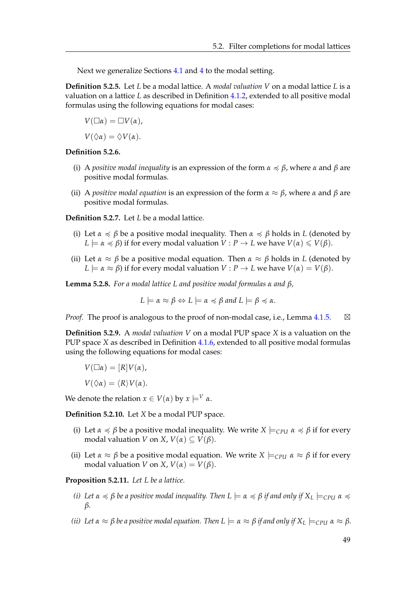Next we generalize Sections [4.1](#page-34-1) and [4](#page-34-0) to the modal setting.

**Definition 5.2.5.** Let *L* be a modal lattice. A *modal valuation V* on a modal lattice *L* is a valuation on a lattice *L* as described in Definition [4.1.2,](#page-34-2) extended to all positive modal formulas using the following equations for modal cases:

$$
V(\Box \alpha) = \Box V(\alpha),
$$

 $V(\Diamond \alpha) = \Diamond V(\alpha).$ 

#### **Definition 5.2.6.**

- (i) A *positive modal inequality* is an expression of the form  $\alpha \preccurlyeq \beta$ , where  $\alpha$  and  $\beta$  are positive modal formulas.
- (ii) A *positive modal equation* is an expression of the form *α* ≈ *β*, where *α* and *β* are positive modal formulas.

**Definition 5.2.7.** Let *L* be a modal lattice.

- (i) Let  $\alpha \preccurlyeq \beta$  be a positive modal inequality. Then  $\alpha \preccurlyeq \beta$  holds in *L* (denoted by  $L \models \alpha \preccurlyeq \beta$ ) if for every modal valuation  $V : P \rightarrow L$  we have  $V(\alpha) \leq V(\beta)$ .
- (ii) Let  $\alpha \approx \beta$  be a positive modal equation. Then  $\alpha \approx \beta$  holds in *L* (denoted by  $L \models \alpha \approx \beta$ ) if for every modal valuation  $V : P \rightarrow L$  we have  $V(\alpha) = V(\beta)$ .

**Lemma 5.2.8.** *For a modal lattice L and positive modal formulas α and β,*

$$
L \models \alpha \approx \beta \Leftrightarrow L \models \alpha \preccurlyeq \beta \text{ and } L \models \beta \preccurlyeq \alpha.
$$

*Proof.* The proof is analogous to the proof of non-modal case, i.e., Lemma [4.1.5.](#page-35-0)  $\boxtimes$ 

**Definition 5.2.9.** A *modal valuation V* on a modal PUP space *X* is a valuation on the PUP space *X* as described in Definition [4.1.6,](#page-35-1) extended to all positive modal formulas using the following equations for modal cases:

$$
V(\Box \alpha)=[R]V(\alpha),
$$

$$
V(\Diamond \alpha) = \langle R \rangle V(\alpha).
$$

We denote the relation  $x \in V(\alpha)$  by  $x \models^V \alpha$ .

**Definition 5.2.10.** Let *X* be a modal PUP space.

- (i) Let  $\alpha \preccurlyeq \beta$  be a positive modal inequality. We write  $X \models_{\text{CPU}} \alpha \preccurlyeq \beta$  if for every modal valuation *V* on *X*,  $V(\alpha) \subseteq V(\beta)$ .
- (ii) Let  $\alpha \approx \beta$  be a positive modal equation. We write  $X \models_{\text{CPI}} \alpha \approx \beta$  if for every modal valuation *V* on *X*,  $V(\alpha) = V(\beta)$ .

**Proposition 5.2.11.** *Let L be a lattice.*

- *(i)* Let  $\alpha \le \beta$  be a positive modal inequality. Then  $L \models \alpha \le \beta$  if and only if  $X_L \models_{CPI} \alpha \le \beta$ *β.*
- *(ii) Let*  $\alpha \approx \beta$  *be a positive modal equation. Then*  $L \models \alpha \approx \beta$  *if and only if*  $X_L \models_{\text{CPU}} \alpha \approx \beta$ *.*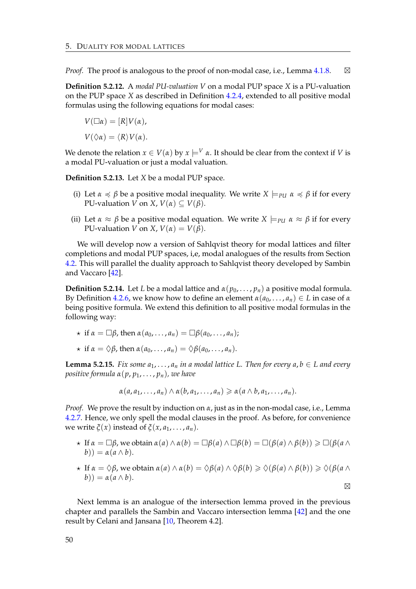*Proof.* The proof is analogous to the proof of non-modal case, i.e., Lemma  $4.1.8$ .  $\boxtimes$ 

**Definition 5.2.12.** A *modal PU-valuation V* on a modal PUP space *X* is a PU-valuation on the PUP space *X* as described in Definition [4.2.4,](#page-37-2) extended to all positive modal formulas using the following equations for modal cases:

$$
V(\Box \alpha) = [R]V(\alpha),
$$
  

$$
V(\Diamond \alpha) = \langle R \rangle V(\alpha).
$$

We denote the relation  $x \in V(\alpha)$  by  $x \models^{V} \alpha$ . It should be clear from the context if *V* is a modal PU-valuation or just a modal valuation.

**Definition 5.2.13.** Let *X* be a modal PUP space.

- (i) Let  $\alpha \preccurlyeq \beta$  be a positive modal inequality. We write  $X \models_{\text{PU}} \alpha \preccurlyeq \beta$  if for every PU-valuation *V* on *X*,  $V(\alpha) \subseteq V(\beta)$ .
- (ii) Let  $\alpha \approx \beta$  be a positive modal equation. We write  $X \models_{PI} \alpha \approx \beta$  if for every PU-valuation *V* on *X*,  $V(\alpha) = V(\beta)$ .

We will develop now a version of Sahlqvist theory for modal lattices and filter completions and modal PUP spaces, i,e, modal analogues of the results from Section [4.2.](#page-36-1) This will parallel the duality approach to Sahlqvist theory developed by Sambin and Vaccaro [\[42\]](#page-90-1).

<span id="page-53-0"></span>**Definition 5.2.14.** Let *L* be a modal lattice and  $\alpha(p_0, \ldots, p_n)$  a positive modal formula. By Definition [4.2.6,](#page-37-0) we know how to define an element  $\alpha(a_0, \ldots, a_n) \in L$  in case of  $\alpha$ being positive formula. We extend this definition to all positive modal formulas in the following way:

- $\star$  if  $\alpha = \Box \beta$ , then  $\alpha(a_0, \ldots, a_n) = \Box \beta(a_0, \ldots, a_n);$
- $\star$  if  $\alpha = \Diamond \beta$ , then  $\alpha(a_0, \ldots, a_n) = \Diamond \beta(a_0, \ldots, a_n).$

<span id="page-53-1"></span>**Lemma 5.2.15.** *Fix some*  $a_1, \ldots, a_n$  *in a modal lattice L. Then for every*  $a, b \in L$  *and every positive formula*  $\alpha(p, p_1, \ldots, p_n)$ *, we have* 

$$
\alpha(a, a_1, \ldots, a_n) \wedge \alpha(b, a_1, \ldots, a_n) \geq \alpha(a \wedge b, a_1, \ldots, a_n).
$$

*Proof.* We prove the result by induction on *α*, just as in the non-modal case, i.e., Lemma [4.2.7.](#page-37-1) Hence, we only spell the modal clauses in the proof. As before, for convenience we write  $\xi(x)$  instead of  $\xi(x, a_1, \ldots, a_n)$ .

- $\star$  If  $\alpha = \Box \beta$ , we obtain  $\alpha(a) \wedge \alpha(b) = \Box \beta(a) \wedge \Box \beta(b) = \Box (\beta(a) \wedge \beta(b)) \geq \Box (\beta(a) \wedge \beta(b))$  $b$ )) =  $\alpha$ ( $a \wedge b$ ).
- $\star$  If  $\alpha = \Diamond \beta$ , we obtain  $\alpha(a) \wedge \alpha(b) = \Diamond \beta(a) \wedge \Diamond \beta(b) \geq \Diamond (\beta(a) \wedge \beta(b)) \geq \Diamond (\beta(a \wedge b))$  $b$ )) =  $\alpha$ ( $a \wedge b$ ).  $\boxtimes$

Next lemma is an analogue of the intersection lemma proved in the previous chapter and parallels the Sambin and Vaccaro intersection lemma [\[42\]](#page-90-1) and the one result by Celani and Jansana [\[10,](#page-88-0) Theorem 4.2].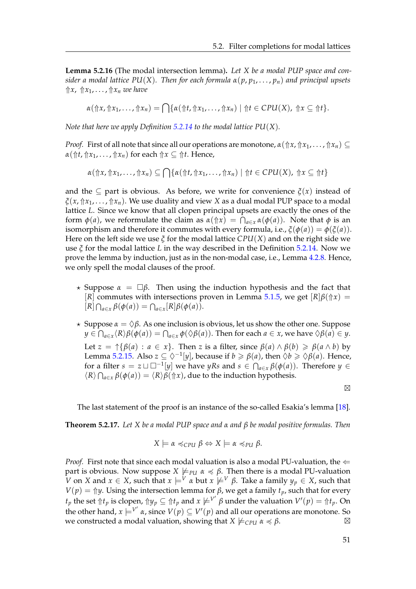**Lemma 5.2.16** (The modal intersection lemma)**.** *Let X be a modal PUP space and consider a modal lattice*  $PU(X)$ *. Then for each formula*  $\alpha(p, p_1, \ldots, p_n)$  *and principal upsets* ⇑*x*, ⇑*x*1, . . . , ⇑*x<sup>n</sup> we have*

$$
\alpha(\Uparrow x,\Uparrow x_1,\ldots,\Uparrow x_n)=\bigcap\{\alpha(\Uparrow t,\Uparrow x_1,\ldots,\Uparrow x_n)\mid\Uparrow t\in\mathcal{C}PU(X),\Uparrow x\subseteq\Uparrow t\}.
$$

*Note that here we apply Definition [5.2.14](#page-53-0) to the modal lattice PU*(*X*)*.*

*Proof.* First of all note that since all our operations are monotone,  $α(↑x, ↑x<sub>1</sub>, ..., ↑x<sub>n</sub>) ⊆$  $\alpha(\Uparrow t, \Uparrow x_1, \ldots, \Uparrow x_n)$  for each  $\Uparrow x \subseteq \Uparrow t$ . Hence,

 $\alpha(\Uparrow x, \Uparrow x_1, \ldots, \Uparrow x_n) \subseteq \bigcap \{\alpha(\Uparrow t, \Uparrow x_1, \ldots, \Uparrow x_n) \mid \Uparrow t \in CPU(X), \Uparrow x \subseteq \Uparrow t\}$ 

and the  $\subset$  part is obvious. As before, we write for convenience  $\zeta(x)$  instead of *ξ*(*x*, ⇑*x*1, . . . , ⇑*xn*). We use duality and view *X* as a dual modal PUP space to a modal lattice *L*. Since we know that all clopen principal upsets are exactly the ones of the form  $\phi(a)$ , we reformulate the claim as  $\alpha(\Uparrow x) = \bigcap_{a \in x} \alpha(\phi(a))$ . Note that  $\phi$  is an isomorphism and therefore it commutes with every formula, i.e.,  $\zeta$ ( $\phi$ (*a*)) =  $\phi$ ( $\zeta$ (*a*)). Here on the left side we use *ξ* for the modal lattice *CPU*(*X*) and on the right side we use *ξ* for the modal lattice *L* in the way described in the Definition [5.2.14.](#page-53-0) Now we prove the lemma by induction, just as in the non-modal case, i.e., Lemma [4.2.8.](#page-38-0) Hence, we only spell the modal clauses of the proof.

- $\star$  Suppose  $\alpha = \Box \beta$ . Then using the induction hypothesis and the fact that [*R*] commutes with intersections proven in Lemma [5.1.5,](#page-44-1) we get  $[R]\beta(\uparrow x)$  =  $[R] \bigcap_{a \in x} \beta(\phi(a)) = \bigcap_{a \in x} [R] \beta(\phi(a)).$
- $\star$  Suppose  $\alpha = \Diamond \beta$ . As one inclusion is obvious, let us show the other one. Suppose  $y \in \bigcap_{a \in x} \langle R \rangle \beta(\phi(a)) = \bigcap_{a \in x} \phi(\Diamond \beta(a))$ . Then for each  $a \in x$ , we have  $\Diamond \beta(a) \in y$ . Let  $z = \hat{\beta}(\beta(a) : a \in x$ . Then *z* is a filter, since  $\beta(a) \wedge \beta(b) \geq \beta(a \wedge b)$  by Lemma [5.2.15.](#page-53-1) Also  $z \subseteq \Diamond^{-1}[y]$ , because if  $b \ge \beta(a)$ , then  $\Diamond b \ge \Diamond \beta(a)$ . Hence, for a filter  $s = z \sqcup \square^{-1}[y]$  we have *yRs* and  $s \in \bigcap_{a \in x} \beta(\phi(a))$ . Therefore  $y \in$  $\langle R \rangle \bigcap_{a \in x} \beta(\phi(a)) = \langle R \rangle \beta(\Uparrow x)$ , due to the induction hypothesis.

 $\boxtimes$ 

The last statement of the proof is an instance of the so-called Esakia's lemma [\[18\]](#page-89-3).

<span id="page-54-0"></span>**Theorem 5.2.17.** *Let X be a modal PUP space and α and β be modal positive formulas. Then*

$$
X \models \alpha \preccurlyeq_{\text{CPU}} \beta \Leftrightarrow X \models \alpha \preccurlyeq_{\text{PU}} \beta.
$$

*Proof.* First note that since each modal valuation is also a modal PU-valuation, the  $\Leftarrow$ part is obvious. Now suppose  $X \not\models_{\text{PU}} \alpha \preccurlyeq \beta$ . Then there is a modal PU-valuation *V* on *X* and *x* ∈ *X*, such that  $x \models^{V} \alpha$  but  $x \not\models^{V} \beta$ . Take a family  $y_p \in X$ , such that *V*(*p*) =  $\Uparrow y$ . Using the intersection lemma for *β*, we get a family *t<sub>p</sub>*, such that for every  $f_p$  the set  $\Uparrow t_p$  is clopen,  $\Uparrow y_p \subseteq \Uparrow t_p$  and  $x \not\models^{V'} \beta$  under the valuation  $V'(p) = \Uparrow t_p$ . On the other hand,  $x \models^{V'} \alpha$ , since  $V(p) \subseteq V'(p)$  and all our operations are monotone. So we constructed a modal valuation, showing that  $X \not\models_{\text{CPU}} \alpha \preccurlyeq \beta$ .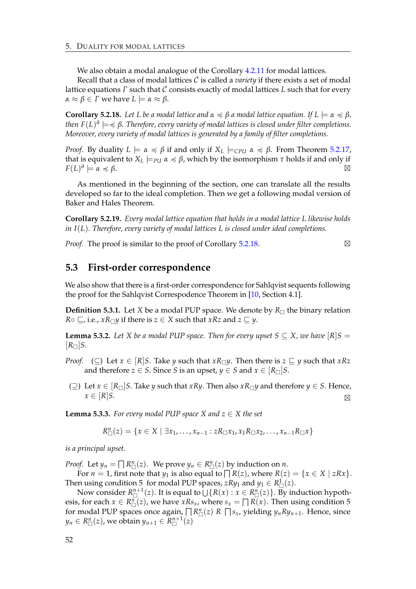We also obtain a modal analogue of the Corollary [4.2.11](#page-39-2) for modal lattices.

Recall that a class of modal lattices C is called a *variety* if there exists a set of modal lattice equations *Γ* such that C consists exactly of modal lattices *L* such that for every  $\alpha \approx \beta \in \Gamma$  we have  $L \models \alpha \approx \beta$ .

<span id="page-55-0"></span>**Corollary 5.2.18.** Let L be a modal lattice and  $\alpha \preccurlyeq \beta$  a modal lattice equation. If  $L \models \alpha \preccurlyeq \beta$ , *then F*(*L*) *∂* |=4 *β. Therefore, every variety of modal lattices is closed under filter completions. Moreover, every variety of modal lattices is generated by a family of filter completions.*

*Proof.* By duality  $L \models \alpha \preccurlyeq \beta$  if and only if  $X_L \models_{\text{CPU}} \alpha \preccurlyeq \beta$ . From Theorem [5.2.17,](#page-54-0) that is equivalent to  $X_L \models_{PU} \alpha \preccurlyeq \beta$ , which by the isomorphism  $\tau$  holds if and only if  $F(L)^{\partial} \models \alpha \preccurlyeq \beta.$ 

As mentioned in the beginning of the section, one can translate all the results developed so far to the ideal completion. Then we get a following modal version of Baker and Hales Theorem.

**Corollary 5.2.19.** *Every modal lattice equation that holds in a modal lattice L likewise holds in I*(*L*)*. Therefore, every variety of modal lattices L is closed under ideal completions.*

*Proof.* The proof is similar to the proof of Corollary [5.2.18.](#page-55-0)

#### **5.3 First-order correspondence**

We also show that there is a first-order correspondence for Sahlqvist sequents following the proof for the Sahlqvist Correspodence Theorem in [\[10,](#page-88-0) Section 4.1].

**Definition 5.3.1.** Let *X* be a modal PUP space. We denote by  $R_{\Box}$  the binary relation *R*◦ ⊆, i.e., *xR* $\Box$ *y* if there is *z* ∈ *X* such that *xRz* and *z* ⊆ *y*.

**Lemma 5.3.2.** *Let X be a modal PUP space. Then for every upset*  $S \subseteq X$ *, we have*  $[R]S =$  $[R_{\Box}]$ *S.* 

- *Proof.* (⊆) Let  $x \in [R]$ *S*. Take *y* such that  $xR\Box y$ . Then there is  $z \sqsubseteq y$  such that  $xRz$ and therefore *z*  $\in$  *S*. Since *S* is an upset, *y*  $\in$  *S* and *x*  $\in$   $[R_{\square}]$ *S*.
- (⊇) Let  $x \in [R_\Box]$ S. Take  $\gamma$  such that  $xR\gamma$ . Then also  $xR_\Box\gamma$  and therefore  $\gamma \in S$ . Hence,  $x \in [R]$ *S*.  $\boxtimes$

**Lemma 5.3.3.** *For every modal PUP space X and*  $z \in X$  *the set* 

$$
R_{\Box}^{n}(z) = \{x \in X \mid \exists x_1, \ldots, x_{n-1} : zR_{\Box}x_1, x_1R_{\Box}x_2, \ldots, x_{n-1}R_{\Box}x\}
$$

*is a principal upset.*

*Proof.* Let  $y_n = \prod R^n_{\square}(z)$ . We prove  $y_n \in R^n_{\square}(z)$  by induction on *n*.

For  $n = 1$ , first note that  $y_1$  is also equal to  $\bigcap R(z)$ , where  $R(z) = \{x \in X \mid zRx\}$ . Then using condition 5 for modal PUP spaces,  $zRy_1$  and  $y_1 \in R^1_{\square}(z)$ .

Now consider  $R_{\Box}^{n+1}(z)$ . It is equal to  $\overline{\bigcup\{R(x) : x \in R_{\Box}^n(z)\}}$ . By induction hypothesis, for each  $x \in R_{\Box}^{n}(z)$ , we have  $xRs_{x}$ , where  $s_{x} = \Box R(x)$ . Then using condition 5 for modal PUP spaces once again,  $\prod R_{\Box}^n(z)$  *R*  $\prod s_x$ , yielding  $y_n R y_{n+1}$ . Hence, since  $y_n \in R_{\Box}^n(z)$ , we obtain  $y_{n+1} \in R_{\Box}^{n+1}(z)$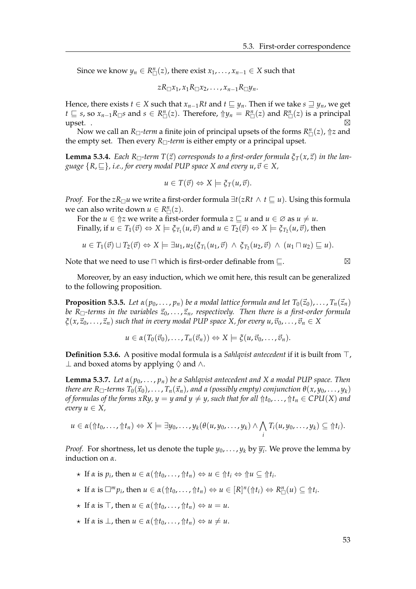Since we know  $y_n \in R_{\square}^n(z)$ , there exist  $x_1, \ldots, x_{n-1} \in X$  such that

$$
zR_{\Box}x_1, x_1R_{\Box}x_2, \ldots, x_{n-1}R_{\Box}y_n.
$$

Hence, there exists *t* ∈ *X* such that  $x_{n-1}Rt$  and  $t \subseteq y_n$ . Then if we take  $s \supseteq y_n$ , we get *t* ⊆ *s*, so  $x_{n-1}R_{\Box}$ *s* and *s* ∈  $R_{\Box}^n(z)$ . Therefore,  $\Uparrow y_n = R_{\Box}^n(z)$  and  $R_{\Box}^n(z)$  is a principal upset. .  $\Box$ 

Now we call an  $R_{\Box}$ -term a finite join of principal upsets of the forms  $R_{\Box}^n(z)$ ,  $\Uparrow z$  and the empty set. Then every  $R_{\Box}$ -term is either empty or a principal upset.

**Lemma 5.3.4.** *Each*  $R_{\Box}$ *-term*  $T(\vec{z})$  *corresponds to a first-order formula*  $\xi_T(x, \vec{z})$  *in the language*  ${R, \subseteq}$ *, i.e., for every modal PUP space X and every*  $u, \vec{v} \in X$ *,* 

$$
u \in T(\vec{v}) \Leftrightarrow X \models \xi_T(u, \vec{v}).
$$

*Proof.* For the *zR*<sub> $\Box$ </sub>*u* we write a first-order formula  $\exists t(zRt \land t \sqsubseteq u)$ . Using this formula we can also write down  $u \in R_{\square}^n(z)$ .

For the *u*  $\in \mathcal{D}z$  we write a first-order formula  $z \sqsubseteq u$  and  $u \in \emptyset$  as  $u \neq u$ . Finally, if  $u \in T_1(\vec{v}) \Leftrightarrow X \models \xi_{T_1}(u, \vec{v})$  and  $u \in T_2(\vec{v}) \Leftrightarrow X \models \xi_{T_2}(u, \vec{v})$ , then

$$
u\in T_1(\vec{v})\sqcup T_2(\vec{v})\Leftrightarrow X\models \exists u_1, u_2(\xi_{T_1}(u_1,\vec{v})\ \wedge\ \xi_{T_2}(u_2,\vec{v})\ \wedge\ (u_1\sqcap u_2)\sqsubseteq u).
$$

Note that we need to use  $\Box$  which is first-order definable from  $\Box$ .

$$
\boxtimes
$$

Moreover, by an easy induction, which we omit here, this result can be generalized to the following proposition.

**Proposition 5.3.5.** Let  $\alpha(p_0, \ldots, p_n)$  be a modal lattice formula and let  $T_0(\vec{z}_0), \ldots, T_n(\vec{z}_n)$ *be*  $R_{\Box}$ -terms in the variables  $\vec{z}_0, \ldots, \vec{z}_n$ , respectively. Then there is a first-order formula  $\zeta(x,\vec{z}_0,\ldots,\vec{z}_n)$  *such that in every modal PUP space X, for every u,*  $\vec{v}_0,\ldots,\vec{v}_n \in X$ 

$$
u\in \alpha(T_0(\vec{v}_0),\ldots,T_n(\vec{v}_n))\Leftrightarrow X\models \xi(u,\vec{v}_0,\ldots,\vec{v}_n).
$$

**Definition 5.3.6.** A positive modal formula is a *Sahlqvist antecedent* if it is built from  $\top$ , ⊥ and boxed atoms by applying  $\diamond$  and  $\wedge$ .

<span id="page-56-0"></span>**Lemma 5.3.7.** *Let*  $\alpha(p_0, \ldots, p_n)$  *be a Sahlqvist antecedent and X a modal PUP space. Then there are*  $R_{\Box}$ -terms  $T_0(\vec{x}_0), \ldots, T_n(\vec{x}_n)$ , and a (possibly empty) conjunction  $\theta(x, y_0, \ldots, y_k)$ *of formulas of the forms*  $xRy$ ,  $y = y$  *and*  $y \neq y$ , such that for all  $\Uparrow$   $\Uparrow$   $\uparrow$   $\uparrow$   $\uparrow$   $\uparrow$   $\uparrow$   $\downarrow$   $\uparrow$   $\uparrow$   $\downarrow$   $\uparrow$   $\uparrow$   $\uparrow$   $\downarrow$   $\uparrow$   $\uparrow$   $\downarrow$   $\uparrow$   $\uparrow$   $\downarrow$   $\uparrow$   $\downarrow$   $\uparrow$   $\$ *every*  $u \in X$ ,

$$
u\in \alpha(\Uparrow t_0,\ldots,\Uparrow t_n)\Leftrightarrow X\models \exists y_0,\ldots,y_k(\theta(u,y_0,\ldots,y_k)\wedge \bigwedge_i T_i(u,y_0,\ldots,y_k)\subseteq \Uparrow t_i).
$$

*Proof.* For shortness, let us denote the tuple  $y_0, \ldots, y_k$  by  $\overline{y_i}.$  We prove the lemma by induction on *α*.

- $\star$  If  $\alpha$  is  $p_i$ , then  $u \in \alpha(\Uparrow t_0, \ldots, \Uparrow t_n) \Leftrightarrow u \in \Uparrow t_i \Leftrightarrow \Uparrow u \subseteq \Uparrow t_i$ .
- $\star$  If  $\alpha$  is  $\Box^{m}p_{i}$ , then  $u \in \alpha(\Uparrow t_{0}, \ldots, \Uparrow t_{n}) \Leftrightarrow u \in [R]^{n}(\Uparrow t_{i}) \Leftrightarrow R_{\Box}^{n}(u) \subseteq \Uparrow t_{i}$ .
- $\star$  If  $\alpha$  is  $\top$ , then  $u \in \alpha(\Uparrow t_0, \ldots, \Uparrow t_n) \Leftrightarrow u = u$ .
- $\star$  If  $\alpha$  is  $\bot$ , then  $u \in \alpha(\Uparrow t_0, \ldots, \Uparrow t_n) \Leftrightarrow u \neq u$ .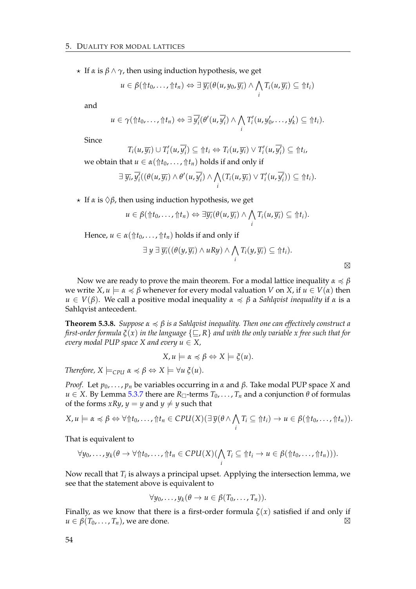$\star$  If  $\alpha$  is  $\beta \wedge \gamma$ , then using induction hypothesis, we get

$$
u\in \beta(\Uparrow t_0,\ldots,\Uparrow t_n)\Leftrightarrow \exists \ \overline{y_i}(\theta(u,y_0,\overline{y_i})\wedge \bigwedge_i T_i(u,\overline{y_i})\subseteq \Uparrow t_i)
$$

and

$$
u\in\gamma(\Uparrow t_0,\ldots,\Uparrow t_n)\Leftrightarrow \exists \overline{y_i'}(\theta'(u,\overline{y_i'})\wedge \bigwedge_i T_i'(u,y_0',\ldots,y_k')\subseteq\Uparrow t_i).
$$

Since

$$
T_i(u, \overline{y_i}) \cup T'_i(u, \overline{y'_i}) \subseteq \Uparrow t_i \Leftrightarrow T_i(u, \overline{y_i}) \vee T'_i(u, \overline{y'_i}) \subseteq \Uparrow t_i,
$$
  
set  $u \subseteq x(\Lambda t, \Lambda t)$  holds if and only if

we obtain that  $u \in \alpha(\hat{\pi}t_0, \ldots, \hat{\pi}t_n)$  holds if and only if

$$
\exists \overline{y_i}, \overline{y'_i}((\theta(u,\overline{y_i})\wedge\theta'(u,\overline{y'_i})\wedge\bigwedge_i(T_i(u,\overline{y_i})\vee T'_i(u,\overline{y'_i}))\subseteq\Uparrow t_i).
$$

 $\star$  If  $\alpha$  is  $\Diamond \beta$ , then using induction hypothesis, we get

$$
u\in \beta(\Uparrow t_0,\ldots,\Uparrow t_n)\Leftrightarrow \exists \overline{y_i}(\theta(u,\overline{y_i})\wedge \bigwedge_i T_i(u,\overline{y_i})\subseteq \Uparrow t_i).
$$

Hence,  $u \in \alpha(\mathcal{m}t_0, \ldots, \mathcal{m}t_n)$  holds if and only if

$$
\exists y \exists \overline{y_i}((\theta(y,\overline{y_i}) \wedge uRy) \wedge \bigwedge_i T_i(y,\overline{y_i}) \subseteq \Uparrow t_i).
$$

 $\boxtimes$ 

Now we are ready to prove the main theorem. For a modal lattice inequality  $\alpha \preccurlyeq \beta$ we write  $X, u \models \alpha \preccurlyeq \beta$  whenever for every modal valuation *V* on *X*, if  $u \in V(\alpha)$  then  $u \in V(\beta)$ . We call a positive modal inequality  $\alpha \preccurlyeq \beta$  a *Sahlqvist inequality* if  $\alpha$  is a Sahlqvist antecedent.

**Theorem 5.3.8.** *Suppose α* 4 *β is a Sahlqvist inequality. Then one can effectively construct a first-order formula*  $\xi(x)$  *in the language*  $\{\sqsubset, R\}$  *and with the only variable x free such that for every modal PUP space X and every*  $u \in X$ *,* 

$$
X, u \models \alpha \preccurlyeq \beta \Leftrightarrow X \models \xi(u).
$$

*Therefore,*  $X \models_{\text{CPU}} \alpha \preccurlyeq \beta \Leftrightarrow X \models \forall u \xi(u)$ .

*Proof.* Let  $p_0$ , ...,  $p_n$  be variables occurring in *α* and *β*. Take modal PUP space *X* and  $u \in X$ . By Lemma [5.3.7](#page-56-0) there are  $R_{\Box}$ -terms  $T_0, \ldots, T_n$  and a conjunction  $\theta$  of formulas of the forms *xRy*,  $y = y$  and  $y \neq y$  such that

$$
X, u \models \alpha \preccurlyeq \beta \Leftrightarrow \forall \Uparrow t_0, \ldots, \Uparrow t_n \in CPU(X) (\exists \overline{y}(\theta \wedge \bigwedge_i T_i \subseteq \Uparrow t_i) \rightarrow u \in \beta(\Uparrow t_0, \ldots, \Uparrow t_n)).
$$

That is equivalent to

$$
\forall y_0,\ldots,y_k(\theta\to\forall\Uparrow t_0,\ldots,\Uparrow t_n\in CPU(X)(\bigwedge_i T_i\subseteq\Uparrow t_i\to u\in\beta(\Uparrow t_0,\ldots,\Uparrow t_n))).
$$

Now recall that  $T_i$  is always a principal upset. Applying the intersection lemma, we see that the statement above is equivalent to

$$
\forall y_0,\ldots,y_k(\theta\to u\in\beta(T_0,\ldots,T_n)).
$$

Finally, as we know that there is a first-order formula *ζ*(*x*) satisfied if and only if  $u \in \beta(T_0, \ldots, T_n)$ , we are done.  $\boxtimes$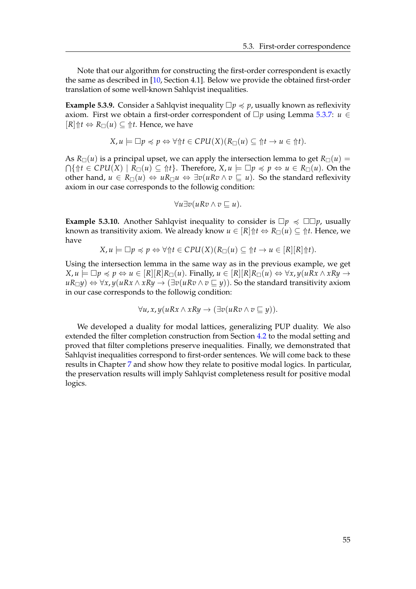Note that our algorithm for constructing the first-order correspondent is exactly the same as described in [\[10,](#page-88-0) Section 4.1]. Below we provide the obtained first-order translation of some well-known Sahlqvist inequalities.

**Example 5.3.9.** Consider a Sahlqvist inequality  $\Box p \preccurlyeq p$ , usually known as reflexivity axiom. First we obtain a first-order correspondent of  $\Box p$  using Lemma [5.3.7:](#page-56-0)  $u \in$  $[R]\Uparrow t \Leftrightarrow R_{\square}(u) \subseteq \Uparrow t$ . Hence, we have

$$
X, u \models \Box p \preccurlyeq p \Leftrightarrow \forall \Uparrow t \in CPU(X)(R_{\Box}(u) \subseteq \Uparrow t \rightarrow u \in \Uparrow t).
$$

As  $R_{\Box}(u)$  is a principal upset, we can apply the intersection lemma to get  $R_{\Box}(u)$  =  $\bigcap \{\Uparrow t \in \mathcal{C}PU(X) \mid R_{\Box}(u) \subseteq \Uparrow t\}.$  Therefore,  $X, u \models \Box p \preccurlyeq p \Leftrightarrow u \in R_{\Box}(u)$ . On the other hand,  $u \in R_{\Box}(u) \Leftrightarrow uR_{\Box}u \Leftrightarrow \exists v(uRv \land v \sqsubseteq u)$ . So the standard reflexivity axiom in our case corresponds to the followig condition:

$$
\forall u \exists v (u R v \land v \sqsubseteq u).
$$

**Example 5.3.10.** Another Sahlqvist inequality to consider is  $\Box p \preccurlyeq \Box \Box p$ , usually known as transitivity axiom. We already know  $u \in [R]$   $\uparrow t \Leftrightarrow R_{\Box}(u) \subseteq \uparrow t$ . Hence, we have

$$
X, u \models \Box p \preccurlyeq p \Leftrightarrow \forall \Uparrow t \in CPU(X)(R_{\Box}(u) \subseteq \Uparrow t \rightarrow u \in [R][R]\Uparrow t).
$$

Using the intersection lemma in the same way as in the previous example, we get  $X, u \models \Box p \preccurlyeq p \Leftrightarrow u \in [R][R]R_{\Box}(u)$ . Finally,  $u \in [R][R]R_{\Box}(u) \Leftrightarrow \forall x, y(uRx \land xRy \rightarrow$ *uR*<sup>*ny*</sub>) ⇔  $\forall$ *x*, *y*(*uRx* ∧ *xRy* → (∃*v*(*uRv* ∧ *v* ⊆ *y*)). So the standard transitivity axiom</sup> in our case corresponds to the followig condition:

$$
\forall u, x, y (uRx \wedge xRy \rightarrow (\exists v (uRv \wedge v \sqsubseteq y)).
$$

We developed a duality for modal lattices, generalizing PUP duality. We also extended the filter completion construction from Section [4.2](#page-36-1) to the modal setting and proved that filter completions preserve inequalities. Finally, we demonstrated that Sahlqvist inequalities correspond to first-order sentences. We will come back to these results in Chapter [7](#page-76-0) and show how they relate to positive modal logics. In particular, the preservation results will imply Sahlqvist completeness result for positive modal logics.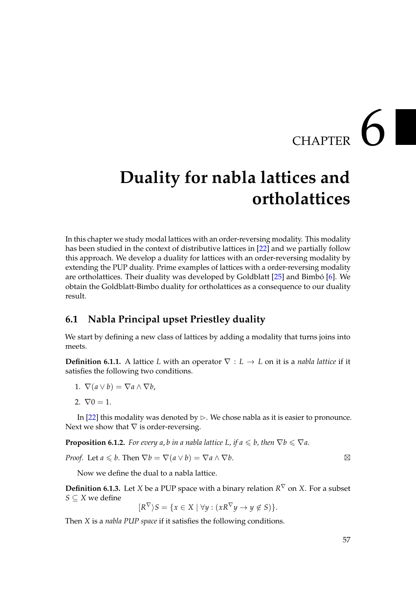## CHAPTER  $6$

## **Duality for nabla lattices and ortholattices**

In this chapter we study modal lattices with an order-reversing modality. This modality has been studied in the context of distributive lattices in [\[22\]](#page-89-4) and we partially follow this approach. We develop a duality for lattices with an order-reversing modality by extending the PUP duality. Prime examples of lattices with a order-reversing modality are ortholattices. Their duality was developed by Goldblatt  $[25]$  and Bimbó  $[6]$  $[6]$ . We obtain the Goldblatt-Bimbo duality for ortholattices as a consequence to our duality result.

### **6.1 Nabla Principal upset Priestley duality**

We start by defining a new class of lattices by adding a modality that turns joins into meets.

**Definition 6.1.1.** A lattice *L* with an operator  $\nabla : L \to L$  on it is a *nabla lattice* if it satisfies the following two conditions.

- 1.  $\nabla(a \vee b) = \nabla a \wedge \nabla b$ ,
- 2.  $\nabla 0 = 1$ .

In [\[22\]](#page-89-4) this modality was denoted by  $\triangleright$ . We chose nabla as it is easier to pronounce. Next we show that  $\nabla$  is order-reversing.

<span id="page-60-0"></span>**Proposition 6.1.2.** *For every a, b in a nabla lattice L, if a*  $\leq b$ *, then*  $\nabla b \leq \nabla a$ *.* 

*Proof.* Let  $a \leq b$ . Then  $\nabla b = \nabla (a \vee b) = \nabla a \wedge \nabla b$ .

Now we define the dual to a nabla lattice.

<span id="page-60-1"></span>**Definition 6.1.3.** Let *X* be a PUP space with a binary relation  $R^{\nabla}$  on *X*. For a subset *S* ⊆ *X* we define

$$
[R^{\nabla}\rangle S = \{x \in X \mid \forall y : (xR^{\nabla}y \to y \notin S)\}.
$$

Then *X* is a *nabla PUP space* if it satisfies the following conditions.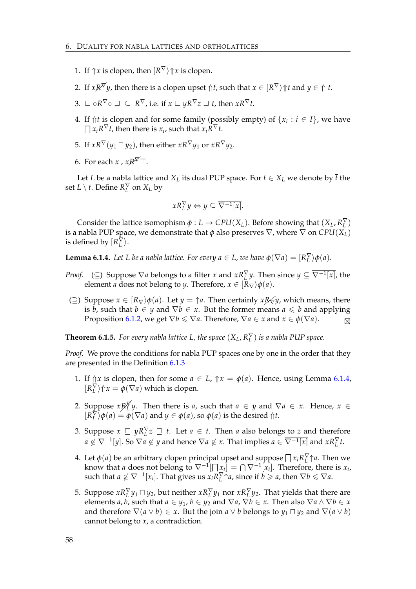- 1. If  $\Uparrow x$  is clopen, then  $[R^{\nabla}\rangle \Uparrow x$  is clopen.
- 2. If  $xR^{\nabla}y$ , then there is a clopen upset  $\Uparrow t$ , such that  $x \in [R^{\nabla} \rangle \Uparrow t$  and  $y \in \Uparrow t$ .
- $B. \sqsubseteq \circ R^\nabla \circ \sqsupseteq \subseteq R^\nabla$ , i.e. if  $x \sqsubseteq yR^\nabla z \sqsupseteq t$ , then  $xR^\nabla t$ .
- 4. If  $\Uparrow t$  is clopen and for some family (possibly empty) of  $\{x_i : i \in I\}$ , we have  $\prod x_i R^{\nabla} t$ , then there is  $x_i$ , such that  $x_i \overline{R}^{\nabla} t$ .
- 5. If  $xR^{\nabla}(y_1 \nabla y_2)$ , then either  $xR^{\nabla}y_1$  or  $xR^{\nabla}y_2$ .
- 6. For each *x*,  $xR^{\nabla}$ T.

Let *L* be a nabla lattice and  $X_L$  its dual PUP space. For  $t \in X_L$  we denote by  $\bar{t}$  the set  $L \setminus t$ . Define  $R_L^{\nabla}$  on  $X_L$  by

$$
xR_L^{\nabla} y \Leftrightarrow y \subseteq \overline{\nabla^{-1}[x]}.
$$

Consider the lattice isomophism  $\phi: L \to CPU(X_L)$ . Before showing that  $(X_L, R_L^{\nabla})$ is a nabla PUP space, we demonstrate that  $\phi$  also preserves  $\nabla$ , where  $\nabla$  on  $CPU(X_L)$ is defined by  $[R_L^{\overline\nabla}}\rangle$ .

<span id="page-61-0"></span>**Lemma 6.1.4.** Let L be a nabla lattice. For every  $a \in L$ , we have  $\phi(\nabla a) = [R_L^{\nabla} \rangle \phi(a)$ .

- *Proof.* (⊆) Suppose  $\nabla a$  belongs to a filter *x* and  $xR_L^{\nabla}y$ . Then since  $y \subseteq \overline{\nabla^{-1}[x]}$ , the element *a* does not belong to *y*. Therefore,  $x \in [R_{\nabla} \rangle \phi(a)$ .
- (⊇) Suppose  $x \in [R_{\nabla})\phi(a)$ . Let  $y = \uparrow a$ . Then certainly *xR*<sub>∀</sub>*y*, which means, there is *b*, such that  $b \in y$  and  $\nabla b \in x$ . But the former means  $a \leq b$  and applying Proposition [6.1.2,](#page-60-0) we get  $\nabla b \le \nabla a$ . Therefore,  $\nabla a \in x$  and  $x \in \phi(\nabla a)$ .

**Theorem 6.1.5.** For every nabla lattice L, the space  $(X_L, R_L^\nabla)$  is a nabla PUP space.

*Proof.* We prove the conditions for nabla PUP spaces one by one in the order that they are presented in the Definition [6.1.3](#page-60-1)

- 1. If  $\Uparrow x$  is clopen, then for some  $a \in L$ ,  $\Uparrow x = \phi(a)$ . Hence, using Lemma [6.1.4,](#page-61-0)  $[R_L^{\nabla}\rangle \Uparrow x = \overline{\phi(\nabla a)}$  which is clopen.
- 2. Suppose  $x R_L^{\nabla} y$ . Then there is *a*, such that  $a \in y$  and  $\nabla a \in x$ . Hence,  $x \in$  $[R_L^{\nabla} \phi(a) = \overline{\phi}(\nabla a)$  and  $y \in \phi(a)$ , so  $\phi(a)$  is the desired  $\Uparrow t$ .
- 3. Suppose  $x \subseteq yR_L^{\nabla}z \supseteq t$ . Let  $a \in t$ . Then *a* also belongs to *z* and therefore  $a \notin \nabla^{-1}[y]$ . So  $\nabla a \notin y$  and hence  $\nabla a \notin x$ . That implies  $a \in \overline{\nabla^{-1}[x]}$  and  $xR_L^{\nabla} t$ .
- 4. Let  $\phi(a)$  be an arbitrary clopen principal upset and suppose  $\prod x_i R_L^{\nabla} \uparrow a$ . Then we know that *a* does not belong to  $\nabla^{-1}[\Box x_i] = \bigcap \nabla^{-1}[x_i]$ . Therefore, there is  $x_i$ , such that  $a \notin \nabla^{-1}[x_i]$ . That gives us  $x_i R_L^{\nabla} \uparrow a$ , since if  $b \geq a$ , then  $\nabla b \leq \nabla a$ .
- 5. Suppose  $xR_L^{\nabla}y_1 \sqcap y_2$ , but neither  $xR_L^{\nabla}y_1$  nor  $xR_L^{\nabla}y_2$ . That yields that there are elements *a*, *b*, such that  $a \in y_1$ ,  $b \in y_2$  and  $\nabla a$ ,  $\nabla b \in x$ . Then also  $\nabla a \wedge \nabla b \in x$ and therefore  $\nabla(a \vee b) \in x$ . But the join  $a \vee b$  belongs to  $y_1 \sqcap y_2$  and  $\nabla(a \vee b)$ cannot belong to *x*, a contradiction.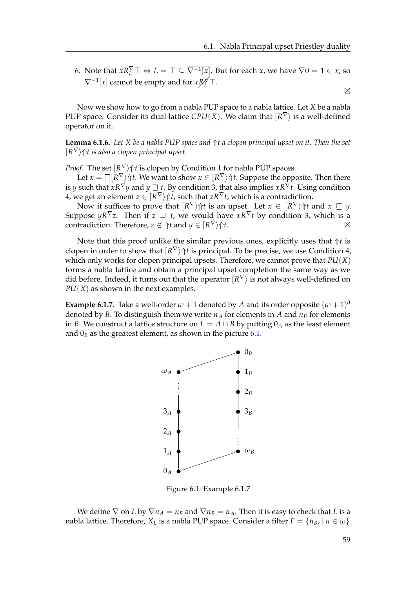6. Note that  $xR_L^{\nabla} \top \Leftrightarrow L = \top \subseteq \overline{\nabla^{-1}[x]}$ . But for each *x*, we have  $\nabla 0 = 1 \in x$ , so  $\nabla^{-1}[x]$  cannot be empty and for *x* $R_L^{\nabla}$ <sup> $\top$ </sup>.

 $\boxtimes$ 

Now we show how to go from a nabla PUP space to a nabla lattice. Let *X* be a nabla PUP space. Consider its dual lattice  $\mathcal{C}PU(X)$ . We claim that  $\mathsf{[}R^{\nabla}\mathsf{]}$  is a well-defined operator on it.

**Lemma 6.1.6.** *Let X be a nabla PUP space and* ⇑*t a clopen principal upset on it. Then the set*  $[R^{\nabla}\rangle$   $\Uparrow$ *t is also a clopen principal upset.* 

*Proof.* The set  $[R^{\nabla}\rangle$   $\Uparrow t$  is clopen by Condition 1 for nabla PUP spaces.

Let  $x = \prod [R^{\nabla}\rangle \Uparrow t$ . We want to show  $x \in [R^{\nabla}\rangle \Uparrow t$ . Suppose the opposite. Then there is  $y$  such that  $xR^\nabla y$  and  $y\sqsupseteq t.$  By condition 3, that also implies  $xR^\nabla t.$  Using condition  $4$ , we get an element  $z\in[R^\nabla\rangle$   $\Uparrow t$ , such that  $zR^\nabla t$ , which is a contradiction.

Now it suffices to prove that  $[R^\nabla\rangle\Uparrow t$  is an upset. Let  $x\,\in\, [R^\nabla\rangle\Uparrow t$  and  $x\,\sqsubseteq\, y.$ Suppose  $yR^{\nabla}z$ . Then if  $z \supseteq t$ , we would have  $xR^{\nabla}t$  by condition 3, which is a contradiction. Therefore,  $z \notin \Uparrow t$  and  $y \in [R^{\nabla}\rangle \Uparrow t$ .

Note that this proof unlike the similar previous ones, explicitly uses that  $\Uparrow t$  is clopen in order to show that  $[R^{\nabla}\rangle \Uparrow t$  is principal. To be precise, we use Condition 4, which only works for clopen principal upsets. Therefore, we cannot prove that *PU*(*X*) forms a nabla lattice and obtain a principal upset completion the same way as we did before. Indeed, it turns out that the operator  $\ket{R^{\nabla}}$  is not always well-defined on *PU*(*X*) as shown in the next examples.

**Example 6.1.7.** Take a well-order  $\omega + 1$  denoted by *A* and its order opposite  $(\omega + 1)^d$ denoted by *B*. To distinguish them we write  $n_A$  for elements in *A* and  $n_B$  for elements in *B*. We construct a lattice structure on  $L = A \sqcup B$  by putting  $0_A$  as the least element and  $0_B$  as the greatest element, as shown in the picture [6.1.](#page-62-0)



<span id="page-62-0"></span>Figure 6.1: Example 6.1.7

We define  $\nabla$  on *L* by  $\nabla n_A = n_B$  and  $\nabla n_B = n_A$ . Then it is easy to check that *L* is a nabla lattice. Therefore,  $X_L$  is a nabla PUP space. Consider a filter  $F = \{n_B, | n \in \omega\}$ .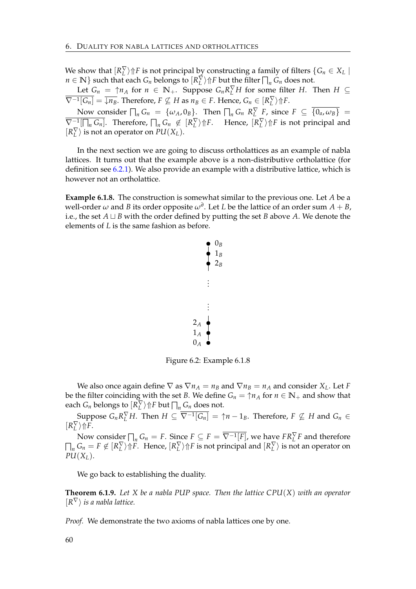We show that  $[R_L^{\nabla}\rangle \Uparrow F$  is not principal by constructing a family of filters  $\{G_n \in X_L \mid$ *n* ∈ **N**} such that each *G*<sup>*n*</sup> belongs to  $\left[R_L^{\nabla}\right)$   $\Uparrow$  *F* but the filter  $\prod_n G_n$  does not.

Let  $G_n = \uparrow n_A$  for  $n \in \mathbb{N}_+$ . Suppose  $G_n R_L^{\nabla} H$  for some filter *H*. Then  $H \subseteq$  $\overline{\nabla^{-1}[G_n]}$  =  $\overline{\downarrow n_B}$ . Therefore,  $F \nsubseteq H$  as  $n_B \in F$ . Hence,  $G_n \in [R_L^{\nabla} \rangle \Uparrow F$ .

Now consider  $\bigcap_n G_n = {\omega_A, 0_B}$ . Then  $\bigcap_n G_n$   $R_L^{\nabla}$  *F*, since  $F \subseteq \overline{\{0_a, \omega_B\}}$  $\overline{\nabla^{-1}[\bigcap_n G_n]}$ . Therefore,  $\bigcap_n G_n \notin [R_L^{\nabla} \rangle \Uparrow F$ . Hence,  $[R_L^{\nabla} \rangle \Uparrow F$  is not principal and  $[R_L^{\nabla}$  is not an operator on  $PU(X_L)$ .

In the next section we are going to discuss ortholattices as an example of nabla lattices. It turns out that the example above is a non-distributive ortholattice (for definition see [6.2.1\)](#page-66-0). We also provide an example with a distributive lattice, which is however not an ortholattice.

**Example 6.1.8.** The construction is somewhat similar to the previous one. Let *A* be a well-order  $\omega$  and  $B$  its order opposite  $\omega^d$ . Let  $L$  be the lattice of an order sum  $A+B$ , i.e., the set  $A \sqcup B$  with the order defined by putting the set *B* above *A*. We denote the elements of *L* is the same fashion as before.



Figure 6.2: Example 6.1.8

We also once again define  $\nabla$  as  $\nabla n_A = n_B$  and  $\nabla n_B = n_A$  and consider  $X_L$ . Let *F* be the filter coinciding with the set *B*. We define  $G_n = \uparrow n_A$  for  $n \in \mathbb{N}_+$  and show that each  $G_n$  belongs to  $\left[ R_L^{\nabla} \right) \Uparrow F$  but  $\prod_n G_n$  does not.

Suppose  $G_n R_L^{\nabla} H$ . Then  $H \subseteq \overline{\nabla^{-1}[G_n]} = \uparrow n - 1_B$ . Therefore,  $F \nsubseteq H$  and  $G_n \in$  $[R_L^{\nabla}\rangle \Uparrow F$ .

Now consider  $\prod_n G_n = F$ . Since  $F \subseteq F = \overline{\nabla^{-1}[F]}$ , we have  $F R_L^{\nabla} F$  and therefore  $\prod_n G_n = F \notin [R_L^{\nabla} \rangle \Uparrow F$ . Hence,  $[R_L^{\nabla} \rangle \Uparrow F$  is not principal and  $[R_L^{\nabla} \rangle$  is not an operator on  $PU(X_L)$ .

We go back to establishing the duality.

**Theorem 6.1.9.** *Let X be a nabla PUP space. Then the lattice CPU*(*X*) *with an operator*  $\{R^{\nabla}\}\)$  *is a nabla lattice.* 

*Proof.* We demonstrate the two axioms of nabla lattices one by one.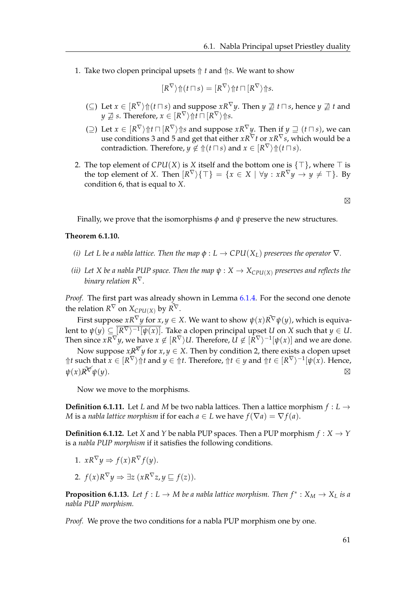1. Take two clopen principal upsets  $\Uparrow t$  and  $\Uparrow s$ . We want to show

$$
[R^{\nabla}\rangle \Uparrow (t \sqcap s) = [R^{\nabla}\rangle \Uparrow t \sqcap [R^{\nabla}\rangle \Uparrow s.
$$

- (⊆) Let  $x \in [R^{\nabla} \setminus \text{ft}(\textit{t} \sqcap \textit{s})$  and suppose  $xR^{\nabla} y$ . Then  $y \not\supseteq t \sqcap s$ , hence  $y \not\supseteq t$  and  $y \not\sqsupseteq s.$  Therefore,  $x \in [R^\nabla\rangle$   $\Uparrow\uparrow t \sqcap [R^\nabla\rangle$   $\Uparrow\uparrow s.$
- (⊇) Let  $x \in [R^{\nabla} \rangle \Uparrow t \sqcap [R^{\nabla} \rangle \Uparrow s$  and suppose  $xR^{\nabla} y$ . Then if  $y \sqsupseteq (t \sqcap s)$ , we can use conditions 3 and 5 and get that either *xR*∇*t* or *xR*∇*s*, which would be a contradiction. Therefore,  $y \notin \Uparrow(t \sqcap s)$  and  $x \in [R^{\nabla}\rangle \Uparrow(t \sqcap s)$ .
- 2. The top element of  $CPU(X)$  is *X* itself and the bottom one is  $\{\top\}$ , where  $\top$  is the top element of *X*. Then  $[R^{\nabla}\rangle\{\top\} = \{x \in X \mid \forall y : xR^{\nabla}y \to y \neq \top\}$ . By condition 6, that is equal to *X*.

 $\boxtimes$ 

Finally, we prove that the isomorphisms *φ* and *ψ* preserve the new structures.

#### **Theorem 6.1.10.**

- *(i)* Let L be a nabla lattice. Then the map  $\phi : L \to CPU(X_L)$  preserves the operator  $\nabla$ *.*
- *(ii)* Let *X* be a nabla PUP space. Then the map  $\psi$  :  $X \to X_{\text{CPU}(X)}$  preserves and reflects the *binary relation R*∇*.*

*Proof.* The first part was already shown in Lemma [6.1.4.](#page-61-0) For the second one denote the relation  $R^{\nabla}$  on  $X_{\mathcal{C}PU(X)}$  by  $\tilde{R^{\nabla}}$ .

First suppose  $xR^{\nabla}y$  for  $x,y\in X.$  We want to show  $\psi(x)\tilde{R^{\nabla}}\psi(y)$ , which is equivalent to  $\psi(y)\subseteq [R^\nabla)^{-1}[\psi(x)].$  Take a clopen principal upset  $U$  on  $X$  such that  $y\in U.$ Then since  $xR^\nabla y$ , we have  $x\not\in[R^\nabla\rangle U.$  Therefore,  $U\not\in[\bar{R}^\nabla\rangle^{-1}[\psi(x)]$  and we are done.

Now suppose  $x \cancel{R}^{\cancel{\n}y}$  for  $x, y \in X$ . Then by condition 2, there exists a clopen upset  $\Uparrow t$  such that  $x \in [R^{\nabla}\rangle \Uparrow t$  and  $y \in \Uparrow t$ . Therefore,  $\Uparrow t \in y$  and  $\Uparrow t \in [R^{\nabla}\rangle^{-1}[\psi(x)]$ . Hence,  $\psi(x)R^{\tilde{\chi}}\psi(y).$  $\widetilde{\mathscr{H}}\psi(y).$ 

Now we move to the morphisms.

**Definition 6.1.11.** Let *L* and *M* be two nabla lattices. Then a lattice morphism  $f: L \rightarrow$ *M* is a *nabla lattice morphism* if for each  $a \in L$  we have  $f(\nabla a) = \nabla f(a)$ .

**Definition 6.1.12.** Let *X* and *Y* be nabla PUP spaces. Then a PUP morphism  $f: X \rightarrow Y$ is a *nabla PUP morphism* if it satisfies the following conditions.

1. 
$$
xR^{\nabla}y \Rightarrow f(x)R^{\nabla}f(y)
$$
.

2.  $f(x)R^{\nabla}y \Rightarrow \exists z (xR^{\nabla}z, y \sqsubseteq f(z)).$ 

**Proposition 6.1.13.** Let  $f: L \to M$  be a nabla lattice morphism. Then  $f^*: X_M \to X_L$  is a *nabla PUP morphism.*

*Proof.* We prove the two conditions for a nabla PUP morphism one by one.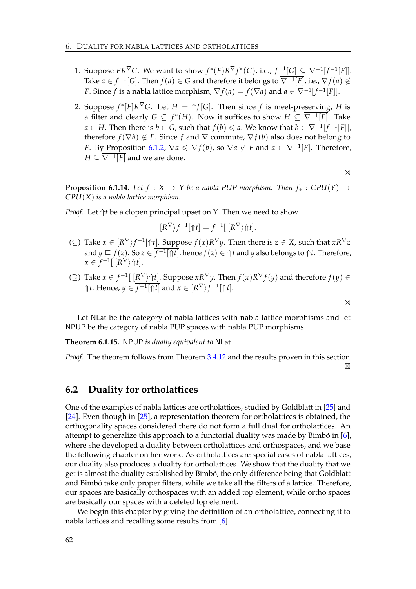- 1. Suppose  $FR^{\nabla}G$ . We want to show  $f^*(F)R^{\nabla}f^*(G)$ , i.e.,  $f^{-1}[G] \subseteq \overline{\nabla^{-1}[f^{-1}[F]}.$ Take *a* ∈ *f*<sup>-1</sup>[G]. Then  $f(a) ∈ G$  and therefore it belongs to  $\overline{\nabla^{-1}[F]}$ , i.e.,  $\nabla f(a) ∉ G$ *F*. Since *f* is a nabla lattice morphism,  $\nabla f(a) = f(\nabla a)$  and  $a \in \nabla^{-1}[f^{-1}[F]]$ .
- 2. Suppose  $f^*[F]R^{\nabla}G$ . Let  $H = \uparrow f[G]$ . Then since  $f$  is meet-preserving,  $H$  is a filter and clearly  $G \subseteq f^*(H).$  Now it suffices to show  $H \subseteq \overline{\nabla^{-1}[F]}.$  Take *a* ∈ *H*. Then there is *b* ∈ *G*, such that  $f(b) \le a$ . We know that  $b \in \overline{\nabla^{-1}[f^{-1}[F]]}$ , therefore  $f(\nabla b) \notin F$ . Since *f* and  $\nabla$  commute,  $\nabla f(b)$  also does not belong to *F*. By Proposition [6.1.2,](#page-60-0)  $\nabla a \leq \nabla f(b)$ , so  $\nabla a \notin F$  and  $a \in \overline{\nabla^{-1}[F]}$ . Therefore,  $H \subseteq \nabla^{-1}[F]$  and we are done.

 $\boxtimes$ 

**Proposition 6.1.14.** Let  $f : X \to Y$  be a nabla PUP morphism. Then  $f_* : CPU(Y) \to$ *CPU*(*X*) *is a nabla lattice morphism.*

*Proof.* Let  $\Uparrow t$  be a clopen principal upset on *Y*. Then we need to show

$$
[R^{\nabla}\rangle f^{-1}[\Uparrow t] = f^{-1}[\ [R^{\nabla}\rangle \Uparrow t].
$$

- (⊆) Take  $x \in [R^{\nabla} \rangle f^{-1}[\Uparrow t]$ . Suppose  $f(x)R^{\nabla} y$ . Then there is  $z \in X$ , such that  $xR^{\nabla} z$ and  $y\sqsubseteq f(z).$  So  $z\in f^{-1}[\Uparrow t]$ , hence  $f(z)\in \overline{\Uparrow t}$  and  $y$  also belongs to  $\overline{\Uparrow t}.$  Therefore,  $x \in f^{-1}[\R^{\nabla} \rangle \Uparrow t].$
- (⊇) Take  $x \in f^{-1}([R^{\nabla})\Uparrow t]$ . Suppose  $xR^{\nabla}y$ . Then  $f(x)R^{\nabla}f(y)$  and therefore  $f(y) \in$  $\overline{\Uparrow t}.$  Hence,  $y\in \overline{f^{-1}[\Uparrow t]}$  and  $x\in[R^\nabla)f^{-1}[\Uparrow t].$

 $\boxtimes$ 

Let NLat be the category of nabla lattices with nabla lattice morphisms and let NPUP be the category of nabla PUP spaces with nabla PUP morphisms.

**Theorem 6.1.15.** NPUP *is dually equivalent to* NLat*.*

*Proof.* The theorem follows from Theorem [3.4.12](#page-32-0) and the results proven in this section.

 $\boxtimes$ 

#### **6.2 Duality for ortholattices**

One of the examples of nabla lattices are ortholattices, studied by Goldblatt in [\[25\]](#page-89-5) and [\[24\]](#page-89-6). Even though in [\[25\]](#page-89-5), a representation theorem for ortholattices is obtained, the orthogonality spaces considered there do not form a full dual for ortholattices. An attempt to generalize this approach to a functorial duality was made by Bimbó in  $[6]$  $[6]$ , where she developed a duality between ortholattices and orthospaces, and we base the following chapter on her work. As ortholattices are special cases of nabla lattices, our duality also produces a duality for ortholattices. We show that the duality that we get is almost the duality established by Bimbó, the only difference being that Goldblatt and Bimbó take only proper filters, while we take all the filters of a lattice. Therefore, our spaces are basically orthospaces with an added top element, while ortho spaces are basically our spaces with a deleted top element.

We begin this chapter by giving the definition of an ortholattice, connecting it to nabla lattices and recalling some results from [\[6\]](#page-88-2).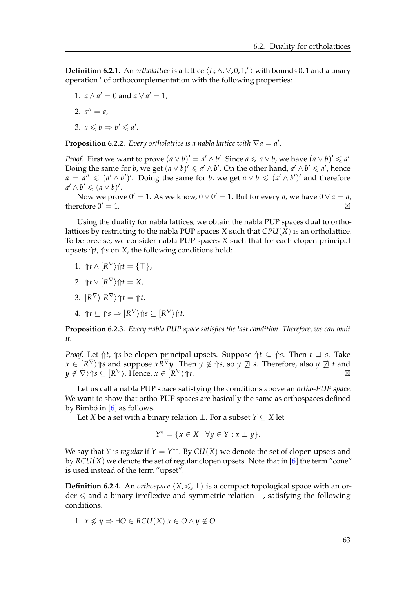<span id="page-66-0"></span>**Definition 6.2.1.** An *ortholattice* is a lattice  $\langle L; \wedge, \vee, 0, 1, \rangle$  with bounds 0, 1 and a unary operation ' of orthocomplementation with the following properties:

1.  $a \wedge a' = 0$  and  $a \vee a' = 1$ ,

2. 
$$
a'' = a
$$
,

$$
3. \, a \leqslant b \Rightarrow b' \leqslant a'.
$$

**Proposition 6.2.2.** *Every ortholattice is a nabla lattice with*  $\nabla a = a'$ *.* 

*Proof.* First we want to prove  $(a \vee b)' = a' \wedge b'$ . Since  $a \leq a \vee b$ , we have  $(a \vee b)' \leq a'$ . Doing the same for *b*, we get  $(a \vee b)' \le a' \wedge b'$ . On the other hand,  $a' \wedge b' \le a'$ , hence  $a = a'' \leq (a' \wedge b')'$ . Doing the same for *b*, we get  $a \vee b \leq (a' \wedge b')'$  and therefore  $a' \wedge b' \leqslant (a \vee b)'.$ 

Now we prove  $0' = 1$ . As we know,  $0 \vee 0' = 1$ . But for every *a*, we have  $0 \vee a = a$ , therefore  $0' = 1$ .

Using the duality for nabla lattices, we obtain the nabla PUP spaces dual to ortholattices by restricting to the nabla PUP spaces *X* such that *CPU*(*X*) is an ortholattice. To be precise, we consider nabla PUP spaces *X* such that for each clopen principal upsets  $\Uparrow t$ ,  $\Uparrow s$  on *X*, the following conditions hold:

1.  $\Uparrow t \wedge [R^{\nabla}\rangle \Uparrow t = {\top},$ 

$$
2. \ \ \Uparrow t \vee [R^{\nabla} \rangle \Uparrow t = X,
$$

- 3.  $[R^{\nabla}\rangle[R^{\nabla}\rangle \Uparrow t = \Uparrow t$ ,
- $4. \text{ } \Uparrow t \subseteq \Uparrow s \Rightarrow [R^{\nabla}\rangle \Uparrow s \subseteq [R^{\nabla}\rangle \Uparrow t.$

**Proposition 6.2.3.** *Every nabla PUP space satisfies the last condition. Therefore, we can omit it.*

*Proof.* Let  $\Uparrow t$ ,  $\Uparrow s$  be clopen principal upsets. Suppose  $\Uparrow t \subseteq \Uparrow s$ . Then  $t \supseteq s$ . Take  $x\in[R^\nabla\rangle$ ↑s and suppose  $xR^\nabla y.$  Then  $y\not\in \Uparrow$ s, so  $y\not\supseteq s.$  Therefore, also  $y\not\supseteq t$  and  $y \not\in \nabla \rangle \Uparrow s \subseteq [R^\nabla \rangle.$  Hence,  $x \in [R]$  $\nabla$ <sup>*i*</sup> $\uparrow$ *ht.*  $\blacksquare$ 

Let us call a nabla PUP space satisfying the conditions above an *ortho-PUP space*. We want to show that ortho-PUP spaces are basically the same as orthospaces defined by Bimbó in  $[6]$  $[6]$  as follows.

Let *X* be a set with a binary relation  $\bot$ . For a subset *Y* ⊆ *X* let

$$
Y^* = \{ x \in X \mid \forall y \in Y : x \perp y \}.
$$

We say that *Y* is *regular* if  $Y = Y^{**}$ . By  $CU(X)$  we denote the set of clopen upsets and by  $RCU(X)$  we denote the set of regular clopen upsets. Note that in [\[6\]](#page-88-2) the term "cone" is used instead of the term "upset".

**Definition 6.2.4.** An *orthospace*  $\langle X, \leq, \perp \rangle$  is a compact topological space with an order 6 and a binary irreflexive and symmetric relation ⊥, satisfying the following conditions.

1.  $x \nleq y \Rightarrow \exists O \in RCU(X) \ x \in O \land y \notin O$ .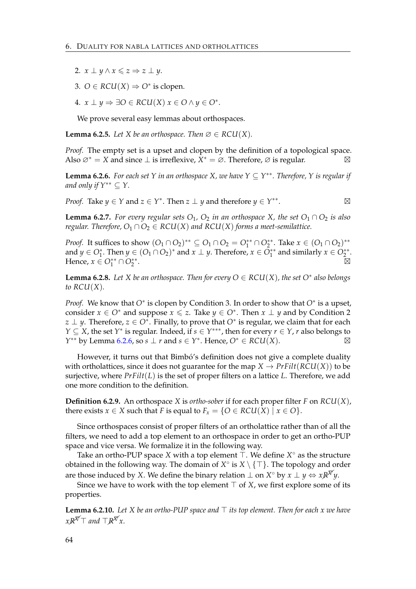- 2.  $x \perp y \wedge x \leq z \Rightarrow z \perp y$ .
- 3.  $O \in RCU(X) \Rightarrow O^*$  is clopen.
- 4.  $x \perp y \Rightarrow \exists O \in RCU(X) \ x \in O \land y \in O^*$ .

We prove several easy lemmas about orthospaces.

<span id="page-67-1"></span>**Lemma 6.2.5.** *Let X be an orthospace. Then*  $\emptyset \in RCU(X)$ *.* 

*Proof.* The empty set is a upset and clopen by the definition of a topological space. Also  $\varnothing^* = X$  and since  $\perp$  is irreflexive,  $\tilde{X}^* = \varnothing$ . Therefore,  $\varnothing$  is regular.

<span id="page-67-0"></span>**Lemma 6.2.6.** *For each set Y in an orthospace X*, *we have*  $Y \subseteq Y^{**}$ *. Therefore, Y is regular if and only if Y*∗∗ ⊆ *Y.*

*Proof.* Take  $y \in Y$  and  $z \in Y^*$ . Then  $z \perp y$  and therefore  $y \in Y^{**}$ .  $\boxtimes$ 

**Lemma 6.2.7.** *For every regular sets*  $O_1$ ,  $O_2$  *in an orthospace X*, *the set*  $O_1 \cap O_2$  *is also regular. Therefore,*  $O_1 \cap O_2 \in RCU(X)$  *and RCU(X) forms a meet-semilattice.* 

*Proof.* It suffices to show  $(O_1 \cap O_2)$ <sup>\*\*</sup> ⊆  $O_1 \cap O_2 = O_1^{**} \cap O_2^{**}$ . Take  $x \in (O_1 \cap O_2)$ <sup>\*\*</sup> and  $y \in O_1^*$ . Then  $y \in (O_1 \cap O_2)^*$  and  $x \perp y$ . Therefore,  $x \in O_1^{**}$  and similarly  $x \in O_2^{**}$ . Hence,  $x \in O_1^{**} \cap O_2^{**}$ . **Executive Security Contract of the Contract Oriental Contract Oriental Contract Oriental Contract Oriental** 

**Lemma 6.2.8.** Let *X* be an orthospace. Then for every  $O \in RCU(X)$ , the set  $O^*$  also belongs *to RCU*(*X*)*.*

*Proof.* We know that *O*<sup>∗</sup> is clopen by Condition 3. In order to show that *O*<sup>∗</sup> is a upset, consider  $x \in O^*$  and suppose  $x \leq z$ . Take  $y \in O^*$ . Then  $x \perp y$  and by Condition 2 *z* ⊥ *y*. Therefore, *z* ∈ *O*<sup>∗</sup>. Finally, to prove that *O*<sup>∗</sup> is regular, we claim that for each *Y* ⊆ *X*, the set *Y*<sup>\*</sup> is regular. Indeed, if *s* ∈ *Y*<sup>\*\*\*</sup>, then for every *r* ∈ *Y*, *r* also belongs to *Y*<sup>\*\*</sup> by Lemma [6.2.6,](#page-67-0) so *s* ⊥ *r* and *s* ∈ *Y*<sup>\*</sup>. Hence,  $O$ <sup>\*</sup> ∈ *RCU*(*X*).  $\boxtimes$ 

However, it turns out that Bimbó's definition does not give a complete duality with ortholattices, since it does not guarantee for the map  $X \to PrFilt(RCU(X))$  to be surjective, where *PrFilt*(*L*) is the set of proper filters on a lattice *L*. Therefore, we add one more condition to the definition.

**Definition 6.2.9.** An orthospace *X* is *ortho-sober* if for each proper filter *F* on *RCU*(*X*), there exists  $x \in X$  such that *F* is equal to  $F_x = \{O \in RCU(X) \mid x \in O\}$ .

Since orthospaces consist of proper filters of an ortholattice rather than of all the filters, we need to add a top element to an orthospace in order to get an ortho-PUP space and vice versa. We formalize it in the following way.

Take an ortho-PUP space *X* with a top element  $\bar{\top}$ . We define  $X^{\circ}$  as the structure obtained in the following way. The domain of  $X^{\circ}$  is  $X \setminus \{\top\}$ . The topology and order are those induced by *X*. We define the binary relation  $\perp$  on *X*° by  $\stackrel{\sim}{x} \perp y \Leftrightarrow xR^{\cancel{X}}y$ .

Since we have to work with the top element  $\top$  of *X*, we first explore some of its properties.

**Lemma 6.2.10.** Let *X* be an ortho-PUP space and  $\top$  its top element. Then for each *x* we have  $xR^{\cancel{\nabla}} \top$  and  $\nabla R^{\cancel{\nabla}} x$ .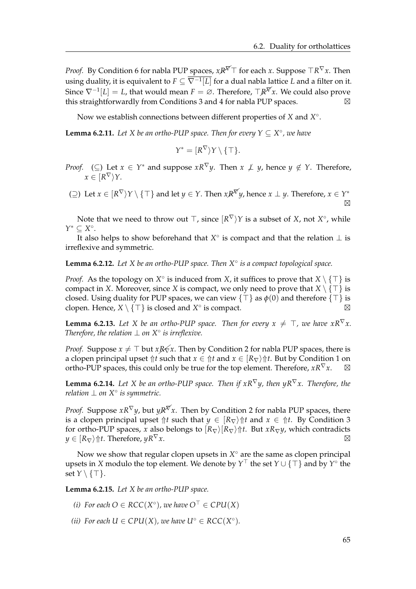*Proof.* By Condition 6 for nabla PUP spaces,  $xR^{\cancel{\nabla}}\top$  for each  $x$ . Suppose  $\top R^{\nabla}x$ . Then using duality, it is equivalent to *F* ⊆ ∇−<sup>1</sup> [*L*] for a dual nabla lattice *L* and a filter on it. Since  $\nabla^{-1}[L] = L$ , that would mean  $F = \emptyset$ . Therefore,  $\top \mathbb{R}^T x$ . We could also prove this straightforwardly from Conditions 3 and 4 for nabla PUP spaces.

Now we establish connections between different properties of *X* and *X*<sup>°</sup>.

<span id="page-68-0"></span>**Lemma 6.2.11.** Let *X* be an ortho-PUP space. Then for every  $Y \subseteq X^{\circ}$ , we have

$$
Y^*=[R^{\nabla}\rangle Y\setminus\{\top\}.
$$

- *Proof.* (⊆) Let  $x \in Y^*$  and suppose  $xR^\nabla y$ . Then  $x \not\perp y$ , hence  $y \notin Y$ . Therefore,  $x \in [R^{\nabla} \rangle Y.$
- $\Rightarrow$  (⊇) Let  $x \in [R^{\nabla} \rangle Y \setminus {\top}$  and let  $y \in Y$ . Then  $xR^{\nabla} y$ , hence  $x \perp y$ . Therefore,  $x \in Y^*$  $\boxtimes$

Note that we need to throw out  $\top$ , since  $[R^{\nabla} \rangle Y$  is a subset of *X*, not  $X^{\circ}$ , while *Y* <sup>∗</sup> ⊆ *X* ◦ .

It also helps to show beforehand that  $X^{\circ}$  is compact and that the relation  $\perp$  is irreflexive and symmetric.

<span id="page-68-2"></span>**Lemma 6.2.12.** *Let X be an ortho-PUP space. Then X*◦ *is a compact topological space.*

*Proof.* As the topology on  $X^{\circ}$  is induced from *X*, it suffices to prove that  $X \setminus \{\top\}$  is compact in *X*. Moreover, since *X* is compact, we only need to prove that  $X \setminus \{T\}$  is closed. Using duality for PUP spaces, we can view  $\{\top\}$  as  $\phi(0)$  and therefore  $\{\top\}$  is clopen. Hence,  $X \setminus \{\top\}$  is closed and  $X^\circ$  is compact.

<span id="page-68-3"></span>**Lemma 6.2.13.** Let *X* be an ortho-PUP space. Then for every  $x \neq \top$ , we have  $xR^{\nabla}x$ . *Therefore, the relation*  $\perp$  *on*  $X^{\circ}$  *is irreflexive.* 

*Proof.* Suppose  $x \neq \top$  but  $xR\not\leq x$ . Then by Condition 2 for nabla PUP spaces, there is a clopen principal upset  $\Uparrow t$  such that  $x \in \Uparrow t$  and  $x \in \left\{R_{\nabla}\right\} \Uparrow t$ . But by Condition 1 on ortho-PUP spaces, this could only be true for the top element. Therefore,  $xR^{\nabla}x$ .

<span id="page-68-1"></span>**Lemma 6.2.14.** Let *X* be an ortho-PUP space. Then if  $xR^{\nabla}y$ , then  $yR^{\nabla}x$ . Therefore, the *relation* ⊥ *on X*◦ *is symmetric.*

*Proof.* Suppose  $xR^{\nabla}y$ , but  $yR^{\nabla}x$ . Then by Condition 2 for nabla PUP spaces, there is a clopen principal upset  $\Uparrow t$  such that  $y \in [R_{\nabla}) \Uparrow t$  and  $x \in \Uparrow t$ . By Condition 3 for ortho-PUP spaces, *x* also belongs to  $\frac{R_{\nabla}}{R_{\nabla}}\hat{t}$ . But *x* $R_{\nabla}y$ , which contradicts  $y \in [R_{\nabla}) \Uparrow t$ . Therefore,  $yR^{\nabla}x$ .

Now we show that regular clopen upsets in  $X^{\circ}$  are the same as clopen principal upsets in *X* modulo the top element. We denote by  $Y^{\top}$  the set  $Y \cup \{\top\}$  and by  $Y^{\circ}$  the set  $Y \setminus \{\top\}.$ 

<span id="page-68-4"></span>**Lemma 6.2.15.** *Let X be an ortho-PUP space.*

- *(i)* For each  $O \in RCC(X^{\circ})$ , we have  $O^{\top} \in CPU(X)$
- *(ii) For each*  $U \in CPU(X)$ *, we have*  $U^{\circ} \in ACC(X^{\circ})$ *.*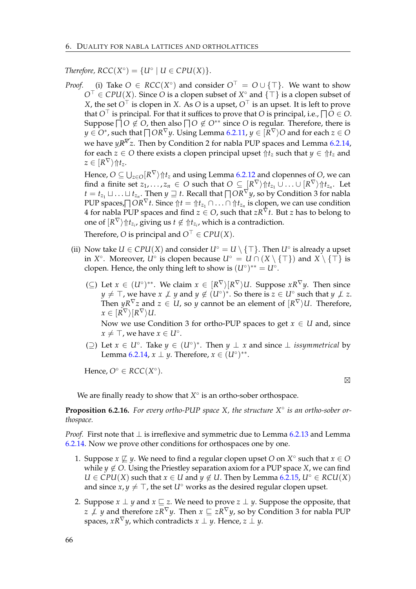*Therefore,*  $RCC(X^{\circ}) = \{U^{\circ} | U \in CPU(X)\}.$ 

*Proof.* (i) Take  $O \in RCC(X^{\circ})$  and consider  $O^{\top} = O \cup \{\top\}$ . We want to show  $O^{\top} \in CPU(X)$ . Since *O* is a clopen subset of  $X^{\circ}$  and  $\{\top\}$  is a clopen subset of *X*, the set  $O^{\top}$  is clopen in *X*. As *O* is a upset,  $O^{\top}$  is an upset. It is left to prove that  $O^{\top}$  is principal. For that it suffices to prove that *O* is principal, i.e.,  $\bigcap O\in O$ . Suppose  $\bar{\Box}O \not\in O$ , then also  $\bar{\Box}O \not\in O^{**}$  since  $O$  is regular. Therefore, there is  $y\in O^*$ , such that  $\bigcap OR^\nabla y.$  Using Lemma [6.2.11,](#page-68-0)  $y\in \lbrack \bar{R}^\nabla\rangle O$  and for each  $z\in O$ we have  $\psi R^{\overline{Y}}z$ . Then by Condition 2 for nabla PUP spaces and Lemma [6.2.14,](#page-68-1) for each  $z \in O$  there exists a clopen principal upset  $\hat{\uparrow} t_z$  such that  $y \in \hat{\uparrow} t_z$  and  $z \in [R^{\nabla}\rangle \Uparrow t_z.$ 

Hence,  $O\subseteq \bigcup_{z\in O}[R^\nabla\big\}\Uparrow t_z$  and using Lemma [6.2.12](#page-68-2) and clopennes of  $O$ , we can  $\text{find a finite set } z_1,\ldots,z_n \, \in \, O \text{ such that } O \, \subseteq \, [R^\nabla) \Uparrow t_{z_1} \cup \ldots \cup [R^\nabla) \Uparrow t_{z_n}.$  Let  $t = t_{z_1} \sqcup \ldots \sqcup t_{z_n}.$  Then  $y \sqsupseteq t.$  Recall that  $\bigcap OR^\nabla y$ , so by Condition 3 for nabla  $PUP$  spaces, $\bigcap OR^{\nabla}$ *t*. Since  $\Uparrow t=\Uparrow t_{z_1}\cap\ldots\cap\Uparrow t_{z_n}$  is clopen, we can use condition 4 for nabla PUP spaces and find  $z \in O$ , such that  $zR^{\nabla}t$ . But *z* has to belong to one of  $\ket{R^{\nabla}}\Uparrow t_{z_i}$ , giving us  $t \notin \Uparrow t_{z_i}$ , which is a contradiction.

Therefore, *O* is principal and  $O^{\top} \in CPU(X)$ .

- (ii) Now take  $U \in CPU(X)$  and consider  $U^{\circ} = U \setminus \{\top\}$ . Then  $U^{\circ}$  is already a upset in  $X^{\circ}$ . Moreover,  $U^{\circ}$  is clopen because  $U^{\circ} = U \cap (X \setminus \{\top\})$  and  $X \setminus \{\top\}$  is clopen. Hence, the only thing left to show is  $(U^{\circ})^{**} = U^{\circ}$ .
	- (⊆) Let  $x \in (U^{\circ})^{**}$ . We claim  $x \in [R^{\nabla} \setminus (R^{\nabla}) \cup P$ . Suppose  $xR^{\nabla} y$ . Then since *y* ≠ ⊤, we have *x*  $\neq$  *y* and *y* ∉ (*U*°)<sup>\*</sup>. So there is  $z \in U$ ° such that *y*  $\neq$  *z*. Then  $yR^{\nabla}z$  and  $z\,\in\, U$ , so  $y$  cannot be an element of  $[R^{\nabla}\rangle U.$  Therefore,  $x\in[R^\nabla\rangle[R^\nabla\rangle U.$

Now we use Condition 3 for ortho-PUP spaces to get  $x \in U$  and, since  $x \neq \top$ , we have  $x \in U^{\circ}$ .

( $\supseteq$ ) Let *x* ∈ *U*<sup>°</sup>. Take *y* ∈ (*U*<sup>°</sup>)<sup>\*</sup>. Then *y* ⊥ *x* and since ⊥ *issymmetrical* by Lemma [6.2.14,](#page-68-1)  $x \perp y$ . Therefore,  $x \in (U^{\circ})^{**}$ .

Hence,  $O^{\circ} \in RCC(X^{\circ})$ .

 $\boxtimes$ 

We are finally ready to show that  $X^{\circ}$  is an ortho-sober orthospace.

**Proposition 6.2.16.** For every ortho-PUP space *X*, the structure *X*<sup>°</sup> is an ortho-sober or*thospace.*

*Proof.* First note that ⊥ is irreflexive and symmetric due to Lemma [6.2.13](#page-68-3) and Lemma [6.2.14.](#page-68-1) Now we prove other conditions for orthospaces one by one.

- 1. Suppose  $x \not\sqsubseteq y$ . We need to find a regular clopen upset *O* on  $X^{\circ}$  such that  $x \in O$ while  $y \notin O$ . Using the Priestley separation axiom for a PUP space *X*, we can find *U* ∈ *CPU*(*X*) such that *x* ∈ *U* and *y* ∉ *U*. Then by Lemma [6.2.15,](#page-68-4) *U*<sup>◦</sup> ∈ *RCU*(*X*) and since  $x, y \neq \top$ , the set *U*<sup> $\circ$ </sup> works as the desired regular clopen upset.
- 2. Suppose  $x \perp y$  and  $x \sqsubseteq z$ . We need to prove  $z \perp y$ . Suppose the opposite, that *z*  $\neq$  *y* and therefore *zR*<sup>∇</sup>*y*. Then *x*  $\subseteq$  *zR*<sup>∇</sup>*y*, so by Condition 3 for nabla PUP spaces,  $xR^{\nabla}y$ , which contradicts  $x \perp y$ . Hence,  $z \perp y$ .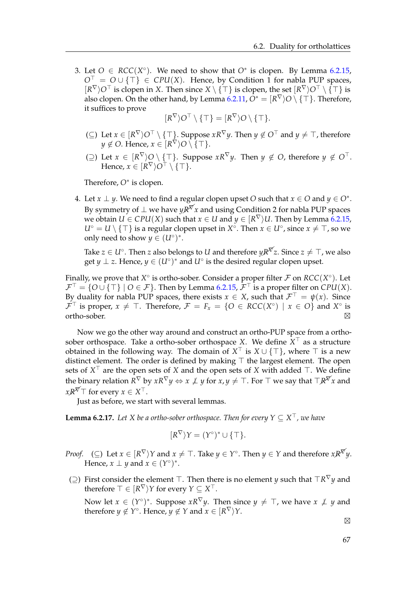3. Let  $O \in RCC(X^{\circ})$ . We need to show that  $O^*$  is clopen. By Lemma [6.2.15,](#page-68-4)  $O^{\top} = O \cup \{\top\} \in CPU(X)$ . Hence, by Condition 1 for nabla PUP spaces,  $[R^{\nabla} \rangle O^{\top}$  is clopen in *X*. Then since  $X \setminus {\top}$  is clopen, the set  $[R^{\nabla} \rangle O^{\top} \setminus {\top}$  is also clopen. On the other hand, by Lemma [6.2.11,](#page-68-0)  $O^*=[R^\nabla]O\setminus\{\top\}.$  Therefore, it suffices to prove

$$
[R^{\nabla}\rangle O^{\top} \setminus \{\top\} = [R^{\nabla}\rangle O \setminus \{\top\}.
$$

- (⊆) Let  $x \in [R^{\nabla} \rangle O^{\top} \setminus \{\top\}$ . Suppose  $xR^{\nabla} y$ . Then  $y \notin O^{\top}$  and  $y \neq \top$ , therefore  $y \notin O$ . Hence,  $x \in [R^{\nabla} \rangle O \setminus \{\top\}.$
- (⊇) Let  $x \in [R^{\nabla} \rangle O \setminus \{T\}$ . Suppose  $xR^{\nabla} y$ . Then  $y \notin O$ , therefore  $y \notin O^{\top}$ . Hence,  $x \in [R^{\nabla} \rangle O^{\top} \setminus \{\top\}.$

Therefore, *O*<sup>∗</sup> is clopen.

4. Let  $x \perp y$ . We need to find a regular clopen upset *O* such that  $x \in O$  and  $y \in O^*$ . By symmetry of  $\perp$  we have  $\psi \mathbb{R}^{\nabla}$ *x* and using Condition 2 for nabla PUP spaces we obtain  $U \in CPU(X)$  such that  $x \in U$  and  $y \in [R^{\nabla} \rangle U$ . Then by Lemma [6.2.15,](#page-68-4)  $U^{\circ} = U \setminus \{\top\}$  is a regular clopen upset in  $X^{\circ}$ . Then  $x \in U^{\circ}$ , since  $x \neq \top$ , so we only need to show  $y \in (U^{\circ})^*$ .

Take  $z \in U^\circ$ . Then  $z$  also belongs to  $U$  and therefore  $yR^{\overline{ \mathcal{N}} } z$ . Since  $z \neq \top$ , we also get *y*  $\perp$  *z*. Hence, *y*  $\in (U^{\circ})^*$  and  $U^{\circ}$  is the desired regular clopen upset.

Finally, we prove that  $X^{\circ}$  is ortho-sober. Consider a proper filter  $\mathcal F$  on  $RCC(X^{\circ})$ . Let  $\mathcal{F}^{\top} = \{O \cup \{\top\} \mid O \in \mathcal{F}\}\$ . Then by Lemma [6.2.15,](#page-68-4)  $\mathcal{F}^{\top}$  is a proper filter on *CPU(X)*. By duality for nabla PUP spaces, there exists  $x \in X$ , such that  $\mathcal{F}^{\top} = \psi(x)$ . Since  $\mathcal{F}^{\top}$  is proper,  $x \neq \top$ . Therefore,  $\mathcal{F} = F_x = \{O \in RCC(X^{\circ}) \mid x \in O\}$  and  $X^{\circ}$  is  $\blacksquare$ ortho-sober.  $\boxtimes$ 

Now we go the other way around and construct an ortho-PUP space from a orthosober orthospace. Take a ortho-sober orthospace X. We define  $X^{\top}$  as a structure obtained in the following way. The domain of  $X^{\top}$  is  $X \cup {\{\top\}}$ , where  $\top$  is a new distinct element. The order is defined by making  $\top$  the largest element. The open sets of  $X^{\top}$  are the open sets of *X* and the open sets of *X* with added  $\top$ . We define the binary relation  $R^{\nabla}$  by  $xR^{\nabla}y \Leftrightarrow x \not\perp y$  for  $x, y \neq \top$ . For  $\top$  we say that  $\top R^{\nabla} x$  and  $xR^{\overline{X}}$  for every  $x \in X^{\top}$ .

Just as before, we start with several lemmas.

**Lemma 6.2.17.** Let X be a ortho-sober orthospace. Then for every  $Y \subseteq X^{\top}$ , we have

$$
[R^{\nabla}\rangle Y = (Y^{\circ})^* \cup \{\top\}.
$$

- *Proof.* (⊆) Let  $x \in [R^{\nabla} \rangle Y$  and  $x \neq \top$ . Take  $y \in Y^{\circ}$ . Then  $y \in Y$  and therefore  $xR^{\nabla} y$ . Hence,  $x \perp y$  and  $x \in (Y^{\circ})^*$ .
- (⊇) First consider the element  $\top$ . Then there is no element *y* such that  $\top R^{\nabla} y$  and therefore  $\top \in [R^\nabla \rangle Y$  for every  $Y \subseteq X^\top$ .

Now let  $x \in (Y^{\circ})^*$ . Suppose  $xR^{\nabla}y$ . Then since  $y \neq \top$ , we have  $x \not\perp y$  and therefore  $y \notin Y^{\circ}$ . Hence,  $y \notin Y$  and  $x \in [R^{\nabla} \rangle Y$ .

 $\boxtimes$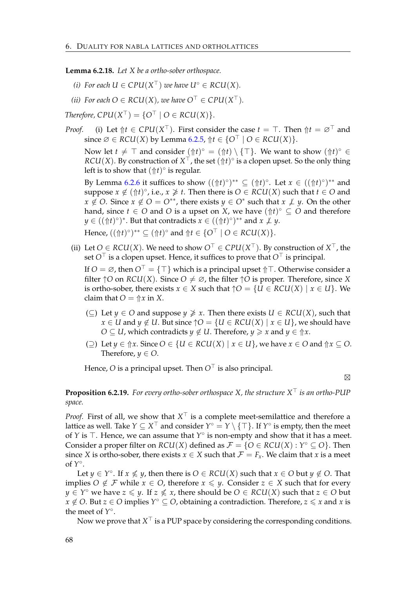**Lemma 6.2.18.** *Let X be a ortho-sober orthospace.*

- *(i)* For each  $U \in CPU(X^{\top})$  we have  $U^{\circ} \in RCU(X)$ .
- *(ii)* For each  $O \in \mathit{RCU}(X)$ , we have  $O^{\top} \in \mathit{CPU}(X^{\top})$ .

*Therefore,*  $CPU(X^{\top}) = \{O^{\top} | O \in RCU(X)\}.$ 

*Proof.* (i) Let  $\Uparrow t \in CPU(X^{\top})$ . First consider the case  $t = \top$ . Then  $\Uparrow t = \varnothing^{\top}$  and since  $\emptyset \in RCU(X)$  by Lemma [6.2.5,](#page-67-1)  $\Uparrow t \in \{O^{\top} \mid O \in RCU(X)\}.$ 

Now let  $t \neq \top$  and consider  $(\Uparrow t)^\circ = (\Uparrow t) \setminus {\top}$ . We want to show  $(\Uparrow t)^\circ \in {\mathbb{R}}$  $RCU(X)$ . By construction of  $X^{\top}$ , the set  $(\Uparrow t)^{\circ}$  is a clopen upset. So the only thing left is to show that  $(\Uparrow t)^\circ$  is regular.

By Lemma [6.2.6](#page-67-0) it suffices to show  $((\Uparrow t)^{\circ})^{**} \subseteq (\Uparrow t)^{\circ}$ . Let  $x \in ((\Uparrow t)^{\circ})^{**}$  and suppose  $x \notin (\Uparrow t)^\circ$ , i.e.,  $x \not\geq t$ . Then there is  $O \in RCU(X)$  such that  $t \in O$  and *x* ∉ *O*. Since *x* ∉ *O* = *O*<sup>\*\*</sup>, there exists *y* ∈ *O*<sup>\*</sup> such that *x*  $\neq$  *y*. On the other hand, since  $t \in O$  and  $O$  is a upset on  $\hat{X}$ , we have  $(\hat{\pi}t)^{\circ} \subseteq O$  and therefore  $y \in ((\Uparrow t)^{\circ})^*$ . But that contradicts  $x \in ((\Uparrow t)^{\circ})^{**}$  and  $x \not\perp y$ .

Hence,  $((\Uparrow t)^{\circ})^{**} \subseteq (\Uparrow t)^{\circ}$  and  $\Uparrow t \in \{O^{\top} \mid O \in RCU(X)\}.$ 

(ii) Let *O* ∈ *RCU*(*X*). We need to show  $O<sup>⊤</sup>$  ∈ *CPU*(*X*<sup> $⊤$ </sup>). By construction of *X*<sup> $⊤$ </sup>, the set  $O^{\top}$  is a clopen upset. Hence, it suffices to prove that  $O^{\top}$  is principal.

If  $O = \emptyset$ , then  $O^{\top} = {\top}$  which is a principal upset  $\Uparrow \top$ . Otherwise consider a filter  $\uparrow$ O on *RCU*(*X*). Since  $O \neq \emptyset$ , the filter  $\uparrow$ O is proper. Therefore, since *X* is ortho-sober, there exists  $x \in X$  such that  $\uparrow O = \{U \in RCU(X) \mid x \in U\}$ . We claim that  $O = \frac{\hat{x}}{x}$  in *X*.

- (⊆) Let *y* ∈ *O* and suppose *y*  $\geq x$ . Then there exists *U* ∈ *RCU*(*X*), such that *x* ∈ *U* and *y* ∉ *U*. But since  $\uparrow$  *O* = {*U* ∈ *RCU*(*X*) | *x* ∈ *U*}, we should have *O*  $\subseteq$  *U*, which contradicts *y*  $\notin$  *U*. Therefore, *y*  $\geq$  *x* and *y*  $\in$   $\uparrow$  *x*.
- (○) Let  $y \in \hat{\uparrow}x$ . Since  $O \in \{U \in RCU(X) \mid x \in U\}$ , we have  $x \in O$  and  $\hat{\uparrow}x \subseteq O$ . Therefore,  $y \in O$ .

Hence, *O* is a principal upset. Then  $O^{\top}$  is also principal.

 $\boxtimes$ 

#### **Proposition 6.2.19.** For every ortho-sober orthospace X, the structure  $X^{\top}$  is an ortho-PUP *space.*

*Proof.* First of all, we show that  $X^{\top}$  is a complete meet-semilattice and therefore a lattice as well. Take  $Y\subseteq X^\top$  and consider  $Y^\circ=Y\setminus\{\top\}.$  If  $Y^\circ$  is empty, then the meet of *Y* is  $\top$ . Hence, we can assume that  $Y^{\circ}$  is non-empty and show that it has a meet. Consider a proper filter on  $RCU(X)$  defined as  $\mathcal{F} = \{O \in RCU(X) : Y^{\circ} \subseteq O\}$ . Then since *X* is ortho-sober, there exists  $x \in X$  such that  $\mathcal{F} = F_x$ . We claim that *x* is a meet of *Y* ◦ .

Let  $y \in Y^{\circ}$ . If  $x \nleq y$ , then there is  $O \in RCU(X)$  such that  $x \in O$  but  $y \notin O$ . That implies *O* ∉ *F* while *x* ∈ *O*, therefore *x* ≤ *y*. Consider *z* ∈ *X* such that for every *y* ∈ *Y*<sup>°</sup> we have *z*  $\le$  *y*. If *z*  $\nle$  *x*, there should be *O* ∈ *RCU*(*X*) such that *z* ∈ *O* but  $\hat{x} \notin O$ . But  $z \in O$  implies  $Y^\circ \subseteq O$ , obtaining a contradiction. Therefore,  $z \leqslant x$  and  $x$  is the meet of *Y* ◦ .

Now we prove that  $X^\top$  is a PUP space by considering the corresponding conditions.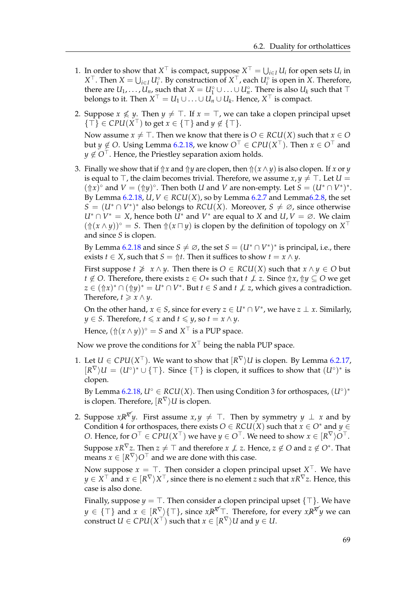- 1. In order to show that  $X^{\top}$  is compact, suppose  $X^{\top} = \bigcup_{i \in I} U_i$  for open sets  $U_i$  in *X*<sup>⊤</sup>. Then *X* = ∪<sub>*i*∈*I*</sub> *U*<sup>*c*</sup>. By construction of *X*<sup>⊤</sup>, each *U*<sup>*c*</sup> is open in *X*. Therefore, there are  $U_1, \ldots, U_n$ , such that  $X = U_1^\circ \cup \ldots \cup U_n^\circ$ . There is also  $U_k$  such that  $\top$ belongs to it. Then  $X^{\top} = U_1 \cup \ldots \cup U_n \cup U_k$ . Hence,  $X^{\top}$  is compact.
- 2. Suppose  $x \nleq y$ . Then  $y \neq \top$ . If  $x = \top$ , we can take a clopen principal upset  $\{\top\} \in CPU(X^{\top})$  to get  $x \in \{\top\}$  and  $y \notin \{\top\}.$

Now assume *x*  $\neq$   $\top$ . Then we know that there is *O*  $\in$  *RCU*(*X*) such that *x*  $\in$  *O*  $\mathsf{but}\ y\not\in O.$  Using Lemma [6.2.18,](#page-71-0) we know  $O^\top\in\mathcal{C}PU(X^\top).$  Then  $x\in O^\top$  and  $y \notin O^{\top}$ . Hence, the Priestley separation axiom holds.

3. Finally we show that if  $\Uparrow x$  and  $\Uparrow y$  are clopen, then  $\Uparrow(x \wedge y)$  is also clopen. If *x* or *y* is equal to  $\top$ , the claim becomes trivial. Therefore, we assume  $x, y \neq \top$ . Let  $U =$  $(\Uparrow x)^\circ$  and  $V = (\Uparrow y)^\circ$ . Then both *U* and *V* are non-empty. Let  $S = (U^* \cap V^*)^*$ . By Lemma [6.2.18,](#page-71-0)  $U, V \in RCU(X)$ , so by Lemma [6.2.7](#page-67-0) and Lemma 6.2.8, the set *S* =  $(U^* ∩ V^*)^*$  also belongs to *RCU*(*X*). Moreover, *S*  $\neq \emptyset$ , since otherwise *U*<sup>∗</sup> ∩  $V$ <sup>∗</sup> = *X*, hence both  $U$ <sup>∗</sup> and  $V$ <sup>∗</sup> are equal to *X* and *U*,  $V = ∅$ . We claim  $(\Uparrow(x\wedge y))^{\circ} = S$ . Then  $\Uparrow(x\sqcap y)$  is clopen by the definition of topology on  $X^{\top}$ and since *S* is clopen.

By Lemma [6.2.18](#page-71-0) and since  $S \neq \emptyset$ , the set  $S = (U^* \cap V^*)^*$  is principal, i.e., there exists *t*  $\in$  *X*, such that *S* =  $\Uparrow t$ . Then it suffices to show *t* = *x*  $\wedge$  *y*.

First suppose  $t \not\geq x \wedge y$ . Then there is  $O \in RCU(X)$  such that  $x \wedge y \in O$  but *t* ∉ *O*. Therefore, there exists  $z \in O*$  such that  $t \nmid L$  *z*. Since  $\Uparrow x, \Uparrow y \subseteq O$  we get  $z \in (\Uparrow x)^* \cap (\Uparrow y)^* = U^* \cap V^*$ . But  $t \in S$  and  $t \not\perp z$ , which gives a contradiction. Therefore,  $t \geq x \wedge y$ .

On the other hand,  $x \in S$ , since for every  $z \in U^* \cap V^*$ , we have  $z \perp x$ . Similarly, *y* ∈ *S*. Therefore, *t*  $\le$  *x* and *t*  $\le$  *y*, so *t* = *x*  $\wedge$  *y*.

Hence,  $(\Uparrow(x\wedge y))^{\circ} = S$  and  $X^{\top}$  is a PUP space.

Now we prove the conditions for  $X^\top$  being the nabla PUP space.

1. Let  $U \in CPU(X^{\top})$ . We want to show that  $[R^{\nabla}\rangle U$  is clopen. By Lemma [6.2.17,](#page-70-0)  $[R^{\nabla}\rangle U = (U^{\circ})^* \cup \{\top\}.$  Since  $\{\top\}$  is clopen, it suffices to show that  $(U^{\circ})^*$  is clopen.

By Lemma [6.2.18,](#page-71-0)  $U^{\circ} \in RCU(X)$ . Then using Condition 3 for orthospaces,  $(U^{\circ})^*$ is clopen. Therefore,  $\overline{{\mathsf{R}}^\nabla \rangle U}$  is clopen.

2. Suppose  $x \cancel{R}^{\cancel{\n}y}$ . First assume  $x, y \neq \top$ . Then by symmetry  $y \perp x$  and by Condition 4 for orthospaces, there exists  $O \in RCU(X)$  such that  $x \in O^*$  and  $y \in$ *O*. Hence, for  $O^{\top} \in CPU(X^{\top})$  we have  $y \in O^{\top}$ . We need to show  $x \in [R^{\nabla}]O^{\top}$ . Suppose  $xR^{\nabla}z$ . Then  $z \neq \top$  and therefore  $x \not\perp z$ . Hence,  $z \not\in O$  and  $z \not\in O^*.$  That means  $x \in [R^{\nabla} \rangle O^{\top}$  and we are done with this case.

Now suppose  $x = \top$ . Then consider a clopen principal upset  $X^{\top}$ . We have  $y\in X^\top$  and  $x\in [R^\nabla\rangle X^\top$ , since there is no element *z* such that  $xR^\nabla z.$  Hence, this case is also done.

Finally, suppose  $y = \top$ . Then consider a clopen principal upset  $\{\top\}$ . We have  $y \in \{\top\}$  and  $x \in [R^{\nabla}\rangle\{\top\}$ , since  $xR^{\nabla}$ . Therefore, for every  $xR^{\nabla}y$  we can  $\mathsf{constant}\,\, \mathcal{U} \in \mathcal{CPU}(X^{\top}) \text{ such that } x \in [R^{\nabla}\rangle \mathcal{U}$  and  $y \in U.$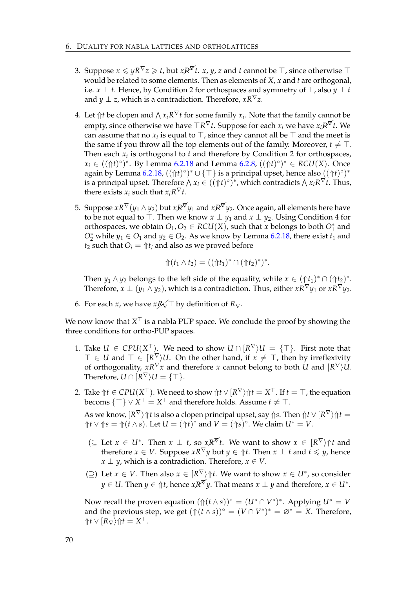- 3. Suppose  $x \leq yR^{\nabla}z \geq t$ , but  $xR^{\nabla}t$ .  $x, y, z$  and  $t$  cannot be  $\top$ , since otherwise  $\top$ would be related to some elements. Then as elements of *X*, *x* and *t* are orthogonal, i.e. *x*  $\perp$  *t*. Hence, by Condition 2 for orthospaces and symmetry of  $\perp$ , also *y*  $\perp$  *t* and *y*  $\perp$  *z*, which is a contradiction. Therefore,  $xR^{\nabla}z$ .
- 4. Let  $\Uparrow t$  be clopen and  $\wedge x_i R^\nabla t$  for some family  $x_i$ . Note that the family cannot be empty, since otherwise we have  $\top R^{\nabla}t$ . Suppose for each  $x_i$  we have  $x_iR^{\nabla}t$ . We can assume that no  $x_i$  is equal to  $\top$ , since they cannot all be  $\top$  and the meet is the same if you throw all the top elements out of the family. Moreover,  $t \neq \top$ . Then each *x<sup>i</sup>* is orthogonal to *t* and therefore by Condition 2 for orthospaces,  $x_i$  ∈ ( $(\Uparrow t)^\circ$ <sup>\*</sup>. By Lemma [6.2.18](#page-71-0) and Lemma [6.2.8,](#page-67-1)  $((\Uparrow t)^\circ)^*$  ∈ *RCU*(*X*). Once again by Lemma [6.2.18,](#page-71-0)  $((\Uparrow t)^\circ)^* \cup \{\top\}$  is a principal upset, hence also  $((\Uparrow t)^\circ)^*$ is a principal upset. Therefore  $\bigwedge x_i \in ((\Uparrow t)^\circ)^*$ , which contradicts  $\bigwedge x_iR^\nabla t$ . Thus, there exists  $x_i$  such that  $x_i R^{\nabla} t$ .
- 5. Suppose  $xR^{\nabla}(y_1 \wedge y_2)$  but  $xR^{\nabla}y_1$  and  $xR^{\nabla}y_2$ . Once again, all elements here have to be not equal to  $\top$ . Then we know  $x \perp y_1$  and  $x \perp y_2$ . Using Condition 4 for orthospaces, we obtain  $O_1$ ,  $O_2 \in RCU(X)$ , such that *x* belongs to both  $O_1^*$  and  $O_2^*$  while  $y_1 \in O_1$  and  $y_2 \in O_2$ . As we know by Lemma [6.2.18,](#page-71-0) there exist  $t_1$  and  $t_2$  such that  $O_i = \frac{\hat{r}}{i}$  and also as we proved before

$$
\Uparrow (t_1 \wedge t_2) = ((\Uparrow t_1)^* \cap (\Uparrow t_2)^*)^*.
$$

Then  $y_1 \wedge y_2$  belongs to the left side of the equality, while  $x \in (\Uparrow t_1)^* \cap (\Uparrow t_2)^*$ . Therefore,  $x \perp (y_1 \wedge y_2)$ , which is a contradiction. Thus, either  $xR^{\nabla}y_1$  or  $xR^{\nabla}y_2$ .

6. For each *x*, we have *x* $R \leq T$  by definition of  $R_{\nabla}$ .

We now know that  $X^\top$  is a nabla PUP space. We conclude the proof by showing the three conditions for ortho-PUP spaces.

- 1. Take  $U \in CPU(X^{\top})$ . We need to show  $U \cap [R^{\nabla} \setminus U] = {\top}$ . First note that  $\top \in U$  and  $\top \in [R^{\nabla} \setminus U]$ . On the other hand, if  $x \neq \top$ , then by irreflexivity of orthogonality,  $xR^{\nabla}x$  and therefore  $x$  cannot belong to both  $U$  and  $[R^{\nabla}\rangle U$ . Therefore,  $U \cap [R^{\nabla} \rangle U = \{ \top \}.$
- 2. Take  $\Uparrow t\in CPU(X^{\top})$ . We need to show  $\Uparrow t\vee [R^{\nabla}\rangle\Uparrow t=X^{\top}.$  If  $t=\top$ , the equation  $\mathbf{becoms}$   $\{\top\} \vee \mathbf{X}^{\top} = \mathbf{X}^{\top}$  and therefore holds. Assume  $t \neq \top$ . As we know,  $[R^\nabla\rangle\Uparrow t$  is also a clopen principal upset, say  $\Uparrow s.$  Then  $\Uparrow t\vee [R^\nabla\rangle\Uparrow t=0$ ⇑*t* ∨ ⇑*s* = ⇑(*t* ∧ *s*). Let *U* = (⇑*t*) ◦ and *V* = (⇑*s*) ◦ . We claim *U*<sup>∗</sup> = *V*.
	- $(\subseteq$  Let  $x \in U^*$ . Then  $x \perp t$ , so  $xR^{\nabla t}$ . We want to show  $x \in [R^{\nabla})$   $\Uparrow t$  and therefore *x* ∈ *V*. Suppose *x*R<sup> $\nabla$ </sup>*y* but *y* ∈  $\Uparrow t$ . Then *x* ⊥ *t* and *t* ≤ *y*, hence *x* ⊥ *y*, which is a contradiction. Therefore, *x* ∈ *V*.
	- (⊇) Let *x* ∈ *V*. Then also *x* ∈  $\{R^{\nabla}\}\Uparrow t$ . We want to show *x* ∈ *U*<sup>\*</sup>, so consider  $y \in U$ . Then  $y \in \Uparrow t$ , hence  $xR^{\not\!\nabla}y$ . That means  $x \perp y$  and therefore,  $x \in U^*.$

Now recall the proven equation  $(\Uparrow (t \wedge s))^{\circ} = (U^* \cap V^*)^*$ . Applying  $U^* = V$ and the previous step, we get  $(\Uparrow (t \wedge s))^{\circ} = (V \cap V^*)^* = \emptyset^* = X$ . Therefore,  $\langle \hat{\mathcal{H}} \vee [R_{\nabla}\rangle \hat{\mathcal{H}}t = X^{\top}.$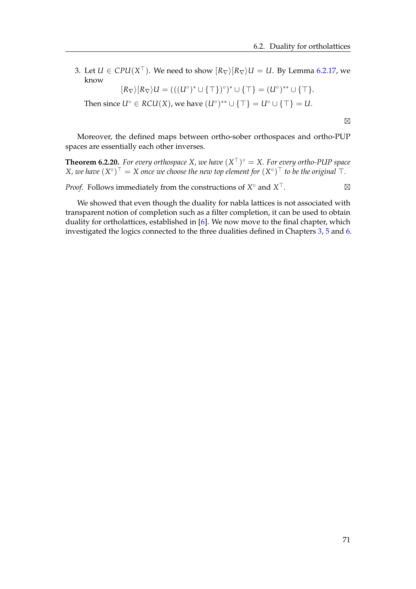3. Let  $U \in \mathit{CPU}(X^{\top})$ . We need to show  $[R_{\nabla}\rangle[R_{\nabla}\rangle U = U$ . By Lemma [6.2.17,](#page-70-0) we know

$$
[R_{\nabla}\rangle[R_{\nabla}\rangle U = (((U^{\circ})^* \cup \{\top\})^{\circ})^* \cup \{\top\} = (U^{\circ})^{**} \cup \{\top\}.
$$

Then since  $U^{\circ} \in RCU(X)$ , we have  $(U^{\circ})^{**} \cup {\{\top\}} = U^{\circ} \cup {\{\top\}} = U$ .

Moreover, the defined maps between ortho-sober orthospaces and ortho-PUP spaces are essentially each other inverses.

**Theorem 6.2.20.** For every orthospace X, we have  $(X<sup>T</sup>)<sup>o</sup> = X$ . For every ortho-PUP space  $X$ , we have  $(X^{\circ})^{\top} = X$  once we choose the new top element for  $(X^{\circ})^{\top}$  to be the original  $\top.$ 

*Proof.* Follows immediately from the constructions of *X* ◦ and *X*  $\top$ .

We showed that even though the duality for nabla lattices is not associated with transparent notion of completion such as a filter completion, it can be used to obtain duality for ortholattices, established in [\[6\]](#page-88-0). We now move to the final chapter, which investigated the logics connected to the three dualities defined in Chapters [3,](#page-20-0) [5](#page-42-0) and [6.](#page-60-0)

 $\boxtimes$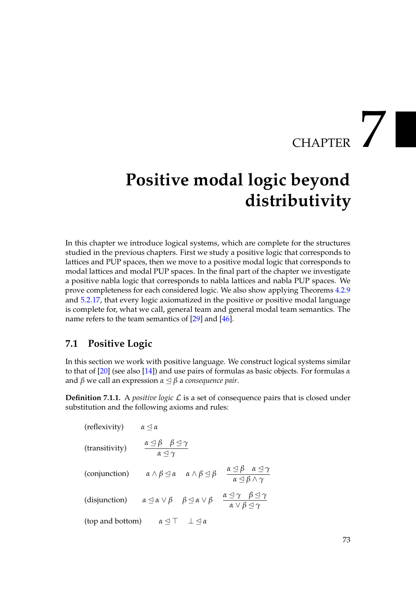# CHAPTER 7

## **Positive modal logic beyond distributivity**

In this chapter we introduce logical systems, which are complete for the structures studied in the previous chapters. First we study a positive logic that corresponds to lattices and PUP spaces, then we move to a positive modal logic that corresponds to modal lattices and modal PUP spaces. In the final part of the chapter we investigate a positive nabla logic that corresponds to nabla lattices and nabla PUP spaces. We prove completeness for each considered logic. We also show applying Theorems [4.2.9](#page-39-0) and [5.2.17,](#page-54-0) that every logic axiomatized in the positive or positive modal language is complete for, what we call, general team and general modal team semantics. The name refers to the team semantics of [\[29\]](#page-89-0) and [\[46\]](#page-90-0).

#### <span id="page-76-0"></span>**7.1 Positive Logic**

In this section we work with positive language. We construct logical systems similar to that of [\[20\]](#page-89-1) (see also [\[14\]](#page-88-1)) and use pairs of formulas as basic objects. For formulas *α* and  $\beta$  we call an expression  $\alpha \leq \beta$  a *consequence pair*.

**Definition 7.1.1.** A *positive logic*  $\mathcal{L}$  is a set of consequence pairs that is closed under substitution and the following axioms and rules:

(reflexivity)

\n
$$
\alpha \leq \alpha
$$
\n(transitivity)

\n
$$
\frac{\alpha \leq \beta \quad \beta \leq \gamma}{\alpha \leq \gamma}
$$
\n(conjunction)

\n
$$
\alpha \wedge \beta \leq \alpha \quad \alpha \wedge \beta \leq \beta \quad \frac{\alpha \leq \beta \quad \alpha \leq \gamma}{\alpha \leq \beta \wedge \gamma}
$$
\n(disjunction)

\n
$$
\alpha \leq \alpha \vee \beta \quad \beta \leq \alpha \vee \beta \quad \frac{\alpha \leq \gamma \quad \beta \leq \gamma}{\alpha \vee \beta \leq \gamma}
$$
\n(top and bottom)

\n
$$
\alpha \leq \top \perp \leq \alpha
$$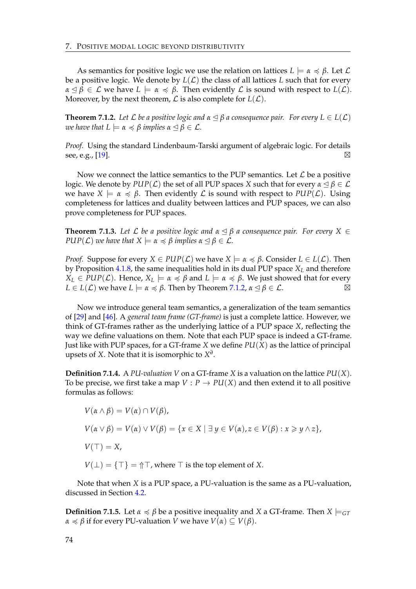As semantics for positive logic we use the relation on lattices  $L \models \alpha \preccurlyeq \beta$ . Let  $\mathcal{L}$ be a positive logic. We denote by  $L(\mathcal{L})$  the class of all lattices L such that for every  $\alpha \leq \beta \in \mathcal{L}$  we have  $L \models \alpha \preccurlyeq \beta$ . Then evidently  $\mathcal{L}$  is sound with respect to  $L(\mathcal{L})$ . Moreover, by the next theorem,  $\mathcal L$  is also complete for  $L(\mathcal L)$ .

<span id="page-77-0"></span>**Theorem 7.1.2.** Let  $\mathcal L$  be a positive logic and  $\alpha \leq \beta$  a consequence pair. For every  $L \in L(\mathcal L)$ *we have that*  $L \models \alpha \preccurlyeq \beta$  *implies*  $\alpha \preceq \beta \in \mathcal{L}$ *.* 

*Proof.* Using the standard Lindenbaum-Tarski argument of algebraic logic. For details see, e.g., [\[19\]](#page-89-2). ⊠

Now we connect the lattice semantics to the PUP semantics. Let  $\mathcal L$  be a positive logic. We denote by  $PLP(\mathcal{L})$  the set of all PUP spaces *X* such that for every  $\alpha \leq \beta \in \mathcal{L}$ we have  $X \models \alpha \preccurlyeq \beta$ . Then evidently  $\mathcal L$  is sound with respect to  $\text{PUP}(\mathcal L)$ . Using completeness for lattices and duality between lattices and PUP spaces, we can also prove completeness for PUP spaces.

<span id="page-77-1"></span>**Theorem 7.1.3.** Let  $\mathcal{L}$  be a positive logic and  $\alpha \leq \beta$  a consequence pair. For every  $X \in$ *PUP*( $\mathcal{L}$ ) *we have that*  $X \models \alpha \preccurlyeq \beta$  *implies*  $\alpha \preceq \beta \in \mathcal{L}$ *.* 

*Proof.* Suppose for every  $X \in PUP(\mathcal{L})$  we have  $X \models \alpha \preccurlyeq \beta$ . Consider  $L \in L(\mathcal{L})$ . Then by Proposition [4.1.8,](#page-35-0) the same inequalities hold in its dual PUP space *X<sup>L</sup>* and therefore  $X_L \in \text{PLP}(\mathcal{L})$ . Hence,  $X_L \models \alpha \preccurlyeq \beta$  and  $L \models \alpha \preccurlyeq \beta$ . We just showed that for every  $L \in L(\mathcal{L})$  we have  $L \models \alpha \preccurlyeq \beta$ . Then by Theorem [7.1.2,](#page-77-0)  $\alpha \leq \beta \in \mathcal{L}$ .

Now we introduce general team semantics, a generalization of the team semantics of [\[29\]](#page-89-0) and [\[46\]](#page-90-0). A *general team frame (GT-frame)* is just a complete lattice. However, we think of GT-frames rather as the underlying lattice of a PUP space *X*, reflecting the way we define valuations on them. Note that each PUP space is indeed a GT-frame. Just like with PUP spaces, for a GT-frame *X* we define *PU*(*X*) as the lattice of principal upsets of *X*. Note that it is isomorphic to  $X^d$ .

<span id="page-77-2"></span>**Definition 7.1.4.** A *PU-valuation V* on a GT-frame *X* is a valuation on the lattice  $PU(X)$ . To be precise, we first take a map  $V: P \to PU(X)$  and then extend it to all positive formulas as follows:

$$
V(\alpha \wedge \beta) = V(\alpha) \cap V(\beta),
$$
  
\n
$$
V(\alpha \vee \beta) = V(\alpha) \vee V(\beta) = \{x \in X \mid \exists y \in V(\alpha), z \in V(\beta) : x \geq y \wedge z\},
$$
  
\n
$$
V(\top) = X,
$$
  
\n
$$
V(\bot) = \{\top\} = \Upsilon \top, \text{where } \top \text{ is the top element of } X.
$$

Note that when *X* is a PUP space, a PU-valuation is the same as a PU-valuation, discussed in Section [4.2.](#page-36-0)

**Definition 7.1.5.** Let  $\alpha \le \beta$  be a positive inequality and *X* a GT-frame. Then  $X \models_{GT}$ *α*  $\leq$  *β* if for every PU-valuation *V* we have *V*(*α*) ⊆ *V*(*β*).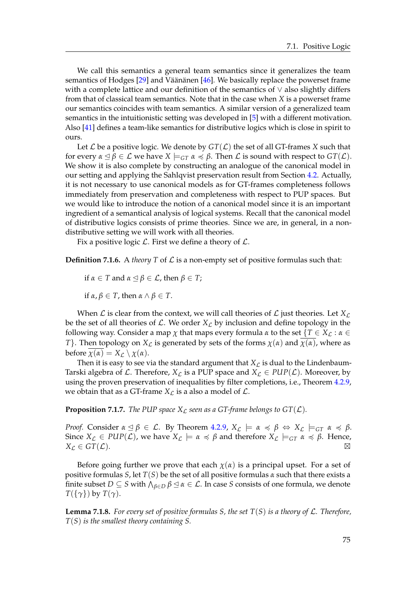We call this semantics a general team semantics since it generalizes the team semantics of Hodges  $[29]$  and Väänänen  $[46]$  $[46]$ . We basically replace the powerset frame with a complete lattice and our definition of the semantics of ∨ also slightly differs from that of classical team semantics. Note that in the case when *X* is a powerset frame our semantics coincides with team semantics. A similar version of a generalized team semantics in the intuitionistic setting was developed in [\[5\]](#page-88-2) with a different motivation. Also [\[41\]](#page-90-1) defines a team-like semantics for distributive logics which is close in spirit to ours.

Let  $\mathcal L$  be a positive logic. We denote by  $GT(\mathcal L)$  the set of all GT-frames *X* such that for every  $\alpha \leq \beta \in \mathcal{L}$  we have  $X \models_{GT} \alpha \preccurlyeq \beta$ . Then  $\mathcal{L}$  is sound with respect to  $GT(\mathcal{L})$ . We show it is also complete by constructing an analogue of the canonical model in our setting and applying the Sahlqvist preservation result from Section [4.2.](#page-36-0) Actually, it is not necessary to use canonical models as for GT-frames completeness follows immediately from preservation and completeness with respect to PUP spaces. But we would like to introduce the notion of a canonical model since it is an important ingredient of a semantical analysis of logical systems. Recall that the canonical model of distributive logics consists of prime theories. Since we are, in general, in a nondistributive setting we will work with all theories.

Fix a positive logic  $\mathcal L$ . First we define a theory of  $\mathcal L$ .

**Definition 7.1.6.** A *theory*  $T$  of  $\mathcal{L}$  is a non-empty set of positive formulas such that:

if 
$$
\alpha \in T
$$
 and  $\alpha \leq \beta \in \mathcal{L}$ , then  $\beta \in T$ ;

if  $\alpha, \beta \in T$ , then  $\alpha \wedge \beta \in T$ .

When  $\mathcal L$  is clear from the context, we will call theories of  $\mathcal L$  just theories. Let  $X_{\mathcal L}$ be the set of all theories of  $\mathcal{L}$ . We order  $X_{\mathcal{L}}$  by inclusion and define topology in the following way. Consider a map  $\chi$  that maps every formula  $\alpha$  to the set  $\{T \in X_{\mathcal{L}} : \alpha \in$ *T*}. Then topology on *X<sub>L</sub>* is generated by sets of the forms  $\chi(\alpha)$  and  $\chi(\alpha)$ , where as before  $\chi(\alpha) = X_{\mathcal{L}} \setminus \chi(\alpha)$ .

Then it is easy to see via the standard argument that  $X_L$  is dual to the Lindenbaum-Tarski algebra of  $\mathcal L$ . Therefore,  $X_{\mathcal L}$  is a PUP space and  $X_{\mathcal L} \in \text{PLP}(\mathcal L)$ . Moreover, by using the proven preservation of inequalities by filter completions, i.e., Theorem [4.2.9,](#page-39-0) we obtain that as a GT-frame  $X_{\mathcal{L}}$  is a also a model of  $\mathcal{L}$ .

<span id="page-78-0"></span>**Proposition 7.1.7.** *The PUP space*  $X_{\mathcal{L}}$  *seen as a GT-frame belongs to GT(* $\mathcal{L}$ *).* 

*Proof.* Consider  $\alpha \leq \beta \in \mathcal{L}$ . By Theorem [4.2.9,](#page-39-0)  $X_{\mathcal{L}} \models \alpha \preccurlyeq \beta \Leftrightarrow X_{\mathcal{L}} \models_{GT} \alpha \preccurlyeq \beta$ . Since  $X_{\mathcal{L}} \in \text{PID}(\mathcal{L})$ , we have  $X_{\mathcal{L}} \models \alpha \preccurlyeq \beta$  and therefore  $X_{\mathcal{L}} \models_{GT} \alpha \preccurlyeq \beta$ . Hence,  $X_{\mathcal{L}} \in GT(\mathcal{L}).$ 

Before going further we prove that each  $\chi(\alpha)$  is a principal upset. For a set of positive formulas *S*, let *T*(*S*) be the set of all positive formulas *α* such that there exists a finite subset  $D \subseteq S$  with  $\bigwedge_{\beta \in D} \beta \leq \alpha \in \mathcal{L}$ . In case *S* consists of one formula, we denote *T*({*γ*}) by *T*(*γ*).

**Lemma 7.1.8.** For every set of positive formulas S, the set  $T(S)$  is a theory of L. Therefore, *T*(*S*) *is the smallest theory containing S.*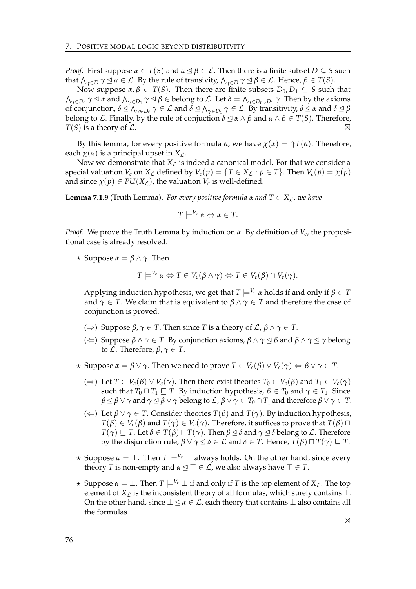*Proof.* First suppose  $\alpha \in T(S)$  and  $\alpha \leq \beta \in \mathcal{L}$ . Then there is a finite subset  $D \subseteq S$  such that  $\bigwedge_{\gamma\in D}\gamma\unlhd\alpha\in\mathcal{L}$ . By the rule of transivity,  $\bigwedge_{\gamma\in D}\gamma\unlhd\beta\in\mathcal{L}$ . Hence,  $\beta\in T(S)$ .

Now suppose *α*, *β* ∈ *T*(*S*). Then there are finite subsets *D*<sub>0</sub>, *D*<sub>1</sub> ⊆ *S* such that *Λ*<sub>γ∈*D*0</sub></sub>  $\gamma$  ⊴ *α* and  $Λ_{\gamma ∈ D_1}$   $\gamma$  ⊴  $β$  ∈ belong to *L*. Let  $δ = Λ_{\gamma ∈ D_0 ∪ D_1}$   $γ$ . Then by the axioms of conjunction,  $\delta \trianglelefteq \bigwedge_{\gamma \in D_0} \gamma \in \mathcal{L}$  and  $\delta \trianglelefteq \bigwedge_{\gamma \in D_1} \gamma \in \mathcal{L}$ . By transitivity,  $\delta \trianglelefteq \alpha$  and  $\delta \trianglelefteq \beta$ belong to L. Finally, by the rule of conjuction  $\delta \leq \alpha \wedge \beta$  and  $\alpha \wedge \beta \in T(S)$ . Therefore,  $T(S)$  is a theory of  $\mathcal{L}$ .

By this lemma, for every positive formula *α*, we have  $\chi(\alpha) = \Upsilon(\alpha)$ . Therefore, each  $\chi(\alpha)$  is a principal upset in  $X_{\mathcal{L}}$ .

Now we demonstrate that  $X_L$  is indeed a canonical model. For that we consider a special valuation  $V_c$  on  $X_c$  defined by  $V_c(p) = \{T \in X_c : p \in T\}$ . Then  $V_c(p) = \chi(p)$ and since  $\chi(p) \in PU(X_{\mathcal{L}})$ , the valuation  $V_c$  is well-defined.

<span id="page-79-0"></span>**Lemma 7.1.9** (Truth Lemma). *For every positive formula*  $\alpha$  *and*  $T \in X_{\ell}$ *, we have* 

$$
T \models^{V_c} \alpha \Leftrightarrow \alpha \in T.
$$

*Proof.* We prove the Truth Lemma by induction on *α*. By definition of *V<sup>c</sup>* , the propositional case is already resolved.

 $\star$  Suppose  $\alpha = \beta \wedge \gamma$ . Then

$$
T \models^{V_c} \alpha \Leftrightarrow T \in V_c(\beta \wedge \gamma) \Leftrightarrow T \in V_c(\beta) \cap V_c(\gamma).
$$

Applying induction hypothesis, we get that  $T \models^{V_c} \alpha$  holds if and only if  $\beta \in T$ and  $\gamma \in T$ . We claim that is equivalent to  $\beta \wedge \gamma \in T$  and therefore the case of conjunction is proved.

- ( $\Rightarrow$ ) Suppose *β*, *γ* ∈ *T*. Then since *T* is a theory of *L*, *β* ∧ *γ* ∈ *T*.
- (←) Suppose  $β ∧ γ ∈ T$ . By conjunction axioms,  $β ∧ γ ⊆ β$  and  $β ∧ γ ⊆ γ$  belong to *L*. Therefore,  $\beta$ ,  $\gamma \in T$ .
- $\star$  Suppose  $\alpha = \beta \vee \gamma$ . Then we need to prove  $T \in V_c(\beta) \vee V_c(\gamma) \Leftrightarrow \beta \vee \gamma \in T$ .
	- (⇒) Let *T* ∈ *V<sub><i>c*</sub>(*β*) ∨ *V<sub><i>c*</sub>( $γ$ ). Then there exist theories *T*<sub>0</sub> ∈ *V<sub><i>c*</sub></sub>(*β*) and *T*<sub>1</sub> ∈ *V<sub><i>c*</sub>( $γ$ ) such that *T*<sup>0</sup>  $\Box$  *T*<sub>1</sub>  $\subseteq$  *T*. By induction hypothesis,  $β ∈ T_0$  and  $γ ∈ T_1$ . Since  $\beta \leq \beta \lor \gamma$  and  $\gamma \leq \beta \lor \gamma$  belong to  $\mathcal{L}, \beta \lor \gamma \in T_0 \cap T_1$  and therefore  $\beta \lor \gamma \in T$ .
	- ( $\Leftarrow$ ) Let  $\beta \lor \gamma \in T$ . Consider theories  $T(\beta)$  and  $T(\gamma)$ . By induction hypothesis,  $T(\beta) \in V_c(\beta)$  and  $T(\gamma) \in V_c(\gamma)$ . Therefore, it suffices to prove that  $T(\beta) \sqcap$ *T*( $\gamma$ )  $\Box$  *T*. Let  $\delta \in T(\beta) \sqcap T(\gamma)$ . Then  $\beta \triangleleft \delta$  and  $\gamma \triangleleft \delta$  belong to  $\mathcal{L}$ . Therefore by the disjunction rule, *β* ∨ *γ* ⊴ *δ* ∈ *L* and *δ* ∈ *T*. Hence, *T*(*β*)  $\sqcap$  *T*(*γ*)  $\sqsubseteq$  *T*.
- $\star$  Suppose  $\alpha = \top$ . Then  $T \models^{V_c} \top$  always holds. On the other hand, since every theory *T* is non-empty and  $\alpha \leq T \in \mathcal{L}$ , we also always have  $T \in T$ .
- $\star$  Suppose  $\alpha = \bot$ . Then  $T \models^{V_c} \bot$  if and only if *T* is the top element of *X*<sub>*C*</sub>. The top element of  $X_L$  is the inconsistent theory of all formulas, which surely contains  $\perp$ . On the other hand, since  $\perp \leq \alpha \in \mathcal{L}$ , each theory that contains  $\perp$  also contains all the formulas.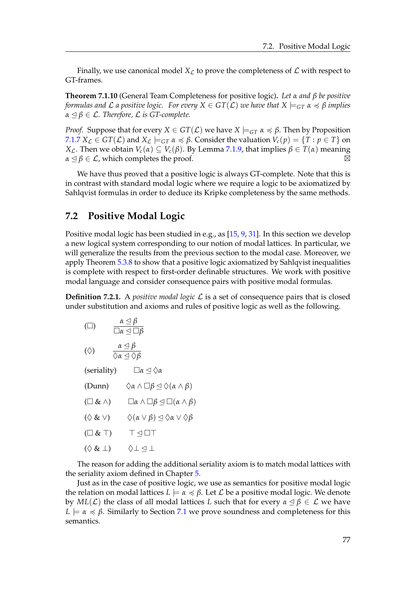Finally, we use canonical model  $X_L$  to prove the completeness of  $\mathcal L$  with respect to GT-frames.

<span id="page-80-0"></span>**Theorem 7.1.10** (General Team Completeness for positive logic)**.** *Let α and β be positive formulas and*  $\mathcal L$  *a positive logic. For every*  $X \in GT(\mathcal L)$  *we have that*  $X \models_{GT} \alpha \preccurlyeq \beta$  *implies*  $\alpha \leq \beta \in \mathcal{L}$ . Therefore,  $\mathcal L$  *is GT-complete.* 

*Proof.* Suppose that for every  $X \in GT(\mathcal{L})$  we have  $X \models_{GT} \alpha \preccurlyeq \beta$ . Then by Proposition *[7.1.7](#page-78-0) X*<sub>*C*</sub> ∈ *GT*(*C*) and *X*<sub>*C*</sub>  $\models$  *∈T α*  $\preccurlyeq$  *β*. Consider the valuation *V*<sub>*c*</sub>(*p*) = {*T* : *p* ∈ *T*} on *X*<sub>*C*</sub>. Then we obtain *V*<sub>*c*</sub>(*α*) ⊆ *V*<sub>*c*</sub>(*β*). By Lemma [7.1.9,](#page-79-0) that implies  $β ∈ T(α)$  meaning  $\alpha \leq \beta \in \mathcal{L}$ , which completes the proof.  $\boxtimes$ 

We have thus proved that a positive logic is always GT-complete. Note that this is in contrast with standard modal logic where we require a logic to be axiomatized by Sahlqvist formulas in order to deduce its Kripke completeness by the same methods.

#### **7.2 Positive Modal Logic**

Positive modal logic has been studied in e.g., as [\[15,](#page-89-3) [9,](#page-88-3) [31\]](#page-89-4). In this section we develop a new logical system corresponding to our notion of modal lattices. In particular, we will generalize the results from the previous section to the modal case. Moreover, we apply Theorem [5.3.8](#page-57-0) to show that a positive logic axiomatized by Sahlqvist inequalities is complete with respect to first-order definable structures. We work with positive modal language and consider consequence pairs with positive modal formulas.

**Definition 7.2.1.** A *positive modal logic*  $\mathcal{L}$  is a set of consequence pairs that is closed under substitution and axioms and rules of positive logic as well as the following.

 $(\Box)$ *α* ✂ *β α* ✂ *β α* ✂ *β*

$$
(\Diamond) \qquad \frac{\alpha \leq p}{\Diamond \alpha \leq \Diamond \beta}
$$

(seriality)  $□α ⊆ ∆α$ 

(Dunn)  $\Diamond \alpha \land \Box \beta \trianglelefteq \Diamond (\alpha \land \beta)$ 

- $(□ ∧)$   $□α ∧ □β ⊆ □(α ∧ β)$
- ( $\Diamond$  & ∨)  $\Diamond$  (*α* ∨ *β*)  $\triangle$   $\Diamond$ *α* ∨  $\Diamond$  *β*
- $(\Box \& \top)$   $\top \lhd \Box \top$
- $(\Diamond \& \bot) \qquad \Diamond \bot \lhd \bot$

The reason for adding the additional seriality axiom is to match modal lattices with the seriality axiom defined in Chapter [5.](#page-42-0)

Just as in the case of positive logic, we use as semantics for positive modal logic the relation on modal lattices  $L \models \alpha \preccurlyeq \beta$ . Let  $\mathcal L$  be a positive modal logic. We denote by  $ML(L)$  the class of all modal lattices L such that for every  $\alpha \leq \beta \in L$  we have  $L \models \alpha \preccurlyeq \beta$ . Similarly to Section [7.1](#page-76-0) we prove soundness and completeness for this semantics.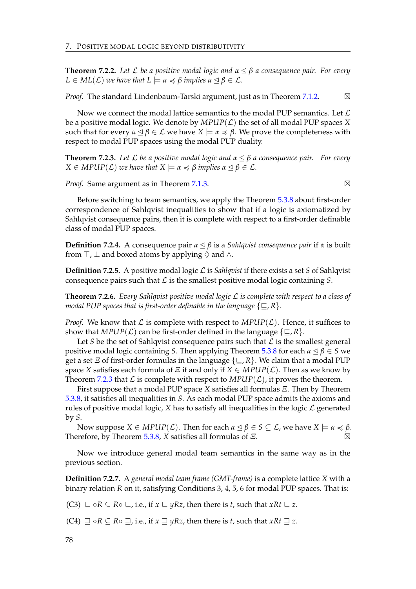**Theorem 7.2.2.** *Let* L *be a positive modal logic and α* ✂ *β a consequence pair. For every*  $L \in ML(L)$  *we have that*  $L \models \alpha \preccurlyeq \beta$  *implies*  $\alpha \preceq \beta \in \mathcal{L}$ *.* 

*Proof.* The standard Lindenbaum-Tarski argument, just as in Theorem [7.1.2.](#page-77-0)  $\boxtimes$ 

Now we connect the modal lattice semantics to the modal PUP semantics. Let  $\mathcal L$ be a positive modal logic. We denote by  $MPUP(\mathcal{L})$  the set of all modal PUP spaces *X* such that for every  $\alpha \leq \beta \in \mathcal{L}$  we have  $X \models \alpha \preccurlyeq \beta$ . We prove the completeness with respect to modal PUP spaces using the modal PUP duality.

<span id="page-81-0"></span>**Theorem 7.2.3.** *Let* L *be a positive modal logic and α* ✂ *β a consequence pair. For every*  $X \in MPUP(\mathcal{L})$  *we have that*  $X \models \alpha \preccurlyeq \beta$  *implies*  $\alpha \preceq \beta \in \mathcal{L}$ *.* 

*Proof.* Same argument as in Theorem [7.1.3.](#page-77-1) △

Before switching to team semantics, we apply the Theorem [5.3.8](#page-57-0) about first-order correspondence of Sahlqvist inequalities to show that if a logic is axiomatized by Sahlqvist consequence pairs, then it is complete with respect to a first-order definable class of modal PUP spaces.

**Definition 7.2.4.** A consequence pair  $\alpha \leq \beta$  is a *Sahlqvist consequence pair* if  $\alpha$  is built from  $\top$ ,  $\bot$  and boxed atoms by applying  $\Diamond$  and  $\land$ .

**Definition 7.2.5.** A positive modal logic L is *Sahlqvist* if there exists a set *S* of Sahlqvist consequence pairs such that  $\mathcal L$  is the smallest positive modal logic containing  $S$ .

<span id="page-81-1"></span>**Theorem 7.2.6.** *Every Sahlqvist positive modal logic* L *is complete with respect to a class of modal PUP spaces that is first-order definable in the language*  $\{\square, R\}$ *.* 

*Proof.* We know that L is complete with respect to  $MPUP(\mathcal{L})$ . Hence, it suffices to show that *MPUP*( $\mathcal{L}$ ) can be first-order defined in the language  $\{\sqsubseteq, R\}$ .

Let *S* be the set of Sahlqvist consequence pairs such that  $\mathcal L$  is the smallest general positive modal logic containing *S*. Then applying Theorem [5.3.8](#page-57-0) for each  $\alpha \leq \beta \in S$  we get a set *Ξ* of first-order formulas in the language  $\{\sqsubseteq, R\}$ . We claim that a modal PUP space *X* satisfies each formula of *Ξ* if and only if  $X \in MPUP(\mathcal{L})$ . Then as we know by Theorem [7.2.3](#page-81-0) that  $\mathcal L$  is complete with respect to  $MPUP(\mathcal L)$ , it proves the theorem.

First suppose that a modal PUP space *X* satisfies all formulas *Ξ*. Then by Theorem [5.3.8,](#page-57-0) it satisfies all inequalities in *S*. As each modal PUP space admits the axioms and rules of positive modal logic,  $X$  has to satisfy all inequalities in the logic  $\mathcal L$  generated by *S*.

Now suppose *X* ∈ *MPUP*(*L*). Then for each  $\alpha$  ⊴  $\beta$  ∈ *S* ⊆ *L*, we have *X*  $\models \alpha$  ≼  $\beta$ . Therefore, by Theorem [5.3.8,](#page-57-0) *X* satisfies all formulas of *Ξ*. -

Now we introduce general modal team semantics in the same way as in the previous section.

**Definition 7.2.7.** A *general modal team frame (GMT-frame)* is a complete lattice *X* with a binary relation *R* on it, satisfying Conditions 3, 4, 5, 6 for modal PUP spaces. That is:

(C3)  $\sqsubseteq \circ R \subseteq R \circ \sqsubseteq$ , i.e., if  $x \sqsubseteq yRz$ , then there is *t*, such that  $xRt \sqsubseteq z$ .

 $(C4) ⊒ ∘ R ⊙ ∑ o ⊒$ , i.e., if *x*  $⊒$  *yRz*, then there is *t*, such that *xRt*  $⊒$  *z*.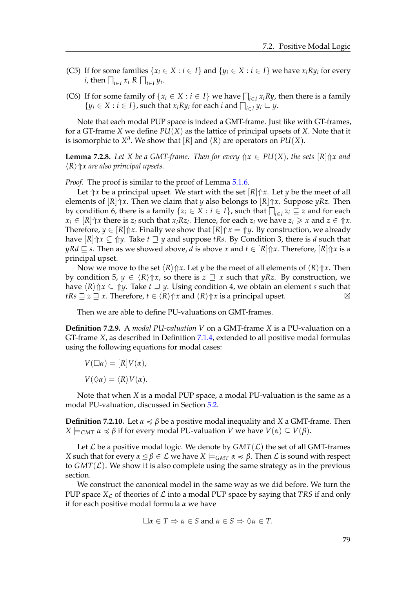- (C5) If for some families  $\{x_i \in X : i \in I\}$  and  $\{y_i \in X : i \in I\}$  we have  $x_i R y_i$  for every *i*, then  $\bigcap_{i \in I} x_i$  *R*  $\bigcap_{i \in I} y_i$ .
- (C6) If for some family of  $\{x_i \in X : i \in I\}$  we have  $\bigcap_{i \in I} x_i R y$ , then there is a family  $\{y_i \in X : i \in I\}$ , such that  $x_i R y_i$  for each *i* and  $\bigcap_{i \in I} y_i \sqsubseteq y$ .

Note that each modal PUP space is indeed a GMT-frame. Just like with GT-frames, for a GT-frame *X* we define *PU*(*X*) as the lattice of principal upsets of *X*. Note that it is isomorphic to  $X^d.$  We show that  $[R]$  and  $\langle R \rangle$  are operators on  $PU(X).$ 

**Lemma 7.2.8.** Let *X* be a GMT-frame. Then for every  $\Uparrow x \in PU(X)$ , the sets  $[R]\Uparrow x$  and  $\langle R \rangle \hat{\parallel} x$  are also principal upsets.

*Proof.* The proof is similar to the proof of Lemma [5.1.6.](#page-44-0)

Let  $\Uparrow x$  be a principal upset. We start with the set  $\lceil R \rceil \Uparrow x$ . Let *y* be the meet of all elements of [*R*]⇑*x*. Then we claim that *y* also belongs to [*R*]⇑*x*. Suppose *yRz*. Then by condition 6, there is a family  $\{z_i \in X : i \in I\}$ , such that  $\bigcap_{i \in I} z_i \sqsubseteq z$  and for each  $x_i \in [R]$   $\Uparrow x$  there is  $z_i$  such that  $x_i R z_i$ . Hence, for each  $z_i$  we have  $z_i \geq x$  and  $z \in \Uparrow x$ . Therefore,  $y \in [R]$   $\uparrow$  *x*. Finally we show that  $[R]$   $\uparrow$  *x* =  $\uparrow$  *y*. By construction, we already have  $[R]$  $\Uparrow x \subseteq \Uparrow y$ . Take  $t \sqsupseteq y$  and suppose *tRs*. By Condition 3, there is *d* such that  $yRd \subseteq s$ . Then as we showed above, *d* is above *x* and  $t \in [R]\Uparrow x$ . Therefore,  $[R]\Uparrow x$  is a principal upset.

Now we move to the set  $\langle R \rangle \text{ for } X$ . Let *y* be the meet of all elements of  $\langle R \rangle \text{ for } X$ . Then by condition 5,  $\psi \in \langle R \rangle \hat{x}$ , so there is  $z \supseteq x$  such that  $\psi Rz$ . By construction, we have  $\langle R \rangle \text{d} x \subseteq \text{d} y$ . Take  $t \sqsupseteq y$ . Using condition 4, we obtain an element *s* such that *tRs*  $\supseteq$  *z*  $\supseteq$  *x*. Therefore,  $t \in \langle R \rangle \text{ for all } R$  and  $\langle R \rangle \text{ for all } R$  is a principal upset.  $\boxtimes$ 

Then we are able to define PU-valuations on GMT-frames.

**Definition 7.2.9.** A *modal PU-valuation V* on a GMT-frame *X* is a PU-valuation on a GT-frame *X*, as described in Definition [7.1.4,](#page-77-2) extended to all positive modal formulas using the following equations for modal cases:

 $V(\Box \alpha) = [R]V(\alpha),$ 

$$
V(\Diamond \alpha) = \langle R \rangle V(\alpha).
$$

Note that when *X* is a modal PUP space, a modal PU-valuation is the same as a modal PU-valuation, discussed in Section [5.2.](#page-49-0)

**Definition 7.2.10.** Let  $\alpha \leq \beta$  be a positive modal inequality and *X* a GMT-frame. Then  $X \models_{GMT} \alpha \preccurlyeq \beta$  if for every modal PU-valuation *V* we have  $V(\alpha) \subseteq V(\beta)$ .

Let  $\mathcal L$  be a positive modal logic. We denote by  $GMT(\mathcal L)$  the set of all GMT-frames *X* such that for every  $\alpha \leq \beta \in \mathcal{L}$  we have  $X \models_{GMT} \alpha \preccurlyeq \beta$ . Then  $\mathcal{L}$  is sound with respect to  $GMT(L)$ . We show it is also complete using the same strategy as in the previous section.

We construct the canonical model in the same way as we did before. We turn the PUP space  $X<sub>C</sub>$  of theories of L into a modal PUP space by saying that *TRS* if and only if for each positive modal formula *α* we have

$$
\Box \alpha \in T \Rightarrow \alpha \in S \text{ and } \alpha \in S \Rightarrow \Diamond \alpha \in T.
$$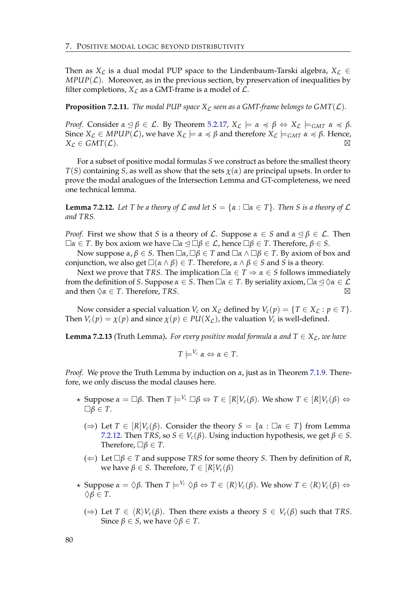Then as  $X_{\mathcal{L}}$  is a dual modal PUP space to the Lindenbaum-Tarski algebra,  $X_{\mathcal{L}} \in$  $MPUP(\mathcal{L})$ . Moreover, as in the previous section, by preservation of inequalities by filter completions,  $X_{\mathcal{L}}$  as a GMT-frame is a model of  $\mathcal{L}$ .

**Proposition 7.2.11.** *The modal PUP space*  $X_L$  *seen as a GMT-frame belongs to GMT(* $L$ *)*.

*Proof.* Consider  $\alpha \leq \beta \in \mathcal{L}$ . By Theorem [5.2.17,](#page-54-0)  $X_{\mathcal{L}} \models \alpha \preccurlyeq \beta \Leftrightarrow X_{\mathcal{L}} \models_{GMT} \alpha \preccurlyeq \beta$ . Since *X<sub>L</sub>* ∈ *MPUP*(*L*), we have *X<sub>L</sub>*  $\models α \le β$  and therefore *X<sub>L</sub>*  $\models$  *GMT*  $α \le β$ . Hence,  $X_{\mathcal{L}} \in GMT(\mathcal{L}).$ 

For a subset of positive modal formulas *S* we construct as before the smallest theory *T*(*S*) containing *S*, as well as show that the sets *χ*(*α*) are principal upsets. In order to prove the modal analogues of the Intersection Lemma and GT-completeness, we need one technical lemma.

<span id="page-83-0"></span>**Lemma 7.2.12.** Let T be a theory of L and let  $S = \{\alpha : \Box \alpha \in T\}$ . Then S is a theory of L *and TRS.*

*Proof.* First we show that *S* is a theory of *L*. Suppose  $\alpha \in S$  and  $\alpha \leq \beta \in \mathcal{L}$ . Then  $\Box$ *α* ∈ *T*. By box axiom we have  $\Box$ α  $\triangleq$   $\Box$ β ∈ *£*, hence  $\Box$ β ∈ *T*. Therefore, β ∈ *S*.

Now suppose *α*, *β* ∈ *S*. Then  $\Box$ *α*,  $\Box$ *β* ∈ *T* and  $\Box$ *α* ∧  $\Box$ *β* ∈ *T*. By axiom of box and conjunction, we also get  $\square(\alpha \land \beta) \in T$ . Therefore,  $\alpha \land \beta \in S$  and *S* is a theory.

Next we prove that *TRS*. The implication  $\Box \alpha \in T \Rightarrow \alpha \in S$  follows immediately from the definition of *S*. Suppose  $\alpha \in S$ . Then  $\Box \alpha \in T$ . By seriality axiom,  $\Box \alpha \leq \Diamond \alpha \in \mathcal{L}$ and then  $\Diamond \alpha \in T$ . Therefore, *TRS*.

Now consider a special valuation  $V_c$  on  $X_c$  defined by  $V_c(p) = \{T \in X_c : p \in T\}$ . Then  $V_c(p) = \chi(p)$  and since  $\chi(p) \in PU(X_{\mathcal{L}})$ , the valuation  $V_c$  is well-defined.

**Lemma 7.2.13** (Truth Lemma). *For every positive modal formula*  $\alpha$  *and*  $T \in X_{\mathcal{L}}$ *, we have* 

$$
T \models^{V_c} \alpha \Leftrightarrow \alpha \in T.
$$

*Proof.* We prove the Truth Lemma by induction on *α*, just as in Theorem [7.1.9.](#page-79-0) Therefore, we only discuss the modal clauses here.

- $\star$  Suppose  $\alpha = \Box \beta$ . Then  $T \models^{V_c} \Box \beta \Leftrightarrow T \in [R]V_c(\beta)$ . We show  $T \in [R]V_c(\beta) \Leftrightarrow$  $□β ∈ T$ .
	- (⇒) Let *T* ∈  $[R]V_c(\beta)$ . Consider the theory *S* = { $\alpha$  :  $\Box \alpha$  ∈ *T*} from Lemma [7.2.12.](#page-83-0) Then *TRS*, so  $S \in V_c(\beta)$ . Using induction hypothesis, we get  $\beta \in S$ . Therefore,  $\Box \beta \in T$ .
	- (⇐) Let *β* ∈ *T* and suppose *TRS* for some theory *S*. Then by definition of *R*,  $\forall$ *W***e** have *β* ∈ *S*. Therefore, *T* ∈ [*R*]*V*<sup>*c*</sup>(*β*)
- $\star$  Suppose  $\alpha = \Diamond \beta$ . Then  $T \models^{V_c} \Diamond \beta \Leftrightarrow T \in \langle R \rangle V_c(\beta)$ . We show  $T \in \langle R \rangle V_c(\beta) \Leftrightarrow$  $\Diamond$ *β*  $\in$  *T*.
	- (⇒) Let *T* ∈  $\langle R \rangle V_c(\beta)$ . Then there exists a theory *S* ∈  $V_c(\beta)$  such that *TRS*. Since  $\beta \in S$ , we have  $\Diamond \beta \in T$ .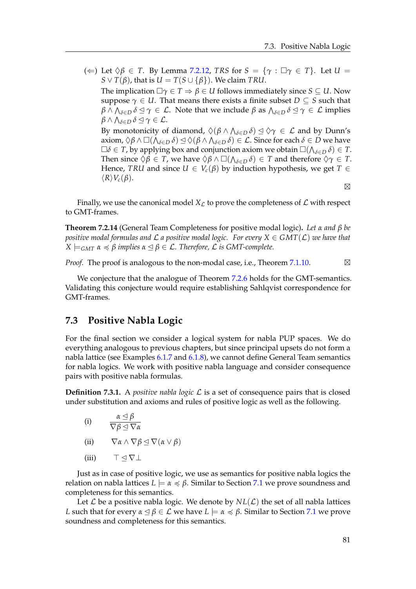(←) Let  $\Diamond \beta \in T$ . By Lemma [7.2.12,](#page-83-0) *TRS* for  $S = \{ \gamma : \Box \gamma \in T \}$ . Let  $U =$  $S \vee T(\beta)$ , that is  $U = T(S \cup {\{\beta\}})$ . We claim *TRU*. The implication  $\Box \gamma \in T \Rightarrow \beta \in U$  follows immediately since  $S \subseteq U$ . Now suppose  $\gamma \in U$ . That means there exists a finite subset  $D \subseteq S$  such that  $\beta \wedge \bigwedge_{\delta \in D} \delta \trianglelefteq \gamma \in \mathcal{L}.$  Note that we include  $\beta$  as  $\bigwedge_{\delta \in D} \delta \trianglelefteq \gamma \in \mathcal{L}$  implies  $\beta \wedge \bigwedge_{\delta \in D} \delta \trianglelefteq \gamma \in \mathcal{L}$ . By monotonicity of diamond,  $\Diamond(\beta \land \bigwedge_{\delta \in D} \delta) \trianglelefteq \Diamond \gamma \in \mathcal{L}$  and by Dunn's axiom,  $\Diamond \beta \land \Box(\bigwedge_{\delta \in D} \delta) \trianglelefteq \Diamond (\beta \land \bigwedge_{\delta \in D} \delta) \in \mathcal{L}$ . Since for each  $\delta \in D$  we have  $\Box \delta \in T$ , by applying box and conjunction axiom we obtain  $\Box(\bigwedge_{\delta \in D} \delta) \in T$ . Then since  $\Diamond \beta \in T$ , we have  $\Diamond \beta \land \Box(\bigwedge_{\delta \in D} \delta) \in T$  and therefore  $\Diamond \gamma \in T$ . Hence, *TRU* and since  $U \in V_c(\beta)$  by induction hypothesis, we get  $T \in$ 

 $\boxtimes$ 

Finally, we use the canonical model  $X_{\mathcal{L}}$  to prove the completeness of  $\mathcal L$  with respect to GMT-frames.

**Theorem 7.2.14** (General Team Completeness for positive modal logic)**.** *Let α and β be positive modal formulas and*  $\mathcal L$  *a positive modal logic. For every*  $X \in GMT(\mathcal L)$  *we have that*  $X \models_{GMT} \alpha \preccurlyeq \beta$  *implies*  $\alpha \preceq \beta \in \mathcal{L}$ . Therefore,  $\mathcal L$  *is GMT-complete.* 

*Proof.* The proof is analogous to the non-modal case, i.e., Theorem [7.1.10.](#page-80-0)  $\boxtimes$ 

We conjecture that the analogue of Theorem [7.2.6](#page-81-1) holds for the GMT-semantics. Validating this conjecture would require establishing Sahlqvist correspondence for GMT-frames.

#### **7.3 Positive Nabla Logic**

 $\langle R \rangle V_c(\beta)$ .

For the final section we consider a logical system for nabla PUP spaces. We do everything analogous to previous chapters, but since principal upsets do not form a nabla lattice (see Examples [6.1.7](#page-62-0) and [6.1.8\)](#page-63-0), we cannot define General Team semantics for nabla logics. We work with positive nabla language and consider consequence pairs with positive nabla formulas.

**Definition 7.3.1.** A *positive nabla logic* L is a set of consequence pairs that is closed under substitution and axioms and rules of positive logic as well as the following.

(i) 
$$
\frac{\alpha \leq \beta}{\nabla \beta \leq \nabla \alpha}
$$

- (ii)  $\nabla \alpha \wedge \nabla \beta \triangleleft \nabla (\alpha \vee \beta)$
- (iii)  $\top \lhd \nabla \bot$

Just as in case of positive logic, we use as semantics for positive nabla logics the relation on nabla lattices  $L \models \alpha \preccurlyeq \beta$ . Similar to Section [7.1](#page-76-0) we prove soundness and completeness for this semantics.

Let  $\mathcal L$  be a positive nabla logic. We denote by  $NL(\mathcal L)$  the set of all nabla lattices *L* such that for every  $\alpha \leq \beta \in \mathcal{L}$  we have  $L \models \alpha \preccurlyeq \beta$ . Similar to Section [7.1](#page-76-0) we prove soundness and completeness for this semantics.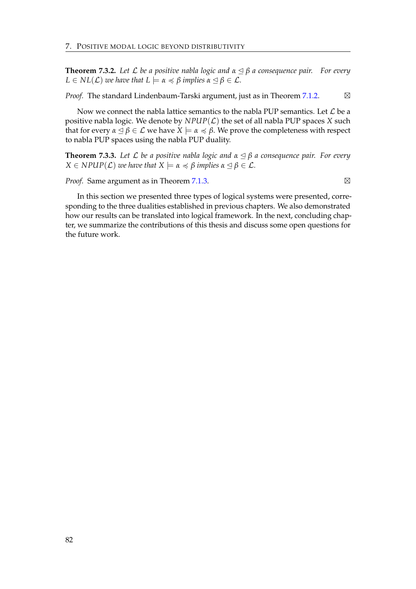**Theorem 7.3.2.** *Let* L *be a positive nabla logic and α* ✂ *β a consequence pair. For every*  $L \in NL(L)$  *we have that*  $L \models \alpha \preccurlyeq \beta$  *implies*  $\alpha \preceq \beta \in \mathcal{L}$ *.* 

*Proof.* The standard Lindenbaum-Tarski argument, just as in Theorem [7.1.2.](#page-77-0) ⊠

Now we connect the nabla lattice semantics to the nabla PUP semantics. Let  $\mathcal L$  be a positive nabla logic. We denote by  $NPUP(\mathcal{L})$  the set of all nabla PUP spaces *X* such that for every  $\alpha \leq \beta \in \mathcal{L}$  we have  $X \models \alpha \preccurlyeq \beta$ . We prove the completeness with respect to nabla PUP spaces using the nabla PUP duality.

**Theorem 7.3.3.** *Let* L *be a positive nabla logic and α* ✂ *β a consequence pair. For every*  $X \in NPUP(\mathcal{L})$  *we have that*  $X \models \alpha \preccurlyeq \beta$  *implies*  $\alpha \preceq \beta \in \mathcal{L}$ *.* 

*Proof.* Same argument as in Theorem [7.1.3.](#page-77-1)

In this section we presented three types of logical systems were presented, corresponding to the three dualities established in previous chapters. We also demonstrated how our results can be translated into logical framework. In the next, concluding chapter, we summarize the contributions of this thesis and discuss some open questions for the future work.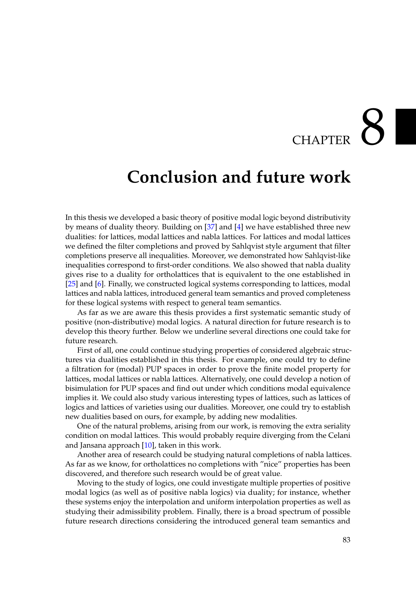## $\overline{\text{CHAPTER}}$

### **Conclusion and future work**

In this thesis we developed a basic theory of positive modal logic beyond distributivity by means of duality theory. Building on [\[37\]](#page-90-2) and [\[4\]](#page-88-4) we have established three new dualities: for lattices, modal lattices and nabla lattices. For lattices and modal lattices we defined the filter completions and proved by Sahlqvist style argument that filter completions preserve all inequalities. Moreover, we demonstrated how Sahlqvist-like inequalities correspond to first-order conditions. We also showed that nabla duality gives rise to a duality for ortholattices that is equivalent to the one established in [\[25\]](#page-89-5) and [\[6\]](#page-88-0). Finally, we constructed logical systems corresponding to lattices, modal lattices and nabla lattices, introduced general team semantics and proved completeness for these logical systems with respect to general team semantics.

As far as we are aware this thesis provides a first systematic semantic study of positive (non-distributive) modal logics. A natural direction for future research is to develop this theory further. Below we underline several directions one could take for future research.

First of all, one could continue studying properties of considered algebraic structures via dualities established in this thesis. For example, one could try to define a filtration for (modal) PUP spaces in order to prove the finite model property for lattices, modal lattices or nabla lattices. Alternatively, one could develop a notion of bisimulation for PUP spaces and find out under which conditions modal equivalence implies it. We could also study various interesting types of lattices, such as lattices of logics and lattices of varieties using our dualities. Moreover, one could try to establish new dualities based on ours, for example, by adding new modalities.

One of the natural problems, arising from our work, is removing the extra seriality condition on modal lattices. This would probably require diverging from the Celani and Jansana approach [\[10\]](#page-88-5), taken in this work.

Another area of research could be studying natural completions of nabla lattices. As far as we know, for ortholattices no completions with "nice" properties has been discovered, and therefore such research would be of great value.

Moving to the study of logics, one could investigate multiple properties of positive modal logics (as well as of positive nabla logics) via duality; for instance, whether these systems enjoy the interpolation and uniform interpolation properties as well as studying their admissibility problem. Finally, there is a broad spectrum of possible future research directions considering the introduced general team semantics and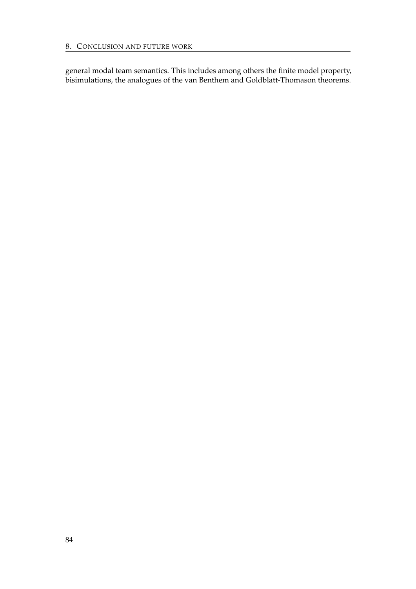general modal team semantics. This includes among others the finite model property, bisimulations, the analogues of the van Benthem and Goldblatt-Thomason theorems.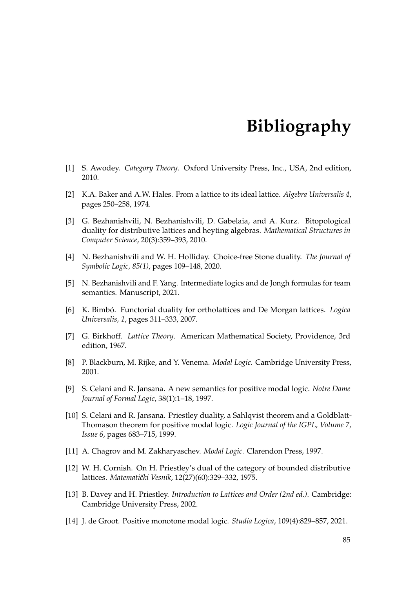## **Bibliography**

- [1] S. Awodey. *Category Theory*. Oxford University Press, Inc., USA, 2nd edition, 2010.
- [2] K.A. Baker and A.W. Hales. From a lattice to its ideal lattice. *Algebra Universalis 4*, pages 250–258, 1974.
- [3] G. Bezhanishvili, N. Bezhanishvili, D. Gabelaia, and A. Kurz. Bitopological duality for distributive lattices and heyting algebras. *Mathematical Structures in Computer Science*, 20(3):359–393, 2010.
- <span id="page-88-4"></span>[4] N. Bezhanishvili and W. H. Holliday. Choice-free Stone duality. *The Journal of Symbolic Logic, 85(1)*, pages 109–148, 2020.
- <span id="page-88-2"></span>[5] N. Bezhanishvili and F. Yang. Intermediate logics and de Jongh formulas for team semantics. Manuscript, 2021.
- <span id="page-88-0"></span>[6] K. Bimbó. Functorial duality for ortholattices and De Morgan lattices. *Logica Universalis, 1*, pages 311–333, 2007.
- [7] G. Birkhoff. *Lattice Theory*. American Mathematical Society, Providence, 3rd edition, 1967.
- [8] P. Blackburn, M. Rijke, and Y. Venema. *Modal Logic*. Cambridge University Press, 2001.
- <span id="page-88-3"></span>[9] S. Celani and R. Jansana. A new semantics for positive modal logic. *Notre Dame Journal of Formal Logic*, 38(1):1–18, 1997.
- <span id="page-88-5"></span>[10] S. Celani and R. Jansana. Priestley duality, a Sahlqvist theorem and a Goldblatt-Thomason theorem for positive modal logic. *Logic Journal of the IGPL, Volume 7, Issue 6*, pages 683–715, 1999.
- [11] A. Chagrov and M. Zakharyaschev. *Modal Logic*. Clarendon Press, 1997.
- [12] W. H. Cornish. On H. Priestley's dual of the category of bounded distributive lattices. *Matematički Vesnik*, 12(27)(60):329-332, 1975.
- [13] B. Davey and H. Priestley. *Introduction to Lattices and Order (2nd ed.)*. Cambridge: Cambridge University Press, 2002.
- <span id="page-88-1"></span>[14] J. de Groot. Positive monotone modal logic. *Studia Logica*, 109(4):829–857, 2021.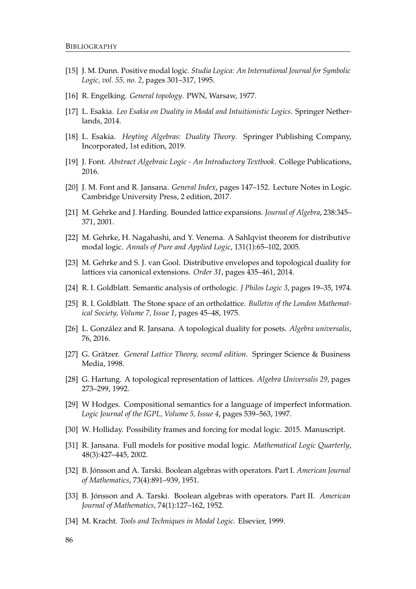- <span id="page-89-3"></span>[15] J. M. Dunn. Positive modal logic. *Studia Logica: An International Journal for Symbolic Logic, vol. 55, no. 2*, pages 301–317, 1995.
- [16] R. Engelking. *General topology*. PWN, Warsaw, 1977.
- [17] L. Esakia. *Leo Esakia on Duality in Modal and Intuitionistic Logics*. Springer Netherlands, 2014.
- [18] L. Esakia. *Heyting Algebras: Duality Theory*. Springer Publishing Company, Incorporated, 1st edition, 2019.
- <span id="page-89-2"></span>[19] J. Font. *Abstract Algebraic Logic - An Introductory Textbook*. College Publications, 2016.
- <span id="page-89-1"></span>[20] J. M. Font and R. Jansana. *General Index*, pages 147–152. Lecture Notes in Logic. Cambridge University Press, 2 edition, 2017.
- [21] M. Gehrke and J. Harding. Bounded lattice expansions. *Journal of Algebra*, 238:345– 371, 2001.
- [22] M. Gehrke, H. Nagahashi, and Y. Venema. A Sahlqvist theorem for distributive modal logic. *Annals of Pure and Applied Logic*, 131(1):65–102, 2005.
- [23] M. Gehrke and S. J. van Gool. Distributive envelopes and topological duality for lattices via canonical extensions. *Order 31*, pages 435–461, 2014.
- [24] R. I. Goldblatt. Semantic analysis of orthologic. *J Philos Logic 3*, pages 19–35, 1974.
- <span id="page-89-5"></span>[25] R. I. Goldblatt. The Stone space of an ortholattice. *Bulletin of the London Mathematical Society, Volume 7, Issue 1*, pages 45–48, 1975.
- [26] L. Gonzalez and R. Jansana. A topological duality for posets. ´ *Algebra universalis*, 76, 2016.
- [27] G. Grätzer. General Lattice Theory, second edition. Springer Science & Business Media, 1998.
- [28] G. Hartung. A topological representation of lattices. *Algebra Universalis 29*, pages 273–299, 1992.
- <span id="page-89-0"></span>[29] W Hodges. Compositional semantics for a language of imperfect information. *Logic Journal of the IGPL, Volume 5, Issue 4*, pages 539–563, 1997.
- [30] W. Holliday. Possibility frames and forcing for modal logic. 2015. Manuscript.
- <span id="page-89-4"></span>[31] R. Jansana. Full models for positive modal logic. *Mathematical Logic Quarterly*, 48(3):427–445, 2002.
- [32] B. Jónsson and A. Tarski. Boolean algebras with operators. Part I. *American Journal of Mathematics*, 73(4):891–939, 1951.
- [33] B. Jonsson and A. Tarski. Boolean algebras with operators. Part II. ´ *American Journal of Mathematics*, 74(1):127–162, 1952.
- [34] M. Kracht. *Tools and Techniques in Modal Logic*. Elsevier, 1999.